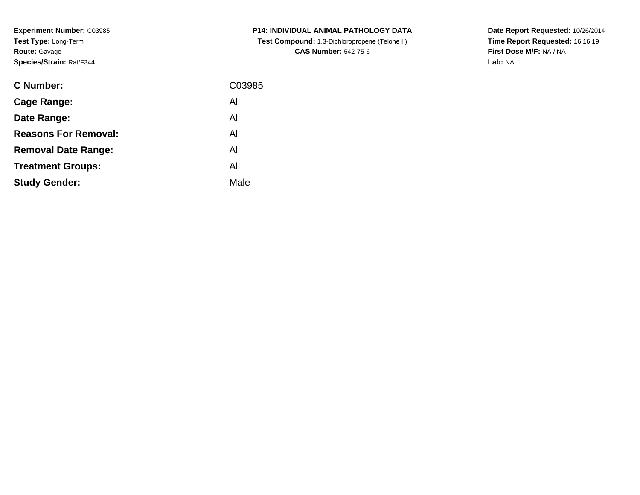**Experiment Number:** C03985**Test Type:** Long-Term**Route:** Gavage**Species/Strain:** Rat/F344

| C Number:                   | C03985 |
|-----------------------------|--------|
| <b>Cage Range:</b>          | All    |
| Date Range:                 | All    |
| <b>Reasons For Removal:</b> | All    |
| <b>Removal Date Range:</b>  | All    |
| <b>Treatment Groups:</b>    | All    |
| <b>Study Gender:</b>        | Male   |
|                             |        |

**P14: INDIVIDUAL ANIMAL PATHOLOGY DATA Test Compound:** 1,3-Dichloropropene (Telone II) **CAS Number:** 542-75-6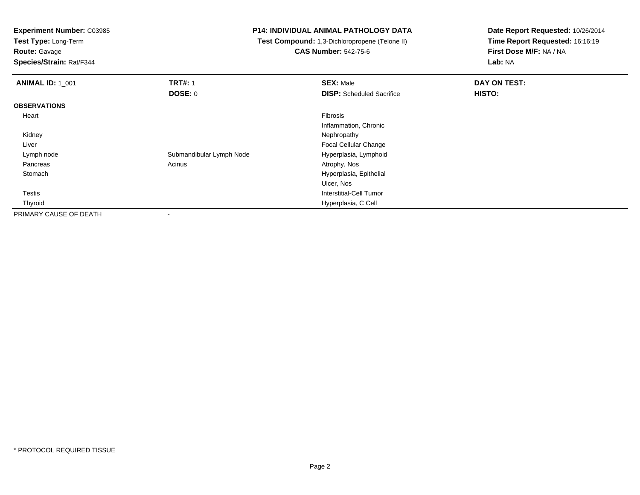**Test Type:** Long-Term

**Route:** Gavage

**Species/Strain:** Rat/F344

#### **P14: INDIVIDUAL ANIMAL PATHOLOGY DATA**

 **Test Compound:** 1,3-Dichloropropene (Telone II)**CAS Number:** 542-75-6

| <b>ANIMAL ID: 1 001</b> | <b>TRT#: 1</b>           | <b>SEX: Male</b>                 | DAY ON TEST: |  |
|-------------------------|--------------------------|----------------------------------|--------------|--|
|                         | DOSE: 0                  | <b>DISP:</b> Scheduled Sacrifice | HISTO:       |  |
| <b>OBSERVATIONS</b>     |                          |                                  |              |  |
| Heart                   |                          | Fibrosis                         |              |  |
|                         |                          | Inflammation, Chronic            |              |  |
| Kidney                  |                          | Nephropathy                      |              |  |
| Liver                   |                          | Focal Cellular Change            |              |  |
| Lymph node              | Submandibular Lymph Node | Hyperplasia, Lymphoid            |              |  |
| Pancreas                | Acinus                   | Atrophy, Nos                     |              |  |
| Stomach                 |                          | Hyperplasia, Epithelial          |              |  |
|                         |                          | Ulcer, Nos                       |              |  |
| Testis                  |                          | Interstitial-Cell Tumor          |              |  |
| Thyroid                 |                          | Hyperplasia, C Cell              |              |  |
| PRIMARY CAUSE OF DEATH  |                          |                                  |              |  |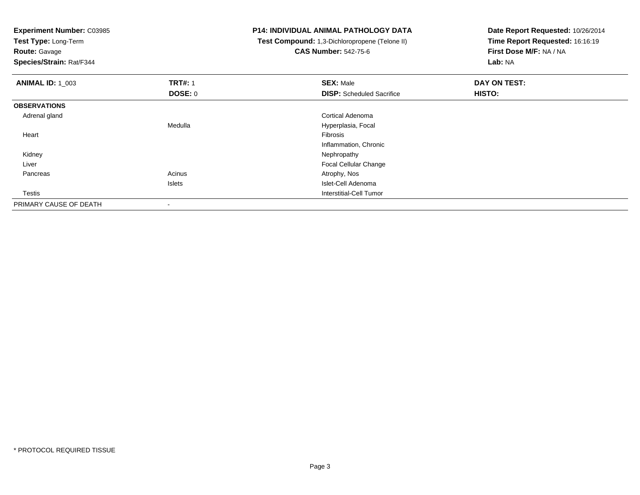**Test Type:** Long-Term

**Route:** Gavage

**Species/Strain:** Rat/F344

### **P14: INDIVIDUAL ANIMAL PATHOLOGY DATA**

 **Test Compound:** 1,3-Dichloropropene (Telone II)**CAS Number:** 542-75-6

| <b>ANIMAL ID: 1_003</b> | <b>TRT#: 1</b>           | <b>SEX: Male</b>                 | DAY ON TEST: |  |
|-------------------------|--------------------------|----------------------------------|--------------|--|
|                         | DOSE: 0                  | <b>DISP:</b> Scheduled Sacrifice | HISTO:       |  |
| <b>OBSERVATIONS</b>     |                          |                                  |              |  |
| Adrenal gland           |                          | Cortical Adenoma                 |              |  |
|                         | Medulla                  | Hyperplasia, Focal               |              |  |
| Heart                   |                          | Fibrosis                         |              |  |
|                         |                          | Inflammation, Chronic            |              |  |
| Kidney                  |                          | Nephropathy                      |              |  |
| Liver                   |                          | Focal Cellular Change            |              |  |
| Pancreas                | Acinus                   | Atrophy, Nos                     |              |  |
|                         | Islets                   | Islet-Cell Adenoma               |              |  |
| Testis                  |                          | Interstitial-Cell Tumor          |              |  |
| PRIMARY CAUSE OF DEATH  | $\overline{\phantom{a}}$ |                                  |              |  |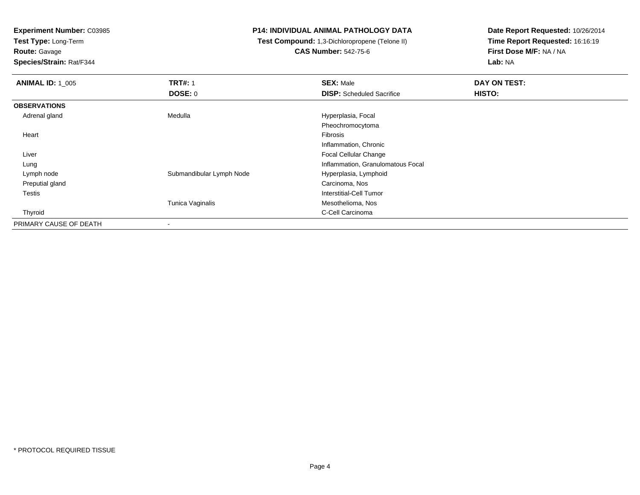**Test Type:** Long-Term

**Route:** Gavage

**Species/Strain:** Rat/F344

### **P14: INDIVIDUAL ANIMAL PATHOLOGY DATA**

 **Test Compound:** 1,3-Dichloropropene (Telone II)**CAS Number:** 542-75-6

| <b>ANIMAL ID: 1_005</b> | <b>TRT#: 1</b>           | <b>SEX: Male</b>                  | DAY ON TEST: |
|-------------------------|--------------------------|-----------------------------------|--------------|
|                         | <b>DOSE: 0</b>           | <b>DISP:</b> Scheduled Sacrifice  | HISTO:       |
| <b>OBSERVATIONS</b>     |                          |                                   |              |
| Adrenal gland           | Medulla                  | Hyperplasia, Focal                |              |
|                         |                          | Pheochromocytoma                  |              |
| Heart                   |                          | Fibrosis                          |              |
|                         |                          | Inflammation, Chronic             |              |
| Liver                   |                          | <b>Focal Cellular Change</b>      |              |
| Lung                    |                          | Inflammation, Granulomatous Focal |              |
| Lymph node              | Submandibular Lymph Node | Hyperplasia, Lymphoid             |              |
| Preputial gland         |                          | Carcinoma, Nos                    |              |
| <b>Testis</b>           |                          | Interstitial-Cell Tumor           |              |
|                         | Tunica Vaginalis         | Mesothelioma, Nos                 |              |
| Thyroid                 |                          | C-Cell Carcinoma                  |              |
| PRIMARY CAUSE OF DEATH  | $\overline{\phantom{a}}$ |                                   |              |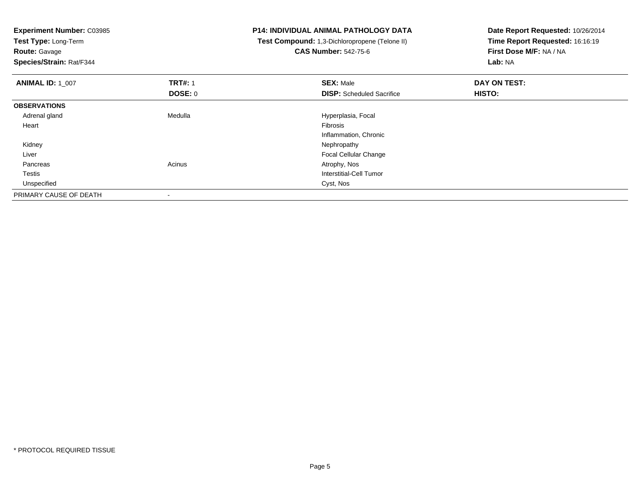**Experiment Number:** C03985**Test Type:** Long-Term**Route:** Gavage **Species/Strain:** Rat/F344**P14: INDIVIDUAL ANIMAL PATHOLOGY DATA Test Compound:** 1,3-Dichloropropene (Telone II)**CAS Number:** 542-75-6**Date Report Requested:** 10/26/2014**Time Report Requested:** 16:16:19**First Dose M/F:** NA / NA**Lab:** NA**ANIMAL ID:** 1\_007 **TRT#:** <sup>1</sup> **SEX:** Male **DAY ON TEST: DOSE:** 0**DISP:** Scheduled Sacrifice **HISTO: OBSERVATIONS** Adrenal gland Medulla Hyperplasia, Focal Heartt de la constitución de la constitución de la constitución de la constitución de la constitución de la constitución Inflammation, Chronic Kidneyy the control of the control of the control of the control of the control of the control of the control of the control of the control of the control of the control of the control of the control of the control of the contro Liver Focal Cellular Change Pancreass and the contract of the contract of the contract of the contract of the contract  $\mathsf{A}$  at  $\mathsf{A}$  and  $\mathsf{A}$  and  $\mathsf{A}$  and  $\mathsf{A}$  and  $\mathsf{A}$  are contract of  $\mathsf{A}$  and  $\mathsf{A}$  and  $\mathsf{A}$  are contract of Testis Interstitial-Cell Tumor Unspecifiedd Cyst, Nos PRIMARY CAUSE OF DEATH-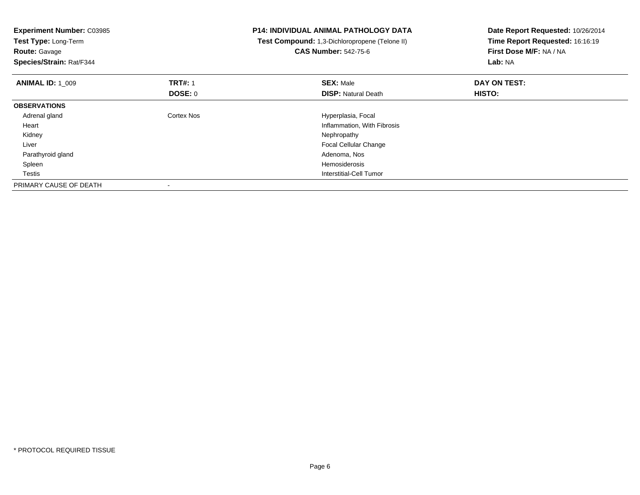| <b>Experiment Number: C03985</b><br>Test Type: Long-Term<br><b>Route: Gavage</b><br>Species/Strain: Rat/F344 |                   | <b>P14: INDIVIDUAL ANIMAL PATHOLOGY DATA</b><br>Test Compound: 1,3-Dichloropropene (Telone II)<br><b>CAS Number: 542-75-6</b> | Date Report Requested: 10/26/2014<br>Time Report Requested: 16:16:19<br>First Dose M/F: NA / NA<br>Lab: NA |
|--------------------------------------------------------------------------------------------------------------|-------------------|-------------------------------------------------------------------------------------------------------------------------------|------------------------------------------------------------------------------------------------------------|
| <b>ANIMAL ID: 1 009</b>                                                                                      | <b>TRT#: 1</b>    | <b>SEX: Male</b>                                                                                                              | DAY ON TEST:                                                                                               |
|                                                                                                              | <b>DOSE: 0</b>    | <b>DISP:</b> Natural Death                                                                                                    | HISTO:                                                                                                     |
| <b>OBSERVATIONS</b>                                                                                          |                   |                                                                                                                               |                                                                                                            |
| Adrenal gland                                                                                                | <b>Cortex Nos</b> | Hyperplasia, Focal                                                                                                            |                                                                                                            |
| Heart                                                                                                        |                   | Inflammation, With Fibrosis                                                                                                   |                                                                                                            |
| Kidney                                                                                                       |                   | Nephropathy                                                                                                                   |                                                                                                            |
| Liver                                                                                                        |                   | <b>Focal Cellular Change</b>                                                                                                  |                                                                                                            |
| Parathyroid gland                                                                                            |                   | Adenoma, Nos                                                                                                                  |                                                                                                            |
| Spleen                                                                                                       |                   | Hemosiderosis                                                                                                                 |                                                                                                            |
| Testis                                                                                                       |                   | Interstitial-Cell Tumor                                                                                                       |                                                                                                            |
| PRIMARY CAUSE OF DEATH                                                                                       |                   |                                                                                                                               |                                                                                                            |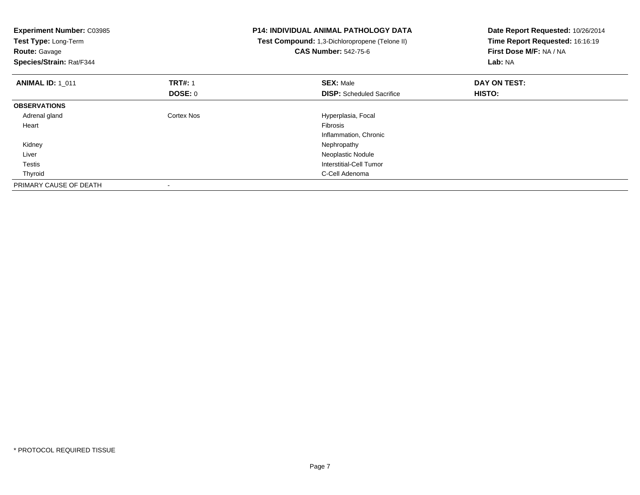| <b>Experiment Number: C03985</b><br>Test Type: Long-Term<br><b>Route: Gavage</b><br>Species/Strain: Rat/F344 |                | <b>P14: INDIVIDUAL ANIMAL PATHOLOGY DATA</b><br>Test Compound: 1,3-Dichloropropene (Telone II)<br><b>CAS Number: 542-75-6</b> | Date Report Requested: 10/26/2014<br>Time Report Requested: 16:16:19<br>First Dose M/F: NA / NA<br>Lab: NA |
|--------------------------------------------------------------------------------------------------------------|----------------|-------------------------------------------------------------------------------------------------------------------------------|------------------------------------------------------------------------------------------------------------|
| <b>ANIMAL ID: 1 011</b>                                                                                      | <b>TRT#: 1</b> | <b>SEX: Male</b>                                                                                                              | DAY ON TEST:                                                                                               |
|                                                                                                              | DOSE: 0        | <b>DISP:</b> Scheduled Sacrifice                                                                                              | HISTO:                                                                                                     |
| <b>OBSERVATIONS</b>                                                                                          |                |                                                                                                                               |                                                                                                            |
| Adrenal gland                                                                                                | Cortex Nos     | Hyperplasia, Focal                                                                                                            |                                                                                                            |
| Heart                                                                                                        |                | Fibrosis                                                                                                                      |                                                                                                            |
|                                                                                                              |                | Inflammation, Chronic                                                                                                         |                                                                                                            |
| Kidney                                                                                                       |                | Nephropathy                                                                                                                   |                                                                                                            |
| Liver                                                                                                        |                | Neoplastic Nodule                                                                                                             |                                                                                                            |
| Testis                                                                                                       |                | Interstitial-Cell Tumor                                                                                                       |                                                                                                            |
| Thyroid                                                                                                      |                | C-Cell Adenoma                                                                                                                |                                                                                                            |
| PRIMARY CAUSE OF DEATH                                                                                       |                |                                                                                                                               |                                                                                                            |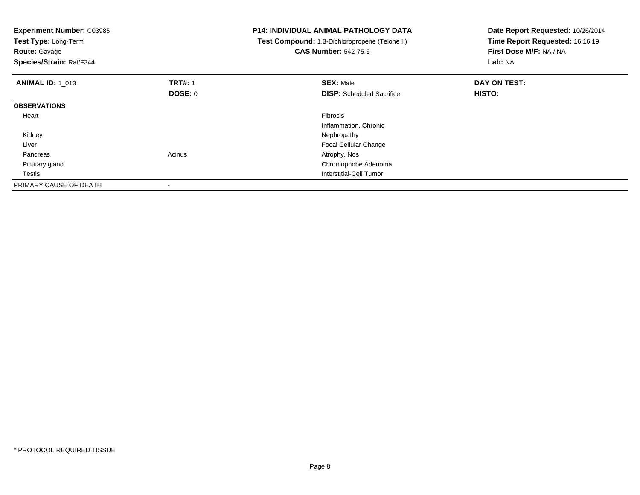| <b>Experiment Number: C03985</b><br>Test Type: Long-Term<br><b>Route: Gavage</b><br>Species/Strain: Rat/F344 |                                  | <b>P14: INDIVIDUAL ANIMAL PATHOLOGY DATA</b><br>Test Compound: 1,3-Dichloropropene (Telone II)<br><b>CAS Number: 542-75-6</b> | Date Report Requested: 10/26/2014<br>Time Report Requested: 16:16:19<br>First Dose M/F: NA / NA<br>Lab: NA |
|--------------------------------------------------------------------------------------------------------------|----------------------------------|-------------------------------------------------------------------------------------------------------------------------------|------------------------------------------------------------------------------------------------------------|
| <b>ANIMAL ID: 1 013</b>                                                                                      | <b>TRT#: 1</b><br><b>DOSE: 0</b> | <b>SEX: Male</b><br><b>DISP:</b> Scheduled Sacrifice                                                                          | DAY ON TEST:<br>HISTO:                                                                                     |
| <b>OBSERVATIONS</b>                                                                                          |                                  |                                                                                                                               |                                                                                                            |
| Heart                                                                                                        |                                  | Fibrosis<br>Inflammation, Chronic                                                                                             |                                                                                                            |
| Kidney                                                                                                       |                                  | Nephropathy                                                                                                                   |                                                                                                            |
| Liver                                                                                                        |                                  | Focal Cellular Change                                                                                                         |                                                                                                            |
| Pancreas                                                                                                     | Acinus                           | Atrophy, Nos                                                                                                                  |                                                                                                            |
| Pituitary gland                                                                                              |                                  | Chromophobe Adenoma                                                                                                           |                                                                                                            |
| Testis                                                                                                       |                                  | Interstitial-Cell Tumor                                                                                                       |                                                                                                            |
| PRIMARY CAUSE OF DEATH                                                                                       |                                  |                                                                                                                               |                                                                                                            |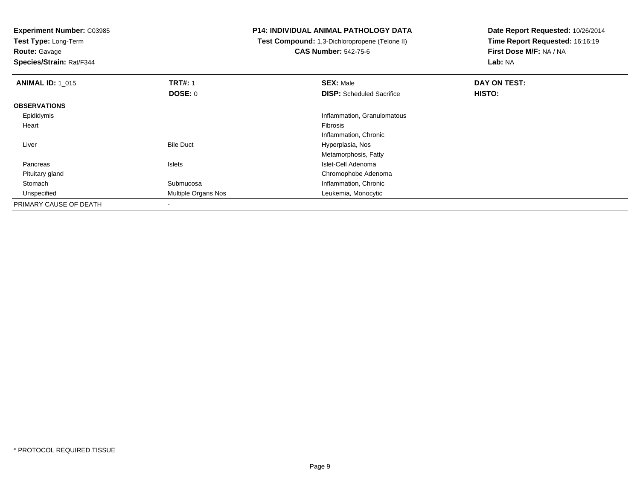**Test Type:** Long-Term

**Route:** Gavage

**Species/Strain:** Rat/F344

#### **P14: INDIVIDUAL ANIMAL PATHOLOGY DATA**

 **Test Compound:** 1,3-Dichloropropene (Telone II)**CAS Number:** 542-75-6

| <b>ANIMAL ID: 1 015</b> | <b>TRT#: 1</b>      | <b>SEX: Male</b>                 | DAY ON TEST: |  |
|-------------------------|---------------------|----------------------------------|--------------|--|
|                         | DOSE: 0             | <b>DISP:</b> Scheduled Sacrifice | HISTO:       |  |
| <b>OBSERVATIONS</b>     |                     |                                  |              |  |
| Epididymis              |                     | Inflammation, Granulomatous      |              |  |
| Heart                   |                     | Fibrosis                         |              |  |
|                         |                     | Inflammation, Chronic            |              |  |
| Liver                   | <b>Bile Duct</b>    | Hyperplasia, Nos                 |              |  |
|                         |                     | Metamorphosis, Fatty             |              |  |
| Pancreas                | Islets              | Islet-Cell Adenoma               |              |  |
| Pituitary gland         |                     | Chromophobe Adenoma              |              |  |
| Stomach                 | Submucosa           | Inflammation, Chronic            |              |  |
| Unspecified             | Multiple Organs Nos | Leukemia, Monocytic              |              |  |
| PRIMARY CAUSE OF DEATH  |                     |                                  |              |  |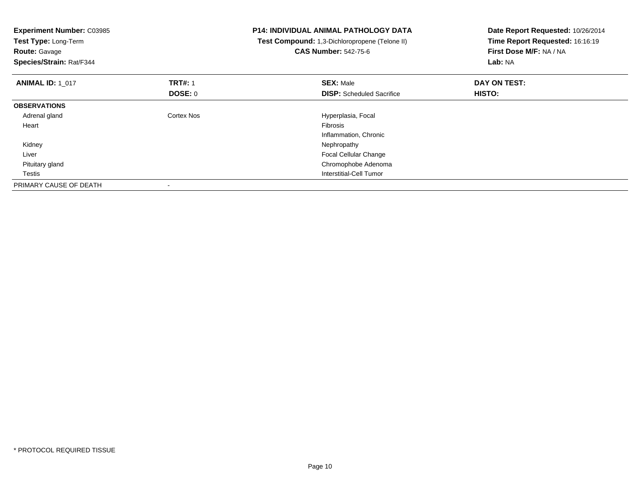| <b>Experiment Number: C03985</b><br>Test Type: Long-Term<br><b>Route: Gavage</b><br>Species/Strain: Rat/F344 |                | <b>P14: INDIVIDUAL ANIMAL PATHOLOGY DATA</b><br>Test Compound: 1,3-Dichloropropene (Telone II)<br><b>CAS Number: 542-75-6</b> | Date Report Requested: 10/26/2014<br>Time Report Requested: 16:16:19<br>First Dose M/F: NA / NA<br>Lab: NA |
|--------------------------------------------------------------------------------------------------------------|----------------|-------------------------------------------------------------------------------------------------------------------------------|------------------------------------------------------------------------------------------------------------|
| <b>ANIMAL ID: 1 017</b>                                                                                      | <b>TRT#: 1</b> | <b>SEX: Male</b>                                                                                                              | DAY ON TEST:                                                                                               |
|                                                                                                              | DOSE: 0        | <b>DISP:</b> Scheduled Sacrifice                                                                                              | HISTO:                                                                                                     |
| <b>OBSERVATIONS</b>                                                                                          |                |                                                                                                                               |                                                                                                            |
| Adrenal gland                                                                                                | Cortex Nos     | Hyperplasia, Focal                                                                                                            |                                                                                                            |
| Heart                                                                                                        |                | Fibrosis                                                                                                                      |                                                                                                            |
|                                                                                                              |                | Inflammation, Chronic                                                                                                         |                                                                                                            |
| Kidney                                                                                                       |                | Nephropathy                                                                                                                   |                                                                                                            |
| Liver                                                                                                        |                | Focal Cellular Change                                                                                                         |                                                                                                            |
| Pituitary gland                                                                                              |                | Chromophobe Adenoma                                                                                                           |                                                                                                            |
| Testis                                                                                                       |                | Interstitial-Cell Tumor                                                                                                       |                                                                                                            |
| PRIMARY CAUSE OF DEATH                                                                                       |                |                                                                                                                               |                                                                                                            |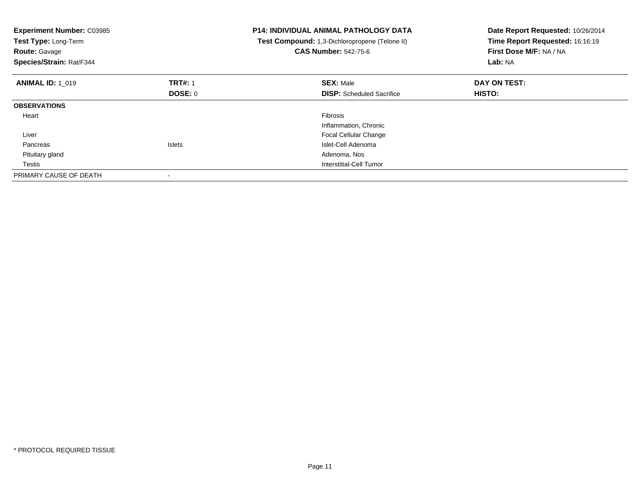| <b>Experiment Number: C03985</b><br>Test Type: Long-Term<br><b>Route: Gavage</b><br>Species/Strain: Rat/F344 |                | <b>P14: INDIVIDUAL ANIMAL PATHOLOGY DATA</b><br>Test Compound: 1,3-Dichloropropene (Telone II)<br><b>CAS Number: 542-75-6</b> | Date Report Requested: 10/26/2014<br>Time Report Requested: 16:16:19<br>First Dose M/F: NA / NA<br>Lab: NA |
|--------------------------------------------------------------------------------------------------------------|----------------|-------------------------------------------------------------------------------------------------------------------------------|------------------------------------------------------------------------------------------------------------|
| <b>ANIMAL ID: 1 019</b>                                                                                      | <b>TRT#: 1</b> | <b>SEX: Male</b>                                                                                                              | DAY ON TEST:                                                                                               |
|                                                                                                              | <b>DOSE: 0</b> | <b>DISP:</b> Scheduled Sacrifice                                                                                              | HISTO:                                                                                                     |
| <b>OBSERVATIONS</b>                                                                                          |                |                                                                                                                               |                                                                                                            |
| Heart                                                                                                        |                | Fibrosis                                                                                                                      |                                                                                                            |
|                                                                                                              |                | Inflammation, Chronic                                                                                                         |                                                                                                            |
| Liver                                                                                                        |                | <b>Focal Cellular Change</b>                                                                                                  |                                                                                                            |
| Pancreas                                                                                                     | <b>Islets</b>  | Islet-Cell Adenoma                                                                                                            |                                                                                                            |
| Pituitary gland                                                                                              |                | Adenoma, Nos                                                                                                                  |                                                                                                            |
| Testis                                                                                                       |                | Interstitial-Cell Tumor                                                                                                       |                                                                                                            |
| PRIMARY CAUSE OF DEATH                                                                                       |                |                                                                                                                               |                                                                                                            |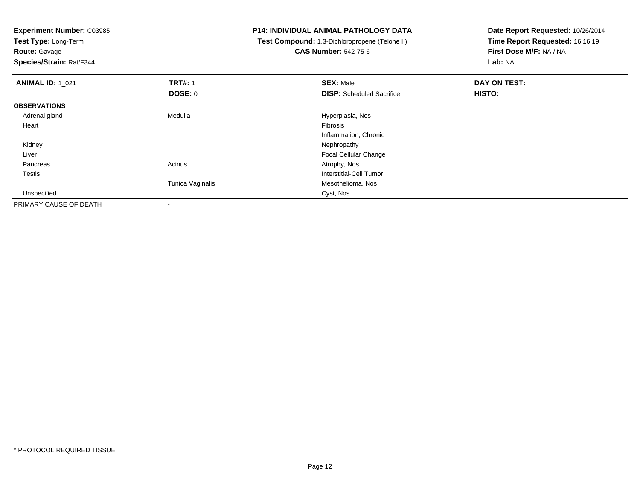**Test Type:** Long-Term

**Route:** Gavage

**Species/Strain:** Rat/F344

# **P14: INDIVIDUAL ANIMAL PATHOLOGY DATA**

 **Test Compound:** 1,3-Dichloropropene (Telone II)**CAS Number:** 542-75-6

| <b>ANIMAL ID: 1 021</b> | <b>TRT#: 1</b>   | <b>SEX: Male</b>                 | DAY ON TEST: |  |
|-------------------------|------------------|----------------------------------|--------------|--|
|                         | <b>DOSE: 0</b>   | <b>DISP:</b> Scheduled Sacrifice | HISTO:       |  |
| <b>OBSERVATIONS</b>     |                  |                                  |              |  |
| Adrenal gland           | Medulla          | Hyperplasia, Nos                 |              |  |
| Heart                   |                  | Fibrosis                         |              |  |
|                         |                  | Inflammation, Chronic            |              |  |
| Kidney                  |                  | Nephropathy                      |              |  |
| Liver                   |                  | Focal Cellular Change            |              |  |
| Pancreas                | Acinus           | Atrophy, Nos                     |              |  |
| Testis                  |                  | Interstitial-Cell Tumor          |              |  |
|                         | Tunica Vaginalis | Mesothelioma, Nos                |              |  |
| Unspecified             |                  | Cyst, Nos                        |              |  |
| PRIMARY CAUSE OF DEATH  | $\,$             |                                  |              |  |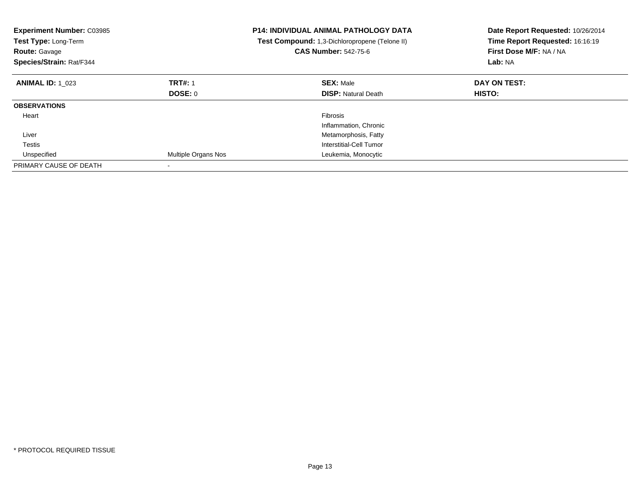| <b>Experiment Number: C03985</b><br>Test Type: Long-Term<br><b>Route: Gavage</b><br>Species/Strain: Rat/F344 |                     | <b>P14: INDIVIDUAL ANIMAL PATHOLOGY DATA</b><br>Test Compound: 1,3-Dichloropropene (Telone II)<br><b>CAS Number: 542-75-6</b> | Date Report Requested: 10/26/2014<br>Time Report Requested: 16:16:19<br>First Dose M/F: NA / NA<br>Lab: NA |
|--------------------------------------------------------------------------------------------------------------|---------------------|-------------------------------------------------------------------------------------------------------------------------------|------------------------------------------------------------------------------------------------------------|
| <b>ANIMAL ID: 1 023</b>                                                                                      | <b>TRT#: 1</b>      | <b>SEX: Male</b>                                                                                                              | DAY ON TEST:                                                                                               |
|                                                                                                              | DOSE: 0             | <b>DISP:</b> Natural Death                                                                                                    | HISTO:                                                                                                     |
| <b>OBSERVATIONS</b>                                                                                          |                     |                                                                                                                               |                                                                                                            |
| Heart                                                                                                        |                     | <b>Fibrosis</b>                                                                                                               |                                                                                                            |
|                                                                                                              |                     | Inflammation, Chronic                                                                                                         |                                                                                                            |
| Liver                                                                                                        |                     | Metamorphosis, Fatty                                                                                                          |                                                                                                            |
| Testis                                                                                                       |                     | Interstitial-Cell Tumor                                                                                                       |                                                                                                            |
| Unspecified                                                                                                  | Multiple Organs Nos | Leukemia, Monocytic                                                                                                           |                                                                                                            |
| PRIMARY CAUSE OF DEATH                                                                                       |                     |                                                                                                                               |                                                                                                            |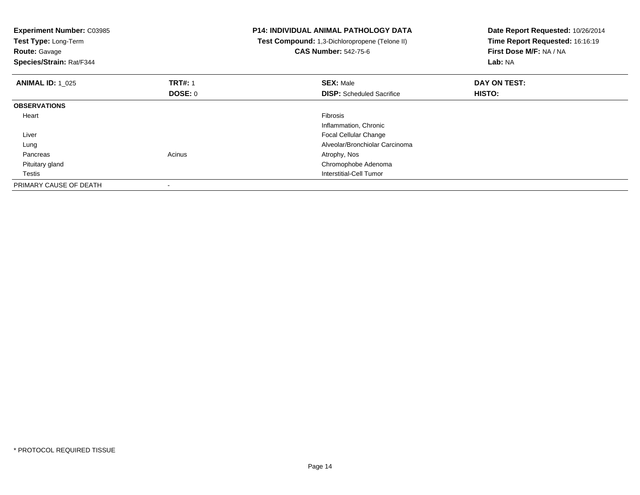| <b>Experiment Number: C03985</b><br>Test Type: Long-Term<br><b>Route: Gavage</b><br>Species/Strain: Rat/F344 |                           | <b>P14: INDIVIDUAL ANIMAL PATHOLOGY DATA</b><br>Test Compound: 1,3-Dichloropropene (Telone II)<br><b>CAS Number: 542-75-6</b> | Date Report Requested: 10/26/2014<br>Time Report Requested: 16:16:19<br>First Dose M/F: NA / NA<br>Lab: NA |
|--------------------------------------------------------------------------------------------------------------|---------------------------|-------------------------------------------------------------------------------------------------------------------------------|------------------------------------------------------------------------------------------------------------|
| <b>ANIMAL ID: 1 025</b>                                                                                      | <b>TRT#: 1</b><br>DOSE: 0 | <b>SEX: Male</b><br><b>DISP:</b> Scheduled Sacrifice                                                                          | DAY ON TEST:<br>HISTO:                                                                                     |
| <b>OBSERVATIONS</b>                                                                                          |                           |                                                                                                                               |                                                                                                            |
| Heart                                                                                                        |                           | Fibrosis<br>Inflammation, Chronic                                                                                             |                                                                                                            |
| Liver                                                                                                        |                           | Focal Cellular Change                                                                                                         |                                                                                                            |
| Lung                                                                                                         |                           | Alveolar/Bronchiolar Carcinoma                                                                                                |                                                                                                            |
| Pancreas                                                                                                     | Acinus                    | Atrophy, Nos                                                                                                                  |                                                                                                            |
| Pituitary gland                                                                                              |                           | Chromophobe Adenoma                                                                                                           |                                                                                                            |
| Testis                                                                                                       |                           | Interstitial-Cell Tumor                                                                                                       |                                                                                                            |
| PRIMARY CAUSE OF DEATH                                                                                       |                           |                                                                                                                               |                                                                                                            |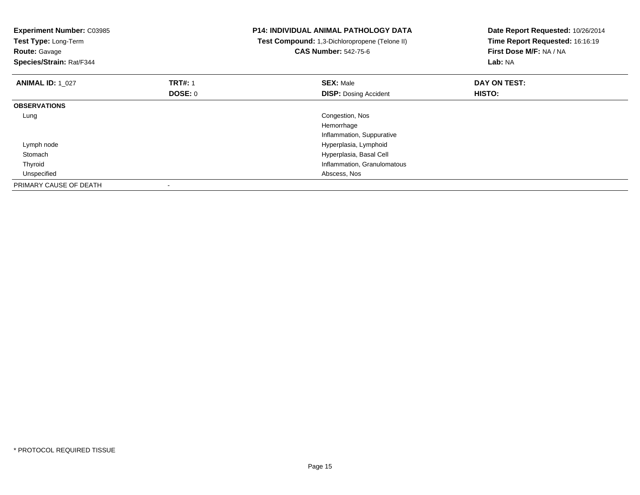| <b>Experiment Number: C03985</b><br><b>Test Type: Long-Term</b><br><b>Route: Gavage</b><br>Species/Strain: Rat/F344 |                           | <b>P14: INDIVIDUAL ANIMAL PATHOLOGY DATA</b><br>Test Compound: 1,3-Dichloropropene (Telone II)<br><b>CAS Number: 542-75-6</b> | Date Report Requested: 10/26/2014<br>Time Report Requested: 16:16:19<br>First Dose M/F: NA / NA<br>Lab: NA |  |
|---------------------------------------------------------------------------------------------------------------------|---------------------------|-------------------------------------------------------------------------------------------------------------------------------|------------------------------------------------------------------------------------------------------------|--|
| <b>ANIMAL ID: 1 027</b>                                                                                             | <b>TRT#: 1</b><br>DOSE: 0 | <b>SEX: Male</b><br><b>DISP:</b> Dosing Accident                                                                              | DAY ON TEST:<br>HISTO:                                                                                     |  |
| <b>OBSERVATIONS</b>                                                                                                 |                           |                                                                                                                               |                                                                                                            |  |
| Lung                                                                                                                |                           | Congestion, Nos                                                                                                               |                                                                                                            |  |
|                                                                                                                     |                           | Hemorrhage                                                                                                                    |                                                                                                            |  |
|                                                                                                                     |                           | Inflammation, Suppurative                                                                                                     |                                                                                                            |  |
| Lymph node                                                                                                          |                           | Hyperplasia, Lymphoid                                                                                                         |                                                                                                            |  |
| Stomach                                                                                                             |                           | Hyperplasia, Basal Cell                                                                                                       |                                                                                                            |  |
| Thyroid                                                                                                             |                           | Inflammation, Granulomatous                                                                                                   |                                                                                                            |  |
| Unspecified                                                                                                         |                           | Abscess, Nos                                                                                                                  |                                                                                                            |  |
| PRIMARY CAUSE OF DEATH                                                                                              |                           |                                                                                                                               |                                                                                                            |  |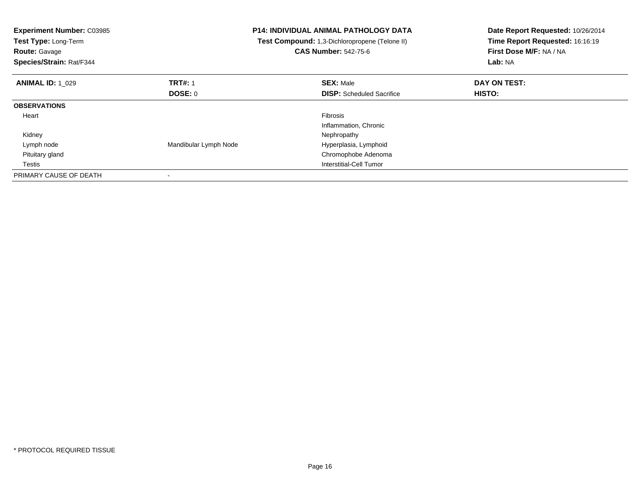| <b>Experiment Number: C03985</b><br>Test Type: Long-Term<br><b>Route: Gavage</b><br>Species/Strain: Rat/F344 |                       | <b>P14: INDIVIDUAL ANIMAL PATHOLOGY DATA</b><br>Test Compound: 1,3-Dichloropropene (Telone II)<br><b>CAS Number: 542-75-6</b> | Date Report Requested: 10/26/2014<br>Time Report Requested: 16:16:19<br>First Dose M/F: NA / NA<br>Lab: NA |
|--------------------------------------------------------------------------------------------------------------|-----------------------|-------------------------------------------------------------------------------------------------------------------------------|------------------------------------------------------------------------------------------------------------|
| <b>ANIMAL ID: 1 029</b>                                                                                      | <b>TRT#: 1</b>        | <b>SEX: Male</b>                                                                                                              | DAY ON TEST:                                                                                               |
|                                                                                                              | DOSE: 0               | <b>DISP:</b> Scheduled Sacrifice                                                                                              | HISTO:                                                                                                     |
| <b>OBSERVATIONS</b>                                                                                          |                       |                                                                                                                               |                                                                                                            |
| Heart                                                                                                        |                       | <b>Fibrosis</b>                                                                                                               |                                                                                                            |
|                                                                                                              |                       | Inflammation, Chronic                                                                                                         |                                                                                                            |
| Kidney                                                                                                       |                       | Nephropathy                                                                                                                   |                                                                                                            |
| Lymph node                                                                                                   | Mandibular Lymph Node | Hyperplasia, Lymphoid                                                                                                         |                                                                                                            |
| Pituitary gland                                                                                              |                       | Chromophobe Adenoma                                                                                                           |                                                                                                            |
| Testis                                                                                                       |                       | Interstitial-Cell Tumor                                                                                                       |                                                                                                            |
| PRIMARY CAUSE OF DEATH                                                                                       |                       |                                                                                                                               |                                                                                                            |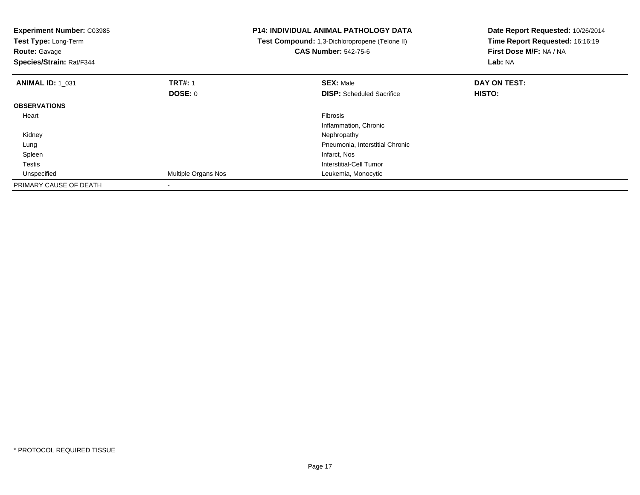| <b>Experiment Number: C03985</b><br>Test Type: Long-Term<br><b>Route: Gavage</b><br>Species/Strain: Rat/F344 |                          | <b>P14: INDIVIDUAL ANIMAL PATHOLOGY DATA</b><br>Test Compound: 1,3-Dichloropropene (Telone II)<br><b>CAS Number: 542-75-6</b> | Date Report Requested: 10/26/2014<br>Time Report Requested: 16:16:19<br>First Dose M/F: NA / NA<br>Lab: NA |
|--------------------------------------------------------------------------------------------------------------|--------------------------|-------------------------------------------------------------------------------------------------------------------------------|------------------------------------------------------------------------------------------------------------|
| <b>ANIMAL ID: 1 031</b>                                                                                      | <b>TRT#: 1</b>           | <b>SEX: Male</b>                                                                                                              | DAY ON TEST:                                                                                               |
|                                                                                                              | DOSE: 0                  | <b>DISP:</b> Scheduled Sacrifice                                                                                              | <b>HISTO:</b>                                                                                              |
| <b>OBSERVATIONS</b>                                                                                          |                          |                                                                                                                               |                                                                                                            |
| Heart                                                                                                        |                          | Fibrosis                                                                                                                      |                                                                                                            |
|                                                                                                              |                          | Inflammation, Chronic                                                                                                         |                                                                                                            |
| Kidney                                                                                                       |                          | Nephropathy                                                                                                                   |                                                                                                            |
| Lung                                                                                                         |                          | Pneumonia, Interstitial Chronic                                                                                               |                                                                                                            |
| Spleen                                                                                                       |                          | Infarct, Nos                                                                                                                  |                                                                                                            |
| Testis                                                                                                       |                          | Interstitial-Cell Tumor                                                                                                       |                                                                                                            |
| Unspecified                                                                                                  | Multiple Organs Nos      | Leukemia, Monocytic                                                                                                           |                                                                                                            |
| PRIMARY CAUSE OF DEATH                                                                                       | $\overline{\phantom{a}}$ |                                                                                                                               |                                                                                                            |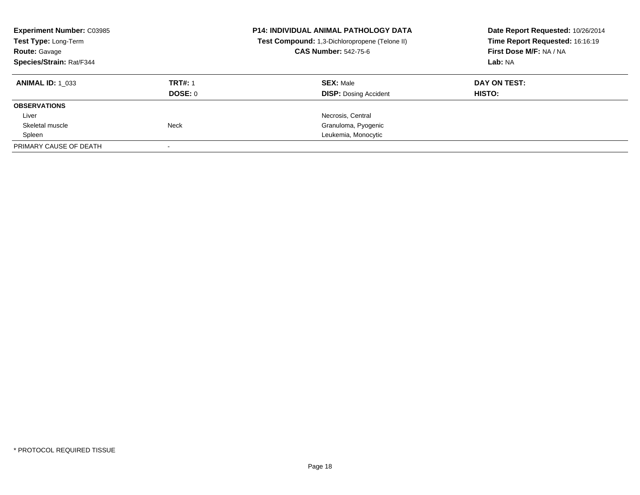| <b>Experiment Number: C03985</b><br>Test Type: Long-Term |                | <b>P14: INDIVIDUAL ANIMAL PATHOLOGY DATA</b><br>Test Compound: 1,3-Dichloropropene (Telone II) | Date Report Requested: 10/26/2014<br>Time Report Requested: 16:16:19 |  |
|----------------------------------------------------------|----------------|------------------------------------------------------------------------------------------------|----------------------------------------------------------------------|--|
| <b>Route: Gavage</b>                                     |                | <b>CAS Number: 542-75-6</b>                                                                    | First Dose M/F: NA / NA                                              |  |
| Species/Strain: Rat/F344                                 |                |                                                                                                | Lab: NA                                                              |  |
| <b>ANIMAL ID: 1 033</b>                                  | <b>TRT#: 1</b> | <b>SEX: Male</b>                                                                               | DAY ON TEST:                                                         |  |
|                                                          | DOSE: 0        | <b>DISP:</b> Dosing Accident                                                                   | HISTO:                                                               |  |
| <b>OBSERVATIONS</b>                                      |                |                                                                                                |                                                                      |  |
| Liver                                                    |                | Necrosis, Central                                                                              |                                                                      |  |
| Skeletal muscle                                          | Neck           | Granuloma, Pyogenic                                                                            |                                                                      |  |
| Spleen                                                   |                | Leukemia, Monocytic                                                                            |                                                                      |  |
| PRIMARY CAUSE OF DEATH                                   |                |                                                                                                |                                                                      |  |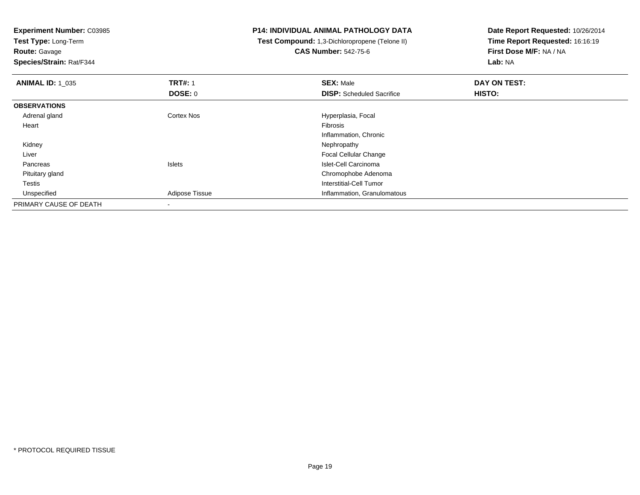**Test Type:** Long-Term

**Route:** Gavage

**Species/Strain:** Rat/F344

# **P14: INDIVIDUAL ANIMAL PATHOLOGY DATA**

 **Test Compound:** 1,3-Dichloropropene (Telone II)**CAS Number:** 542-75-6

| <b>ANIMAL ID: 1_035</b> | <b>TRT#: 1</b>           | <b>SEX: Male</b>                 | DAY ON TEST:  |  |
|-------------------------|--------------------------|----------------------------------|---------------|--|
|                         | DOSE: 0                  | <b>DISP:</b> Scheduled Sacrifice | <b>HISTO:</b> |  |
| <b>OBSERVATIONS</b>     |                          |                                  |               |  |
| Adrenal gland           | <b>Cortex Nos</b>        | Hyperplasia, Focal               |               |  |
| Heart                   |                          | Fibrosis                         |               |  |
|                         |                          | Inflammation, Chronic            |               |  |
| Kidney                  |                          | Nephropathy                      |               |  |
| Liver                   |                          | <b>Focal Cellular Change</b>     |               |  |
| Pancreas                | <b>Islets</b>            | Islet-Cell Carcinoma             |               |  |
| Pituitary gland         |                          | Chromophobe Adenoma              |               |  |
| Testis                  |                          | Interstitial-Cell Tumor          |               |  |
| Unspecified             | Adipose Tissue           | Inflammation, Granulomatous      |               |  |
| PRIMARY CAUSE OF DEATH  | $\overline{\phantom{a}}$ |                                  |               |  |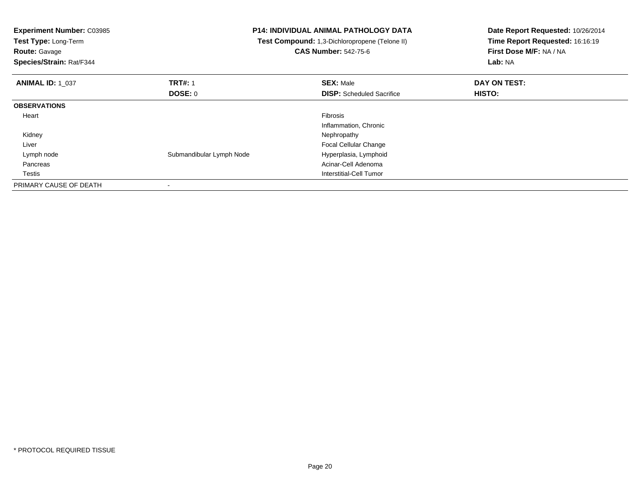| <b>Experiment Number: C03985</b><br>Test Type: Long-Term<br><b>Route: Gavage</b><br>Species/Strain: Rat/F344 | <b>P14: INDIVIDUAL ANIMAL PATHOLOGY DATA</b><br>Test Compound: 1,3-Dichloropropene (Telone II)<br><b>CAS Number: 542-75-6</b> |                                  | Date Report Requested: 10/26/2014<br>Time Report Requested: 16:16:19<br>First Dose M/F: NA / NA<br>Lab: NA |  |
|--------------------------------------------------------------------------------------------------------------|-------------------------------------------------------------------------------------------------------------------------------|----------------------------------|------------------------------------------------------------------------------------------------------------|--|
| <b>ANIMAL ID: 1 037</b>                                                                                      | <b>TRT#: 1</b>                                                                                                                | <b>SEX: Male</b>                 | DAY ON TEST:                                                                                               |  |
|                                                                                                              | DOSE: 0                                                                                                                       | <b>DISP:</b> Scheduled Sacrifice | HISTO:                                                                                                     |  |
| <b>OBSERVATIONS</b>                                                                                          |                                                                                                                               |                                  |                                                                                                            |  |
| Heart                                                                                                        |                                                                                                                               | Fibrosis                         |                                                                                                            |  |
|                                                                                                              |                                                                                                                               | Inflammation, Chronic            |                                                                                                            |  |
| Kidney                                                                                                       |                                                                                                                               | Nephropathy                      |                                                                                                            |  |
| Liver                                                                                                        |                                                                                                                               | Focal Cellular Change            |                                                                                                            |  |
| Lymph node                                                                                                   | Submandibular Lymph Node                                                                                                      | Hyperplasia, Lymphoid            |                                                                                                            |  |
| Pancreas                                                                                                     |                                                                                                                               | Acinar-Cell Adenoma              |                                                                                                            |  |
| Testis                                                                                                       |                                                                                                                               | Interstitial-Cell Tumor          |                                                                                                            |  |
| PRIMARY CAUSE OF DEATH                                                                                       |                                                                                                                               |                                  |                                                                                                            |  |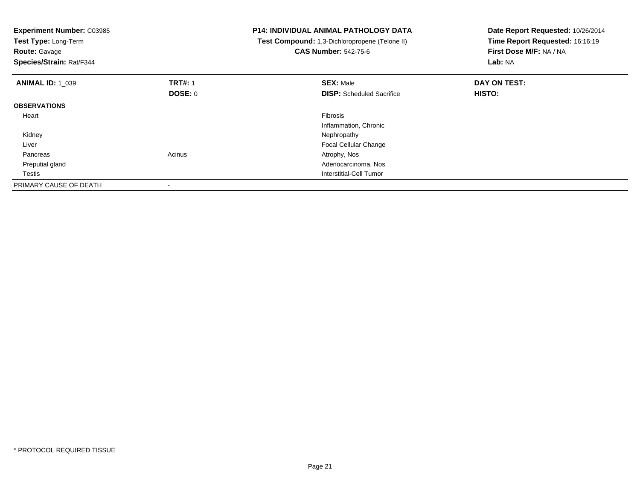| <b>Experiment Number: C03985</b><br><b>Test Type: Long-Term</b><br><b>Route: Gavage</b><br>Species/Strain: Rat/F344 |                                  | <b>P14: INDIVIDUAL ANIMAL PATHOLOGY DATA</b><br>Test Compound: 1,3-Dichloropropene (Telone II)<br><b>CAS Number: 542-75-6</b> | Date Report Requested: 10/26/2014<br>Time Report Requested: 16:16:19<br>First Dose M/F: NA / NA<br>Lab: NA |  |
|---------------------------------------------------------------------------------------------------------------------|----------------------------------|-------------------------------------------------------------------------------------------------------------------------------|------------------------------------------------------------------------------------------------------------|--|
| <b>ANIMAL ID: 1 039</b>                                                                                             | <b>TRT#: 1</b><br><b>DOSE: 0</b> | <b>SEX: Male</b><br><b>DISP:</b> Scheduled Sacrifice                                                                          | DAY ON TEST:<br>HISTO:                                                                                     |  |
| <b>OBSERVATIONS</b>                                                                                                 |                                  |                                                                                                                               |                                                                                                            |  |
| Heart                                                                                                               |                                  | Fibrosis<br>Inflammation, Chronic                                                                                             |                                                                                                            |  |
| Kidney                                                                                                              |                                  | Nephropathy                                                                                                                   |                                                                                                            |  |
| Liver                                                                                                               |                                  | <b>Focal Cellular Change</b>                                                                                                  |                                                                                                            |  |
| Pancreas                                                                                                            | Acinus                           | Atrophy, Nos                                                                                                                  |                                                                                                            |  |
| Preputial gland                                                                                                     |                                  | Adenocarcinoma, Nos                                                                                                           |                                                                                                            |  |
| Testis                                                                                                              |                                  | Interstitial-Cell Tumor                                                                                                       |                                                                                                            |  |
| PRIMARY CAUSE OF DEATH                                                                                              |                                  |                                                                                                                               |                                                                                                            |  |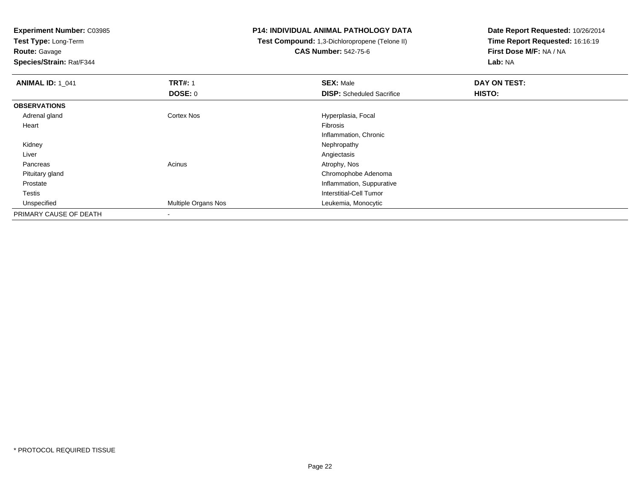**Test Type:** Long-Term

**Route:** Gavage

**Species/Strain:** Rat/F344

## **P14: INDIVIDUAL ANIMAL PATHOLOGY DATA**

 **Test Compound:** 1,3-Dichloropropene (Telone II)**CAS Number:** 542-75-6

| <b>ANIMAL ID: 1_041</b> | <b>TRT#: 1</b>      | <b>SEX: Male</b>                 | DAY ON TEST: |  |
|-------------------------|---------------------|----------------------------------|--------------|--|
|                         | DOSE: 0             | <b>DISP:</b> Scheduled Sacrifice | HISTO:       |  |
| <b>OBSERVATIONS</b>     |                     |                                  |              |  |
| Adrenal gland           | <b>Cortex Nos</b>   | Hyperplasia, Focal               |              |  |
| Heart                   |                     | Fibrosis                         |              |  |
|                         |                     | Inflammation, Chronic            |              |  |
| Kidney                  |                     | Nephropathy                      |              |  |
| Liver                   |                     | Angiectasis                      |              |  |
| Pancreas                | Acinus              | Atrophy, Nos                     |              |  |
| Pituitary gland         |                     | Chromophobe Adenoma              |              |  |
| Prostate                |                     | Inflammation, Suppurative        |              |  |
| Testis                  |                     | Interstitial-Cell Tumor          |              |  |
| Unspecified             | Multiple Organs Nos | Leukemia, Monocytic              |              |  |
| PRIMARY CAUSE OF DEATH  | $\blacksquare$      |                                  |              |  |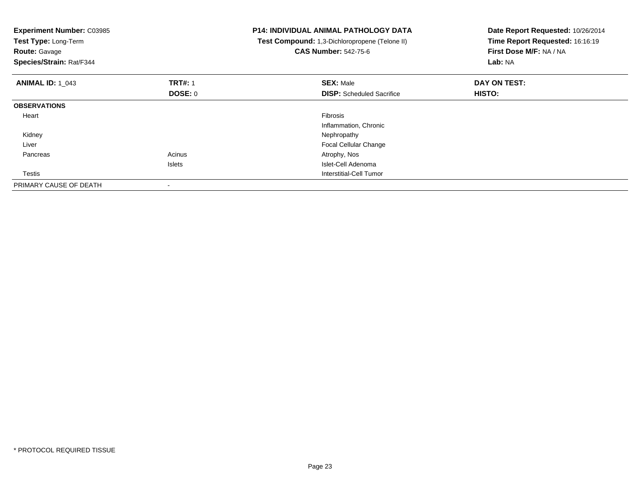| <b>Experiment Number: C03985</b><br>Test Type: Long-Term<br><b>Route: Gavage</b><br>Species/Strain: Rat/F344 |                | <b>P14: INDIVIDUAL ANIMAL PATHOLOGY DATA</b><br>Test Compound: 1,3-Dichloropropene (Telone II)<br><b>CAS Number: 542-75-6</b> | Date Report Requested: 10/26/2014<br>Time Report Requested: 16:16:19<br>First Dose M/F: NA / NA<br>Lab: NA |  |
|--------------------------------------------------------------------------------------------------------------|----------------|-------------------------------------------------------------------------------------------------------------------------------|------------------------------------------------------------------------------------------------------------|--|
| <b>ANIMAL ID: 1 043</b>                                                                                      | <b>TRT#: 1</b> | <b>SEX: Male</b>                                                                                                              | DAY ON TEST:                                                                                               |  |
|                                                                                                              | DOSE: 0        | <b>DISP:</b> Scheduled Sacrifice                                                                                              | HISTO:                                                                                                     |  |
| <b>OBSERVATIONS</b>                                                                                          |                |                                                                                                                               |                                                                                                            |  |
| Heart                                                                                                        |                | <b>Fibrosis</b>                                                                                                               |                                                                                                            |  |
|                                                                                                              |                | Inflammation, Chronic                                                                                                         |                                                                                                            |  |
| Kidney                                                                                                       |                | Nephropathy                                                                                                                   |                                                                                                            |  |
| Liver                                                                                                        |                | <b>Focal Cellular Change</b>                                                                                                  |                                                                                                            |  |
| Pancreas                                                                                                     | Acinus         | Atrophy, Nos                                                                                                                  |                                                                                                            |  |
|                                                                                                              | <b>Islets</b>  | Islet-Cell Adenoma                                                                                                            |                                                                                                            |  |
| <b>Testis</b>                                                                                                |                | Interstitial-Cell Tumor                                                                                                       |                                                                                                            |  |
| PRIMARY CAUSE OF DEATH                                                                                       |                |                                                                                                                               |                                                                                                            |  |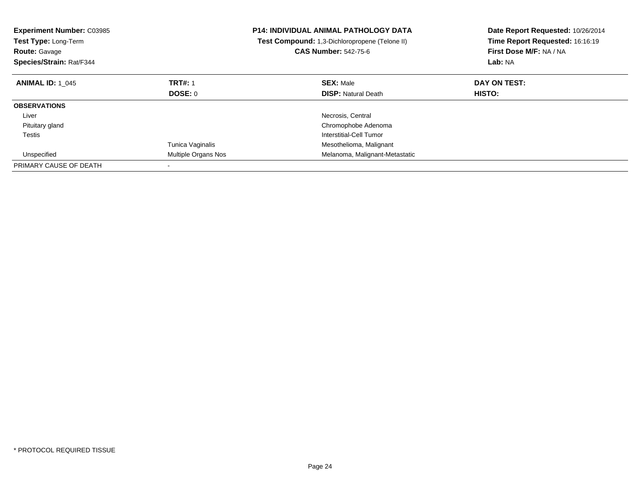| <b>Experiment Number: C03985</b><br>Test Type: Long-Term<br><b>Route: Gavage</b><br>Species/Strain: Rat/F344 |                     | <b>P14: INDIVIDUAL ANIMAL PATHOLOGY DATA</b><br>Test Compound: 1,3-Dichloropropene (Telone II)<br><b>CAS Number: 542-75-6</b> | Date Report Requested: 10/26/2014<br>Time Report Requested: 16:16:19<br>First Dose M/F: NA / NA<br>Lab: NA |
|--------------------------------------------------------------------------------------------------------------|---------------------|-------------------------------------------------------------------------------------------------------------------------------|------------------------------------------------------------------------------------------------------------|
| <b>ANIMAL ID: 1 045</b>                                                                                      | <b>TRT#: 1</b>      | <b>SEX: Male</b>                                                                                                              | DAY ON TEST:                                                                                               |
|                                                                                                              | DOSE: 0             | <b>DISP: Natural Death</b>                                                                                                    | HISTO:                                                                                                     |
| <b>OBSERVATIONS</b>                                                                                          |                     |                                                                                                                               |                                                                                                            |
| Liver                                                                                                        |                     | Necrosis, Central                                                                                                             |                                                                                                            |
| Pituitary gland                                                                                              |                     | Chromophobe Adenoma                                                                                                           |                                                                                                            |
| Testis                                                                                                       |                     | Interstitial-Cell Tumor                                                                                                       |                                                                                                            |
|                                                                                                              | Tunica Vaginalis    | Mesothelioma, Malignant                                                                                                       |                                                                                                            |
| Unspecified                                                                                                  | Multiple Organs Nos | Melanoma, Malignant-Metastatic                                                                                                |                                                                                                            |
| PRIMARY CAUSE OF DEATH                                                                                       |                     |                                                                                                                               |                                                                                                            |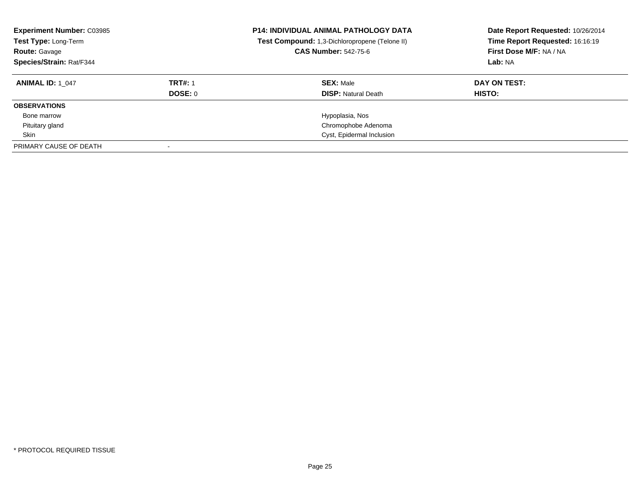| <b>Experiment Number: C03985</b><br>Test Type: Long-Term<br><b>Route: Gavage</b><br>Species/Strain: Rat/F344 |                | <b>P14: INDIVIDUAL ANIMAL PATHOLOGY DATA</b><br>Test Compound: 1,3-Dichloropropene (Telone II)<br><b>CAS Number: 542-75-6</b> | Date Report Requested: 10/26/2014<br>Time Report Requested: 16:16:19<br>First Dose M/F: NA / NA<br>Lab: NA |  |
|--------------------------------------------------------------------------------------------------------------|----------------|-------------------------------------------------------------------------------------------------------------------------------|------------------------------------------------------------------------------------------------------------|--|
| <b>ANIMAL ID: 1 047</b>                                                                                      | <b>TRT#: 1</b> | <b>SEX: Male</b>                                                                                                              | DAY ON TEST:                                                                                               |  |
|                                                                                                              | DOSE: 0        | <b>DISP:</b> Natural Death                                                                                                    | HISTO:                                                                                                     |  |
| <b>OBSERVATIONS</b>                                                                                          |                |                                                                                                                               |                                                                                                            |  |
| Bone marrow                                                                                                  |                | Hypoplasia, Nos                                                                                                               |                                                                                                            |  |
| Pituitary gland                                                                                              |                | Chromophobe Adenoma                                                                                                           |                                                                                                            |  |
| Skin                                                                                                         |                | Cyst, Epidermal Inclusion                                                                                                     |                                                                                                            |  |
| PRIMARY CAUSE OF DEATH                                                                                       |                |                                                                                                                               |                                                                                                            |  |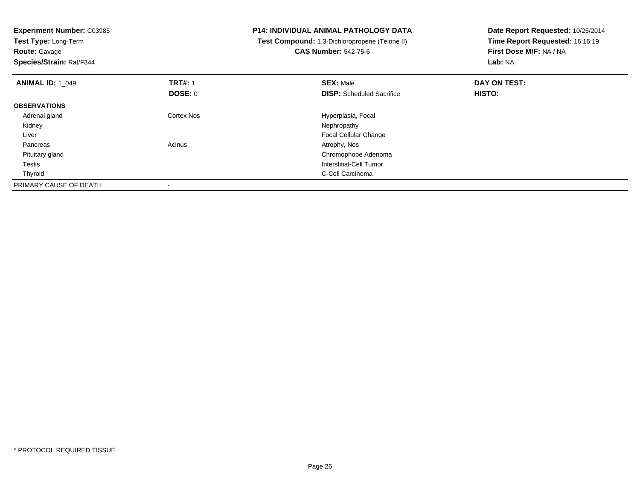| <b>Experiment Number: C03985</b><br>Test Type: Long-Term<br><b>Route: Gavage</b><br>Species/Strain: Rat/F344 |                                  | P14: INDIVIDUAL ANIMAL PATHOLOGY DATA<br>Test Compound: 1,3-Dichloropropene (Telone II)<br><b>CAS Number: 542-75-6</b> | Date Report Requested: 10/26/2014<br>Time Report Requested: 16:16:19<br>First Dose M/F: NA / NA<br>Lab: NA |
|--------------------------------------------------------------------------------------------------------------|----------------------------------|------------------------------------------------------------------------------------------------------------------------|------------------------------------------------------------------------------------------------------------|
| <b>ANIMAL ID: 1_049</b>                                                                                      | <b>TRT#: 1</b><br><b>DOSE: 0</b> | <b>SEX: Male</b><br><b>DISP:</b> Scheduled Sacrifice                                                                   | DAY ON TEST:<br>HISTO:                                                                                     |
| <b>OBSERVATIONS</b>                                                                                          |                                  |                                                                                                                        |                                                                                                            |
| Adrenal gland                                                                                                | Cortex Nos                       | Hyperplasia, Focal                                                                                                     |                                                                                                            |
| Kidney                                                                                                       |                                  | Nephropathy                                                                                                            |                                                                                                            |
| Liver                                                                                                        |                                  | <b>Focal Cellular Change</b>                                                                                           |                                                                                                            |
| Pancreas                                                                                                     | Acinus                           | Atrophy, Nos                                                                                                           |                                                                                                            |
| Pituitary gland                                                                                              |                                  | Chromophobe Adenoma                                                                                                    |                                                                                                            |
| Testis                                                                                                       |                                  | Interstitial-Cell Tumor                                                                                                |                                                                                                            |
| Thyroid                                                                                                      |                                  | C-Cell Carcinoma                                                                                                       |                                                                                                            |
| PRIMARY CAUSE OF DEATH                                                                                       |                                  |                                                                                                                        |                                                                                                            |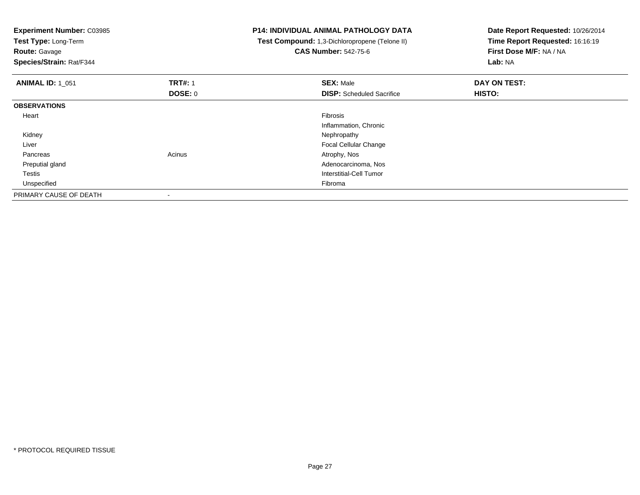| Experiment Number: C03985<br>Test Type: Long-Term<br><b>Route: Gavage</b><br>Species/Strain: Rat/F344 |                | <b>P14: INDIVIDUAL ANIMAL PATHOLOGY DATA</b><br>Test Compound: 1,3-Dichloropropene (Telone II)<br><b>CAS Number: 542-75-6</b> | Date Report Requested: 10/26/2014<br>Time Report Requested: 16:16:19<br>First Dose M/F: NA / NA<br>Lab: NA |
|-------------------------------------------------------------------------------------------------------|----------------|-------------------------------------------------------------------------------------------------------------------------------|------------------------------------------------------------------------------------------------------------|
| <b>ANIMAL ID: 1 051</b>                                                                               | <b>TRT#: 1</b> | <b>SEX: Male</b>                                                                                                              | DAY ON TEST:                                                                                               |
|                                                                                                       | <b>DOSE: 0</b> | <b>DISP:</b> Scheduled Sacrifice                                                                                              | HISTO:                                                                                                     |
| <b>OBSERVATIONS</b>                                                                                   |                |                                                                                                                               |                                                                                                            |
| Heart                                                                                                 |                | Fibrosis                                                                                                                      |                                                                                                            |
|                                                                                                       |                | Inflammation, Chronic                                                                                                         |                                                                                                            |
| Kidney                                                                                                |                | Nephropathy                                                                                                                   |                                                                                                            |
| Liver                                                                                                 |                | Focal Cellular Change                                                                                                         |                                                                                                            |
| Pancreas                                                                                              | Acinus         | Atrophy, Nos                                                                                                                  |                                                                                                            |
| Preputial gland                                                                                       |                | Adenocarcinoma, Nos                                                                                                           |                                                                                                            |
| <b>Testis</b>                                                                                         |                | Interstitial-Cell Tumor                                                                                                       |                                                                                                            |
| Unspecified                                                                                           |                | Fibroma                                                                                                                       |                                                                                                            |
| PRIMARY CAUSE OF DEATH                                                                                |                |                                                                                                                               |                                                                                                            |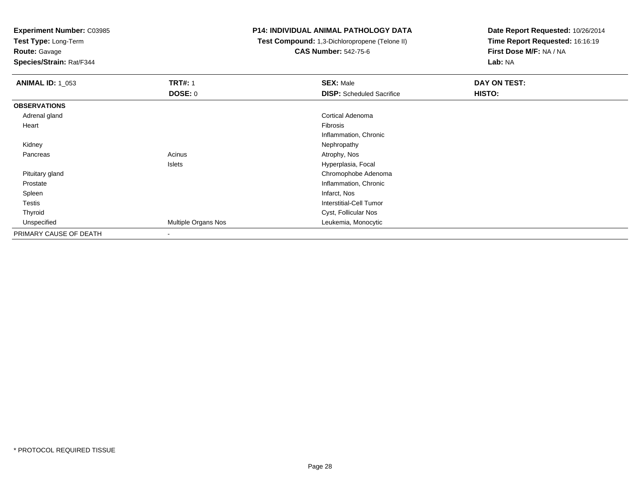**Test Type:** Long-Term

**Route:** Gavage

**Species/Strain:** Rat/F344

#### **P14: INDIVIDUAL ANIMAL PATHOLOGY DATA**

 **Test Compound:** 1,3-Dichloropropene (Telone II)**CAS Number:** 542-75-6

| <b>ANIMAL ID: 1_053</b> | <b>TRT#: 1</b>      | <b>SEX: Male</b>                 | DAY ON TEST: |
|-------------------------|---------------------|----------------------------------|--------------|
|                         | <b>DOSE: 0</b>      | <b>DISP:</b> Scheduled Sacrifice | HISTO:       |
| <b>OBSERVATIONS</b>     |                     |                                  |              |
| Adrenal gland           |                     | Cortical Adenoma                 |              |
| Heart                   |                     | Fibrosis                         |              |
|                         |                     | Inflammation, Chronic            |              |
| Kidney                  |                     | Nephropathy                      |              |
| Pancreas                | Acinus              | Atrophy, Nos                     |              |
|                         | Islets              | Hyperplasia, Focal               |              |
| Pituitary gland         |                     | Chromophobe Adenoma              |              |
| Prostate                |                     | Inflammation, Chronic            |              |
| Spleen                  |                     | Infarct, Nos                     |              |
| Testis                  |                     | Interstitial-Cell Tumor          |              |
| Thyroid                 |                     | Cyst, Follicular Nos             |              |
| Unspecified             | Multiple Organs Nos | Leukemia, Monocytic              |              |
| PRIMARY CAUSE OF DEATH  | -                   |                                  |              |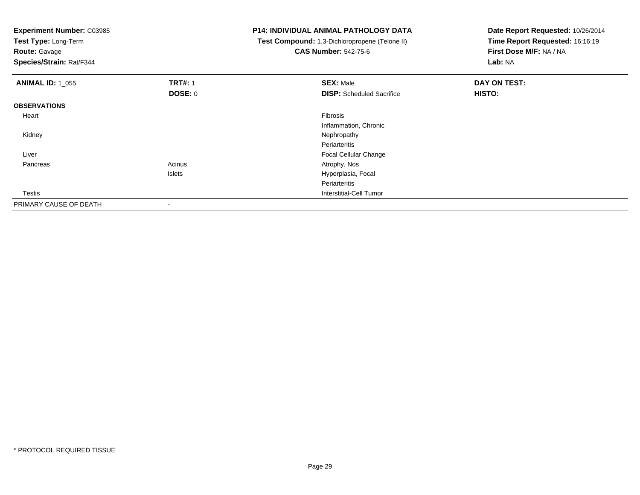| <b>Experiment Number: C03985</b><br>Test Type: Long-Term<br><b>Route: Gavage</b><br>Species/Strain: Rat/F344 |                | <b>P14: INDIVIDUAL ANIMAL PATHOLOGY DATA</b><br>Test Compound: 1,3-Dichloropropene (Telone II)<br><b>CAS Number: 542-75-6</b> | Date Report Requested: 10/26/2014<br>Time Report Requested: 16:16:19<br>First Dose M/F: NA / NA<br>Lab: NA |
|--------------------------------------------------------------------------------------------------------------|----------------|-------------------------------------------------------------------------------------------------------------------------------|------------------------------------------------------------------------------------------------------------|
| <b>ANIMAL ID: 1_055</b>                                                                                      | <b>TRT#: 1</b> | <b>SEX: Male</b>                                                                                                              | DAY ON TEST:                                                                                               |
|                                                                                                              | <b>DOSE: 0</b> | <b>DISP:</b> Scheduled Sacrifice                                                                                              | HISTO:                                                                                                     |
| <b>OBSERVATIONS</b>                                                                                          |                |                                                                                                                               |                                                                                                            |
| Heart                                                                                                        |                | Fibrosis                                                                                                                      |                                                                                                            |
|                                                                                                              |                | Inflammation, Chronic                                                                                                         |                                                                                                            |
| Kidney                                                                                                       |                | Nephropathy                                                                                                                   |                                                                                                            |
|                                                                                                              |                | Periarteritis                                                                                                                 |                                                                                                            |
| Liver                                                                                                        |                | Focal Cellular Change                                                                                                         |                                                                                                            |
| Pancreas                                                                                                     | Acinus         | Atrophy, Nos                                                                                                                  |                                                                                                            |
|                                                                                                              | Islets         | Hyperplasia, Focal                                                                                                            |                                                                                                            |
|                                                                                                              |                | Periarteritis                                                                                                                 |                                                                                                            |
| Testis                                                                                                       |                | <b>Interstitial-Cell Tumor</b>                                                                                                |                                                                                                            |
| PRIMARY CAUSE OF DEATH                                                                                       |                |                                                                                                                               |                                                                                                            |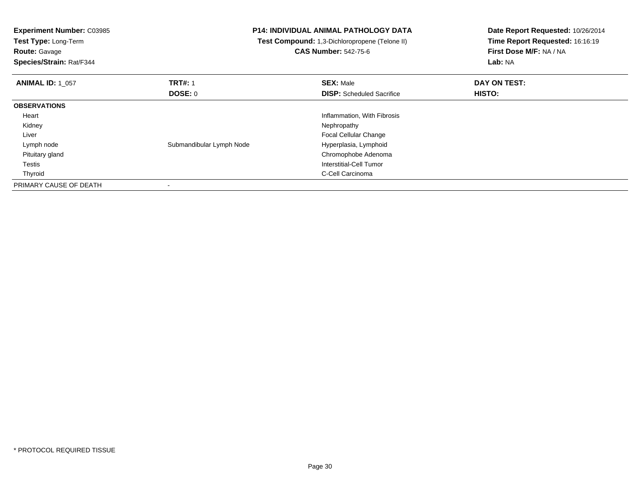| <b>Experiment Number: C03985</b><br>Test Type: Long-Term<br><b>Route: Gavage</b><br>Species/Strain: Rat/F344 | <b>P14: INDIVIDUAL ANIMAL PATHOLOGY DATA</b><br>Test Compound: 1,3-Dichloropropene (Telone II)<br><b>CAS Number: 542-75-6</b> |                                  | Date Report Requested: 10/26/2014<br>Time Report Requested: 16:16:19<br>First Dose M/F: NA / NA<br>Lab: NA |
|--------------------------------------------------------------------------------------------------------------|-------------------------------------------------------------------------------------------------------------------------------|----------------------------------|------------------------------------------------------------------------------------------------------------|
| <b>ANIMAL ID: 1 057</b>                                                                                      | <b>TRT#: 1</b>                                                                                                                | <b>SEX: Male</b>                 | DAY ON TEST:                                                                                               |
|                                                                                                              | <b>DOSE: 0</b>                                                                                                                | <b>DISP:</b> Scheduled Sacrifice | HISTO:                                                                                                     |
| <b>OBSERVATIONS</b>                                                                                          |                                                                                                                               |                                  |                                                                                                            |
| Heart                                                                                                        |                                                                                                                               | Inflammation, With Fibrosis      |                                                                                                            |
| Kidney                                                                                                       |                                                                                                                               | Nephropathy                      |                                                                                                            |
| Liver                                                                                                        |                                                                                                                               | <b>Focal Cellular Change</b>     |                                                                                                            |
| Lymph node                                                                                                   | Submandibular Lymph Node                                                                                                      | Hyperplasia, Lymphoid            |                                                                                                            |
| Pituitary gland                                                                                              |                                                                                                                               | Chromophobe Adenoma              |                                                                                                            |
| Testis                                                                                                       |                                                                                                                               | Interstitial-Cell Tumor          |                                                                                                            |
| Thyroid                                                                                                      |                                                                                                                               | C-Cell Carcinoma                 |                                                                                                            |
| PRIMARY CAUSE OF DEATH                                                                                       |                                                                                                                               |                                  |                                                                                                            |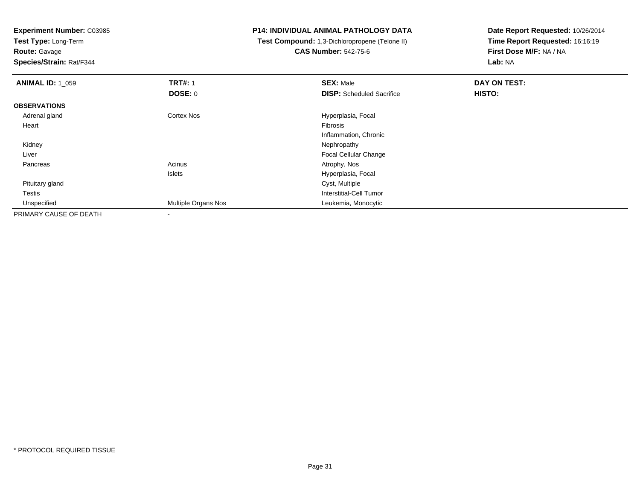**Test Type:** Long-Term

**Route:** Gavage

**Species/Strain:** Rat/F344

### **P14: INDIVIDUAL ANIMAL PATHOLOGY DATA**

 **Test Compound:** 1,3-Dichloropropene (Telone II)**CAS Number:** 542-75-6

| <b>ANIMAL ID: 1_059</b> | <b>TRT#: 1</b>           | <b>SEX: Male</b>                 | DAY ON TEST: |  |
|-------------------------|--------------------------|----------------------------------|--------------|--|
|                         | DOSE: 0                  | <b>DISP:</b> Scheduled Sacrifice | HISTO:       |  |
| <b>OBSERVATIONS</b>     |                          |                                  |              |  |
| Adrenal gland           | Cortex Nos               | Hyperplasia, Focal               |              |  |
| Heart                   |                          | Fibrosis                         |              |  |
|                         |                          | Inflammation, Chronic            |              |  |
| Kidney                  |                          | Nephropathy                      |              |  |
| Liver                   |                          | <b>Focal Cellular Change</b>     |              |  |
| Pancreas                | Acinus                   | Atrophy, Nos                     |              |  |
|                         | <b>Islets</b>            | Hyperplasia, Focal               |              |  |
| Pituitary gland         |                          | Cyst, Multiple                   |              |  |
| Testis                  |                          | Interstitial-Cell Tumor          |              |  |
| Unspecified             | Multiple Organs Nos      | Leukemia, Monocytic              |              |  |
| PRIMARY CAUSE OF DEATH  | $\overline{\phantom{a}}$ |                                  |              |  |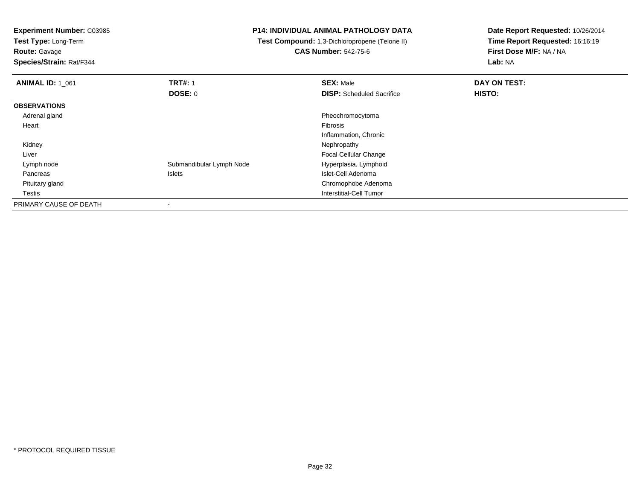**Test Type:** Long-Term

**Route:** Gavage

**Species/Strain:** Rat/F344

### **P14: INDIVIDUAL ANIMAL PATHOLOGY DATA**

 **Test Compound:** 1,3-Dichloropropene (Telone II)**CAS Number:** 542-75-6

| <b>ANIMAL ID: 1 061</b> | <b>TRT#: 1</b>           | <b>SEX: Male</b>                 | DAY ON TEST: |  |
|-------------------------|--------------------------|----------------------------------|--------------|--|
|                         | <b>DOSE: 0</b>           | <b>DISP:</b> Scheduled Sacrifice | HISTO:       |  |
| <b>OBSERVATIONS</b>     |                          |                                  |              |  |
| Adrenal gland           |                          | Pheochromocytoma                 |              |  |
| Heart                   |                          | Fibrosis                         |              |  |
|                         |                          | Inflammation, Chronic            |              |  |
| Kidney                  |                          | Nephropathy                      |              |  |
| Liver                   |                          | <b>Focal Cellular Change</b>     |              |  |
| Lymph node              | Submandibular Lymph Node | Hyperplasia, Lymphoid            |              |  |
| Pancreas                | Islets                   | Islet-Cell Adenoma               |              |  |
| Pituitary gland         |                          | Chromophobe Adenoma              |              |  |
| <b>Testis</b>           |                          | Interstitial-Cell Tumor          |              |  |
| PRIMARY CAUSE OF DEATH  |                          |                                  |              |  |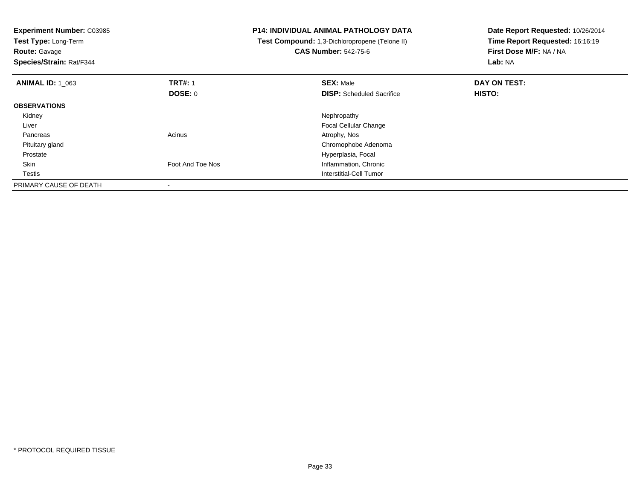| Experiment Number: C03985<br>Test Type: Long-Term<br><b>Route: Gavage</b><br>Species/Strain: Rat/F344 |                  | <b>P14: INDIVIDUAL ANIMAL PATHOLOGY DATA</b><br>Test Compound: 1,3-Dichloropropene (Telone II)<br><b>CAS Number: 542-75-6</b> | Date Report Requested: 10/26/2014<br>Time Report Requested: 16:16:19<br>First Dose M/F: NA / NA<br>Lab: NA |
|-------------------------------------------------------------------------------------------------------|------------------|-------------------------------------------------------------------------------------------------------------------------------|------------------------------------------------------------------------------------------------------------|
| <b>ANIMAL ID: 1 063</b>                                                                               | <b>TRT#: 1</b>   | <b>SEX: Male</b>                                                                                                              | DAY ON TEST:                                                                                               |
|                                                                                                       | <b>DOSE: 0</b>   | <b>DISP:</b> Scheduled Sacrifice                                                                                              | HISTO:                                                                                                     |
| <b>OBSERVATIONS</b>                                                                                   |                  |                                                                                                                               |                                                                                                            |
| Kidney                                                                                                |                  | Nephropathy                                                                                                                   |                                                                                                            |
| Liver                                                                                                 |                  | <b>Focal Cellular Change</b>                                                                                                  |                                                                                                            |
| Pancreas                                                                                              | Acinus           | Atrophy, Nos                                                                                                                  |                                                                                                            |
| Pituitary gland                                                                                       |                  | Chromophobe Adenoma                                                                                                           |                                                                                                            |
| Prostate                                                                                              |                  | Hyperplasia, Focal                                                                                                            |                                                                                                            |
| Skin                                                                                                  | Foot And Toe Nos | Inflammation, Chronic                                                                                                         |                                                                                                            |
| Testis                                                                                                |                  | Interstitial-Cell Tumor                                                                                                       |                                                                                                            |
| PRIMARY CAUSE OF DEATH                                                                                |                  |                                                                                                                               |                                                                                                            |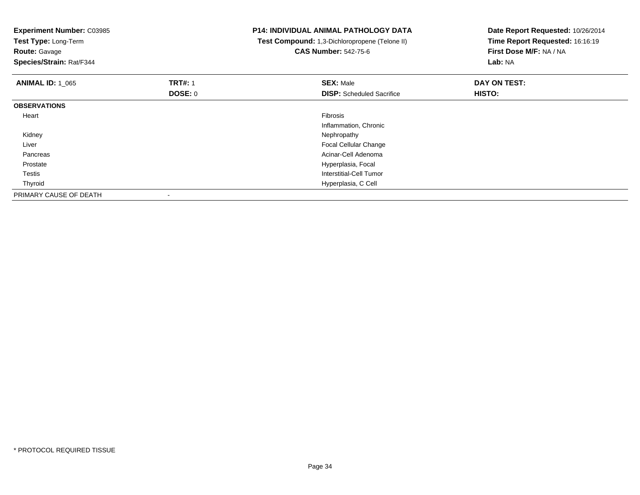| Experiment Number: C03985<br>Test Type: Long-Term<br><b>Route: Gavage</b><br>Species/Strain: Rat/F344 |                | <b>P14: INDIVIDUAL ANIMAL PATHOLOGY DATA</b><br>Test Compound: 1,3-Dichloropropene (Telone II)<br><b>CAS Number: 542-75-6</b> | Date Report Requested: 10/26/2014<br>Time Report Requested: 16:16:19<br>First Dose M/F: NA / NA<br>Lab: NA |
|-------------------------------------------------------------------------------------------------------|----------------|-------------------------------------------------------------------------------------------------------------------------------|------------------------------------------------------------------------------------------------------------|
| <b>ANIMAL ID: 1 065</b>                                                                               | <b>TRT#: 1</b> | <b>SEX: Male</b>                                                                                                              | DAY ON TEST:                                                                                               |
|                                                                                                       | <b>DOSE: 0</b> | <b>DISP:</b> Scheduled Sacrifice                                                                                              | <b>HISTO:</b>                                                                                              |
| <b>OBSERVATIONS</b>                                                                                   |                |                                                                                                                               |                                                                                                            |
| Heart                                                                                                 |                | Fibrosis                                                                                                                      |                                                                                                            |
|                                                                                                       |                | Inflammation, Chronic                                                                                                         |                                                                                                            |
| Kidney                                                                                                |                | Nephropathy                                                                                                                   |                                                                                                            |
| Liver                                                                                                 |                | Focal Cellular Change                                                                                                         |                                                                                                            |
| Pancreas                                                                                              |                | Acinar-Cell Adenoma                                                                                                           |                                                                                                            |
| Prostate                                                                                              |                | Hyperplasia, Focal                                                                                                            |                                                                                                            |
| Testis                                                                                                |                | Interstitial-Cell Tumor                                                                                                       |                                                                                                            |
| Thyroid                                                                                               |                | Hyperplasia, C Cell                                                                                                           |                                                                                                            |
| PRIMARY CAUSE OF DEATH                                                                                |                |                                                                                                                               |                                                                                                            |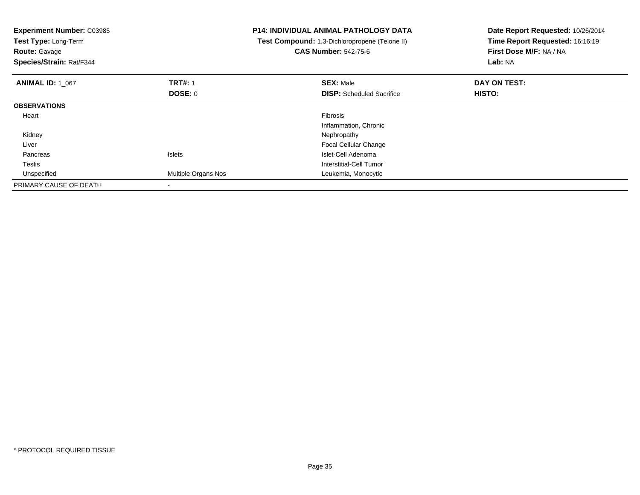| <b>Experiment Number: C03985</b><br>Test Type: Long-Term<br><b>Route: Gavage</b><br>Species/Strain: Rat/F344 |                     | <b>P14: INDIVIDUAL ANIMAL PATHOLOGY DATA</b><br>Test Compound: 1,3-Dichloropropene (Telone II)<br><b>CAS Number: 542-75-6</b> | Date Report Requested: 10/26/2014<br>Time Report Requested: 16:16:19<br>First Dose M/F: NA / NA<br>Lab: NA |
|--------------------------------------------------------------------------------------------------------------|---------------------|-------------------------------------------------------------------------------------------------------------------------------|------------------------------------------------------------------------------------------------------------|
| <b>ANIMAL ID: 1 067</b>                                                                                      | <b>TRT#: 1</b>      | <b>SEX: Male</b>                                                                                                              | DAY ON TEST:                                                                                               |
|                                                                                                              | DOSE: 0             | <b>DISP:</b> Scheduled Sacrifice                                                                                              | HISTO:                                                                                                     |
| <b>OBSERVATIONS</b>                                                                                          |                     |                                                                                                                               |                                                                                                            |
| Heart                                                                                                        |                     | <b>Fibrosis</b>                                                                                                               |                                                                                                            |
|                                                                                                              |                     | Inflammation, Chronic                                                                                                         |                                                                                                            |
| Kidney                                                                                                       |                     | Nephropathy                                                                                                                   |                                                                                                            |
| Liver                                                                                                        |                     | Focal Cellular Change                                                                                                         |                                                                                                            |
| Pancreas                                                                                                     | <b>Islets</b>       | Islet-Cell Adenoma                                                                                                            |                                                                                                            |
| Testis                                                                                                       |                     | Interstitial-Cell Tumor                                                                                                       |                                                                                                            |
| Unspecified                                                                                                  | Multiple Organs Nos | Leukemia, Monocytic                                                                                                           |                                                                                                            |
| PRIMARY CAUSE OF DEATH                                                                                       |                     |                                                                                                                               |                                                                                                            |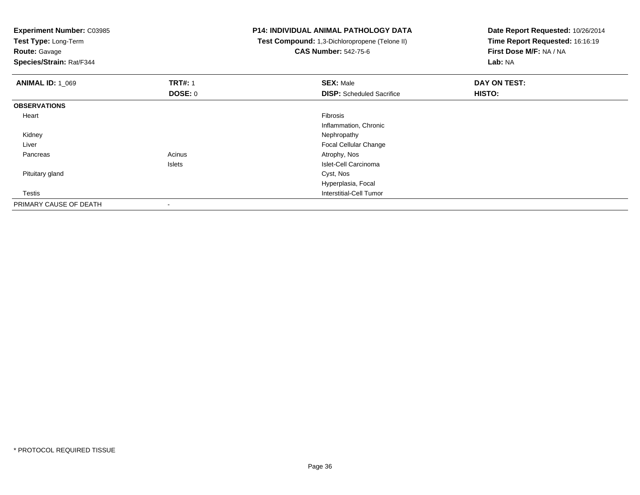**Experiment Number:** C03985**Test Type:** Long-Term**Route:** Gavage **Species/Strain:** Rat/F344**P14: INDIVIDUAL ANIMAL PATHOLOGY DATA Test Compound:** 1,3-Dichloropropene (Telone II)**CAS Number:** 542-75-6**Date Report Requested:** 10/26/2014**Time Report Requested:** 16:16:19**First Dose M/F:** NA / NA**Lab:** NA**ANIMAL ID:** 1\_069**9 TRT#:** 1 **SEX:** Male **SEX:** Male **DAY ON TEST: DOSE:** 0**DISP:** Scheduled Sacrifice **HISTO: OBSERVATIONS** Heartt de la constitución de la constitución de la constitución de la constitución de la constitución de la constitución Inflammation, Chronic Kidneyy the control of the control of the control of the control of the control of the control of the control of the control of the control of the control of the control of the control of the control of the control of the contro Liver Focal Cellular Change Pancreass and the contract of the contract of the contract of the contract of the contract  $\mathsf{A}$  at  $\mathsf{A}$  and  $\mathsf{A}$  and  $\mathsf{A}$  and  $\mathsf{A}$  and  $\mathsf{A}$  are contract of  $\mathsf{A}$  and  $\mathsf{A}$  and  $\mathsf{A}$  are contract of Islets Islet-Cell Carcinoma Pituitary gland Cyst, Nos Hyperplasia, Focal Testis Interstitial-Cell Tumor PRIMARY CAUSE OF DEATH-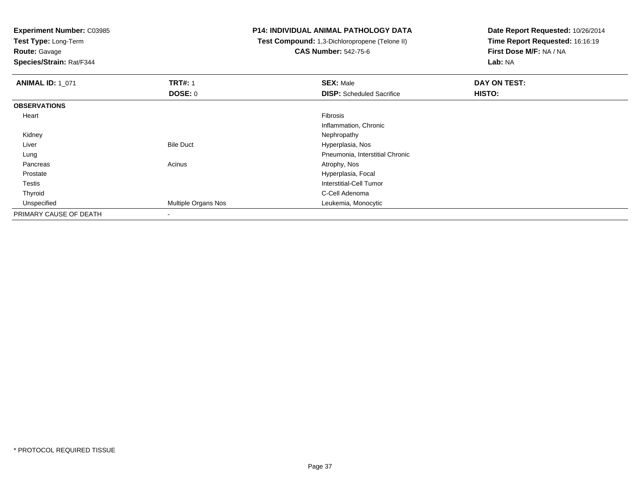**Test Type:** Long-Term

**Route:** Gavage

**Species/Strain:** Rat/F344

## **P14: INDIVIDUAL ANIMAL PATHOLOGY DATA**

 **Test Compound:** 1,3-Dichloropropene (Telone II)**CAS Number:** 542-75-6

| <b>ANIMAL ID: 1_071</b> | <b>TRT#: 1</b>           | <b>SEX: Male</b>                 | DAY ON TEST: |  |
|-------------------------|--------------------------|----------------------------------|--------------|--|
|                         | <b>DOSE: 0</b>           | <b>DISP:</b> Scheduled Sacrifice | HISTO:       |  |
| <b>OBSERVATIONS</b>     |                          |                                  |              |  |
| Heart                   |                          | Fibrosis                         |              |  |
|                         |                          | Inflammation, Chronic            |              |  |
| Kidney                  |                          | Nephropathy                      |              |  |
| Liver                   | <b>Bile Duct</b>         | Hyperplasia, Nos                 |              |  |
| Lung                    |                          | Pneumonia, Interstitial Chronic  |              |  |
| Pancreas                | Acinus                   | Atrophy, Nos                     |              |  |
| Prostate                |                          | Hyperplasia, Focal               |              |  |
| Testis                  |                          | Interstitial-Cell Tumor          |              |  |
| Thyroid                 |                          | C-Cell Adenoma                   |              |  |
| Unspecified             | Multiple Organs Nos      | Leukemia, Monocytic              |              |  |
| PRIMARY CAUSE OF DEATH  | $\overline{\phantom{a}}$ |                                  |              |  |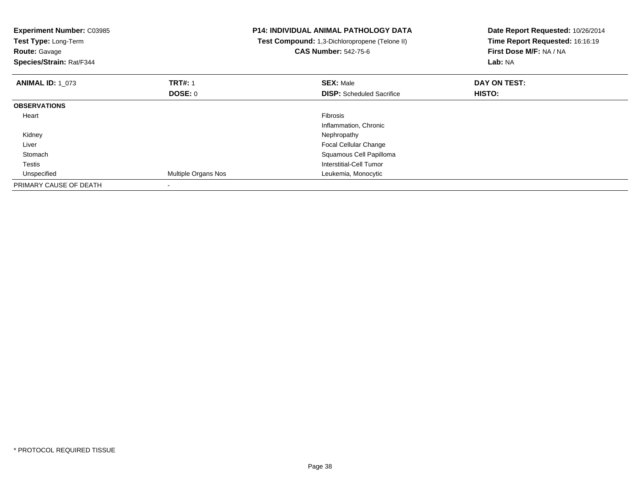| <b>Experiment Number: C03985</b><br>Test Type: Long-Term<br><b>Route: Gavage</b><br>Species/Strain: Rat/F344 |                     | <b>P14: INDIVIDUAL ANIMAL PATHOLOGY DATA</b><br>Test Compound: 1,3-Dichloropropene (Telone II)<br><b>CAS Number: 542-75-6</b> | Date Report Requested: 10/26/2014<br>Time Report Requested: 16:16:19<br>First Dose M/F: NA / NA<br>Lab: NA |
|--------------------------------------------------------------------------------------------------------------|---------------------|-------------------------------------------------------------------------------------------------------------------------------|------------------------------------------------------------------------------------------------------------|
| <b>ANIMAL ID: 1 073</b>                                                                                      | <b>TRT#:</b> 1      | <b>SEX: Male</b>                                                                                                              | DAY ON TEST:                                                                                               |
|                                                                                                              | DOSE: 0             | <b>DISP:</b> Scheduled Sacrifice                                                                                              | HISTO:                                                                                                     |
| <b>OBSERVATIONS</b>                                                                                          |                     |                                                                                                                               |                                                                                                            |
| Heart                                                                                                        |                     | Fibrosis                                                                                                                      |                                                                                                            |
|                                                                                                              |                     | Inflammation, Chronic                                                                                                         |                                                                                                            |
| Kidney                                                                                                       |                     | Nephropathy                                                                                                                   |                                                                                                            |
| Liver                                                                                                        |                     | <b>Focal Cellular Change</b>                                                                                                  |                                                                                                            |
| Stomach                                                                                                      |                     | Squamous Cell Papilloma                                                                                                       |                                                                                                            |
| Testis                                                                                                       |                     | Interstitial-Cell Tumor                                                                                                       |                                                                                                            |
| Unspecified                                                                                                  | Multiple Organs Nos | Leukemia, Monocytic                                                                                                           |                                                                                                            |
| PRIMARY CAUSE OF DEATH                                                                                       |                     |                                                                                                                               |                                                                                                            |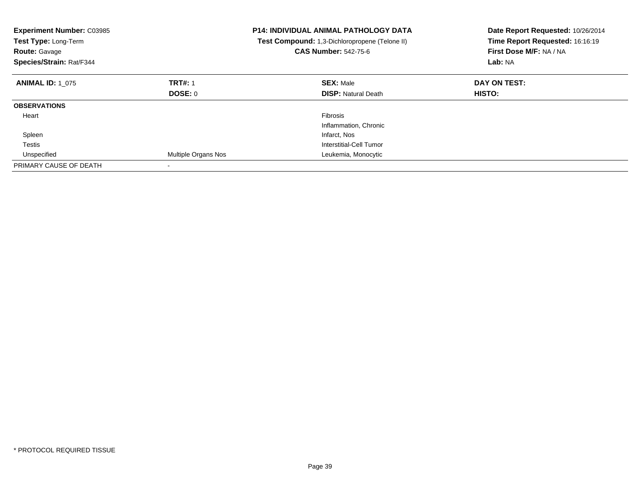| <b>Experiment Number: C03985</b><br>Test Type: Long-Term<br><b>Route: Gavage</b><br>Species/Strain: Rat/F344 |                     | P14: INDIVIDUAL ANIMAL PATHOLOGY DATA<br>Test Compound: 1,3-Dichloropropene (Telone II)<br><b>CAS Number: 542-75-6</b> | Date Report Requested: 10/26/2014<br>Time Report Requested: 16:16:19<br>First Dose M/F: NA / NA<br>Lab: NA |
|--------------------------------------------------------------------------------------------------------------|---------------------|------------------------------------------------------------------------------------------------------------------------|------------------------------------------------------------------------------------------------------------|
| <b>ANIMAL ID: 1 075</b>                                                                                      | <b>TRT#: 1</b>      | <b>SEX: Male</b>                                                                                                       | DAY ON TEST:                                                                                               |
|                                                                                                              | DOSE: 0             | <b>DISP:</b> Natural Death                                                                                             | <b>HISTO:</b>                                                                                              |
| <b>OBSERVATIONS</b>                                                                                          |                     |                                                                                                                        |                                                                                                            |
| Heart                                                                                                        |                     | <b>Fibrosis</b>                                                                                                        |                                                                                                            |
|                                                                                                              |                     | Inflammation, Chronic                                                                                                  |                                                                                                            |
| Spleen                                                                                                       |                     | Infarct, Nos                                                                                                           |                                                                                                            |
| Testis                                                                                                       |                     | Interstitial-Cell Tumor                                                                                                |                                                                                                            |
| Unspecified                                                                                                  | Multiple Organs Nos | Leukemia, Monocytic                                                                                                    |                                                                                                            |
| PRIMARY CAUSE OF DEATH                                                                                       |                     |                                                                                                                        |                                                                                                            |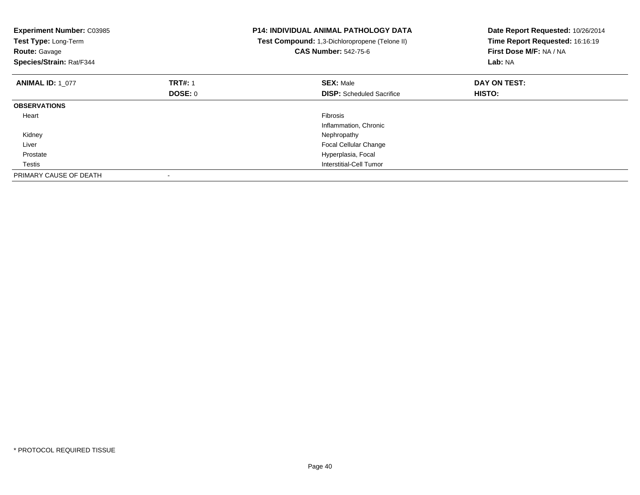| <b>Experiment Number: C03985</b><br>Test Type: Long-Term<br><b>Route: Gavage</b><br>Species/Strain: Rat/F344 |                | <b>P14: INDIVIDUAL ANIMAL PATHOLOGY DATA</b><br>Test Compound: 1,3-Dichloropropene (Telone II)<br><b>CAS Number: 542-75-6</b> | Date Report Requested: 10/26/2014<br>Time Report Requested: 16:16:19<br>First Dose M/F: NA / NA<br>Lab: NA |
|--------------------------------------------------------------------------------------------------------------|----------------|-------------------------------------------------------------------------------------------------------------------------------|------------------------------------------------------------------------------------------------------------|
| <b>ANIMAL ID: 1 077</b>                                                                                      | <b>TRT#: 1</b> | <b>SEX: Male</b>                                                                                                              | DAY ON TEST:                                                                                               |
|                                                                                                              | <b>DOSE: 0</b> | <b>DISP:</b> Scheduled Sacrifice                                                                                              | <b>HISTO:</b>                                                                                              |
| <b>OBSERVATIONS</b>                                                                                          |                |                                                                                                                               |                                                                                                            |
| Heart                                                                                                        |                | Fibrosis                                                                                                                      |                                                                                                            |
|                                                                                                              |                | Inflammation, Chronic                                                                                                         |                                                                                                            |
| Kidney                                                                                                       |                | Nephropathy                                                                                                                   |                                                                                                            |
| Liver                                                                                                        |                | <b>Focal Cellular Change</b>                                                                                                  |                                                                                                            |
| Prostate                                                                                                     |                | Hyperplasia, Focal                                                                                                            |                                                                                                            |
| Testis                                                                                                       |                | Interstitial-Cell Tumor                                                                                                       |                                                                                                            |
| PRIMARY CAUSE OF DEATH                                                                                       |                |                                                                                                                               |                                                                                                            |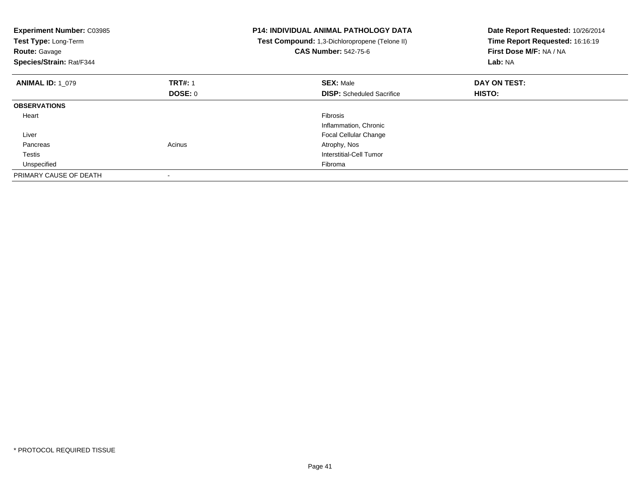| <b>Experiment Number: C03985</b><br>Test Type: Long-Term<br><b>Route: Gavage</b><br>Species/Strain: Rat/F344 |                | <b>P14: INDIVIDUAL ANIMAL PATHOLOGY DATA</b><br>Test Compound: 1,3-Dichloropropene (Telone II)<br><b>CAS Number: 542-75-6</b> | Date Report Requested: 10/26/2014<br>Time Report Requested: 16:16:19<br>First Dose M/F: NA / NA<br>Lab: NA |
|--------------------------------------------------------------------------------------------------------------|----------------|-------------------------------------------------------------------------------------------------------------------------------|------------------------------------------------------------------------------------------------------------|
| <b>ANIMAL ID: 1 079</b>                                                                                      | <b>TRT#: 1</b> | <b>SEX: Male</b>                                                                                                              | DAY ON TEST:                                                                                               |
|                                                                                                              | DOSE: 0        | <b>DISP:</b> Scheduled Sacrifice                                                                                              | HISTO:                                                                                                     |
| <b>OBSERVATIONS</b>                                                                                          |                |                                                                                                                               |                                                                                                            |
| Heart                                                                                                        |                | Fibrosis                                                                                                                      |                                                                                                            |
|                                                                                                              |                | Inflammation, Chronic                                                                                                         |                                                                                                            |
| Liver                                                                                                        |                | <b>Focal Cellular Change</b>                                                                                                  |                                                                                                            |
| Pancreas                                                                                                     | Acinus         | Atrophy, Nos                                                                                                                  |                                                                                                            |
| Testis                                                                                                       |                | Interstitial-Cell Tumor                                                                                                       |                                                                                                            |
| Unspecified                                                                                                  |                | Fibroma                                                                                                                       |                                                                                                            |
| PRIMARY CAUSE OF DEATH                                                                                       |                |                                                                                                                               |                                                                                                            |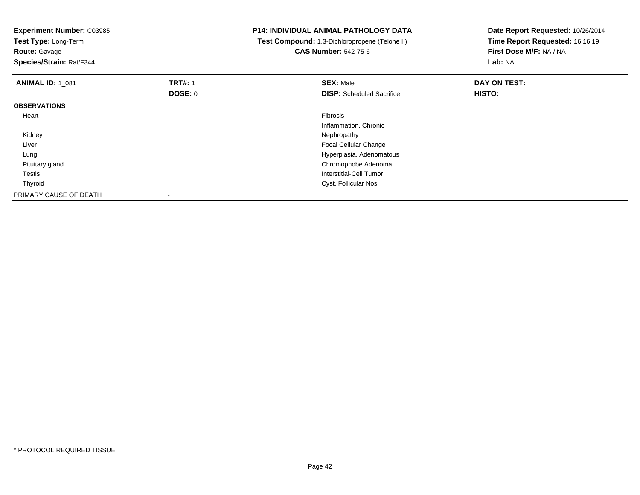| <b>Experiment Number: C03985</b><br>Test Type: Long-Term<br><b>Route: Gavage</b><br>Species/Strain: Rat/F344 |                | <b>P14: INDIVIDUAL ANIMAL PATHOLOGY DATA</b><br>Test Compound: 1,3-Dichloropropene (Telone II)<br><b>CAS Number: 542-75-6</b> | Date Report Requested: 10/26/2014<br>Time Report Requested: 16:16:19<br>First Dose M/F: NA / NA<br>Lab: NA |
|--------------------------------------------------------------------------------------------------------------|----------------|-------------------------------------------------------------------------------------------------------------------------------|------------------------------------------------------------------------------------------------------------|
| <b>ANIMAL ID: 1 081</b>                                                                                      | <b>TRT#: 1</b> | <b>SEX: Male</b>                                                                                                              | DAY ON TEST:                                                                                               |
|                                                                                                              | DOSE: 0        | <b>DISP:</b> Scheduled Sacrifice                                                                                              | HISTO:                                                                                                     |
| <b>OBSERVATIONS</b>                                                                                          |                |                                                                                                                               |                                                                                                            |
| Heart                                                                                                        |                | <b>Fibrosis</b>                                                                                                               |                                                                                                            |
|                                                                                                              |                | Inflammation, Chronic                                                                                                         |                                                                                                            |
| Kidney                                                                                                       |                | Nephropathy                                                                                                                   |                                                                                                            |
| Liver                                                                                                        |                | <b>Focal Cellular Change</b>                                                                                                  |                                                                                                            |
| Lung                                                                                                         |                | Hyperplasia, Adenomatous                                                                                                      |                                                                                                            |
| Pituitary gland                                                                                              |                | Chromophobe Adenoma                                                                                                           |                                                                                                            |
| Testis                                                                                                       |                | Interstitial-Cell Tumor                                                                                                       |                                                                                                            |
| Thyroid                                                                                                      |                | Cyst, Follicular Nos                                                                                                          |                                                                                                            |
| PRIMARY CAUSE OF DEATH                                                                                       |                |                                                                                                                               |                                                                                                            |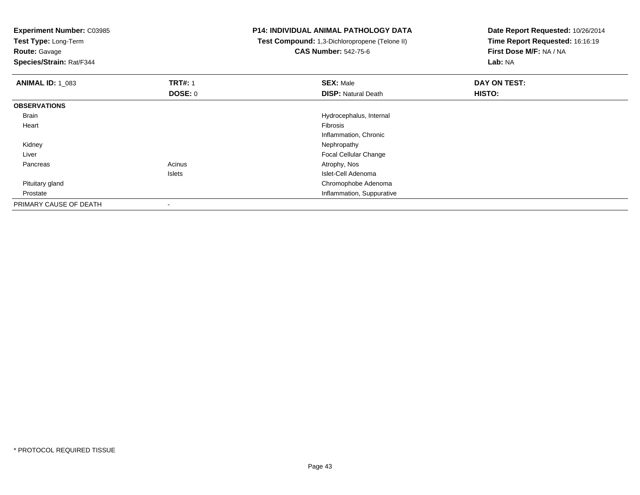**Test Type:** Long-Term

**Route:** Gavage

**Species/Strain:** Rat/F344

# **P14: INDIVIDUAL ANIMAL PATHOLOGY DATA**

 **Test Compound:** 1,3-Dichloropropene (Telone II)**CAS Number:** 542-75-6

| <b>ANIMAL ID: 1_083</b> | <b>TRT#: 1</b> | <b>SEX: Male</b>             | DAY ON TEST: |  |
|-------------------------|----------------|------------------------------|--------------|--|
|                         | DOSE: 0        | <b>DISP: Natural Death</b>   | HISTO:       |  |
| <b>OBSERVATIONS</b>     |                |                              |              |  |
| Brain                   |                | Hydrocephalus, Internal      |              |  |
| Heart                   |                | Fibrosis                     |              |  |
|                         |                | Inflammation, Chronic        |              |  |
| Kidney                  |                | Nephropathy                  |              |  |
| Liver                   |                | <b>Focal Cellular Change</b> |              |  |
| Pancreas                | Acinus         | Atrophy, Nos                 |              |  |
|                         | Islets         | Islet-Cell Adenoma           |              |  |
| Pituitary gland         |                | Chromophobe Adenoma          |              |  |
| Prostate                |                | Inflammation, Suppurative    |              |  |
| PRIMARY CAUSE OF DEATH  | $\,$ $\,$      |                              |              |  |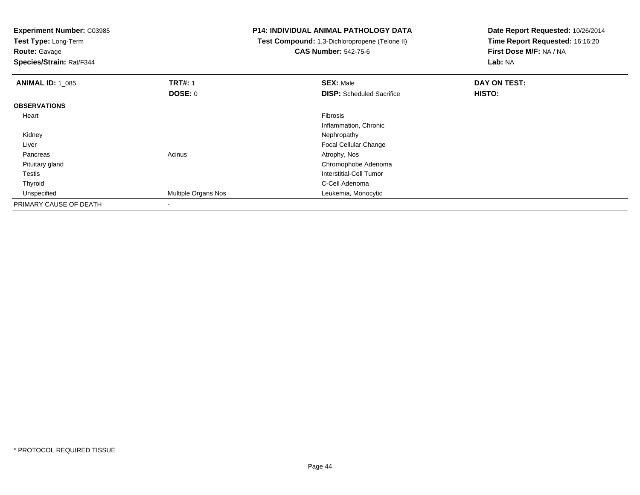**Test Type:** Long-Term

**Route:** Gavage

**Species/Strain:** Rat/F344

# **P14: INDIVIDUAL ANIMAL PATHOLOGY DATA**

 **Test Compound:** 1,3-Dichloropropene (Telone II)**CAS Number:** 542-75-6

| <b>ANIMAL ID: 1 085</b> | <b>TRT#: 1</b>      | <b>SEX: Male</b>                 | DAY ON TEST: |  |
|-------------------------|---------------------|----------------------------------|--------------|--|
|                         | DOSE: 0             | <b>DISP:</b> Scheduled Sacrifice | HISTO:       |  |
| <b>OBSERVATIONS</b>     |                     |                                  |              |  |
| Heart                   |                     | Fibrosis                         |              |  |
|                         |                     | Inflammation, Chronic            |              |  |
| Kidney                  |                     | Nephropathy                      |              |  |
| Liver                   |                     | <b>Focal Cellular Change</b>     |              |  |
| Pancreas                | Acinus              | Atrophy, Nos                     |              |  |
| Pituitary gland         |                     | Chromophobe Adenoma              |              |  |
| Testis                  |                     | Interstitial-Cell Tumor          |              |  |
| Thyroid                 |                     | C-Cell Adenoma                   |              |  |
| Unspecified             | Multiple Organs Nos | Leukemia, Monocytic              |              |  |
| PRIMARY CAUSE OF DEATH  |                     |                                  |              |  |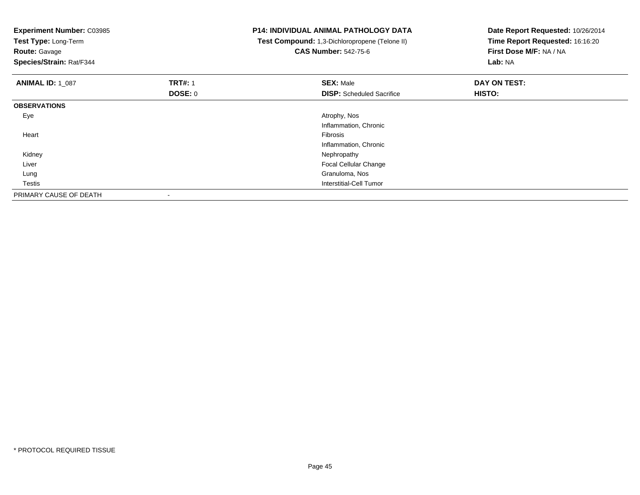| <b>Experiment Number: C03985</b><br>Test Type: Long-Term<br><b>Route: Gavage</b><br>Species/Strain: Rat/F344 |                | <b>P14: INDIVIDUAL ANIMAL PATHOLOGY DATA</b><br>Test Compound: 1,3-Dichloropropene (Telone II)<br><b>CAS Number: 542-75-6</b> | Date Report Requested: 10/26/2014<br>Time Report Requested: 16:16:20<br>First Dose M/F: NA / NA<br>Lab: NA |
|--------------------------------------------------------------------------------------------------------------|----------------|-------------------------------------------------------------------------------------------------------------------------------|------------------------------------------------------------------------------------------------------------|
| <b>ANIMAL ID: 1_087</b>                                                                                      | <b>TRT#: 1</b> | <b>SEX: Male</b>                                                                                                              | DAY ON TEST:                                                                                               |
|                                                                                                              | DOSE: 0        | <b>DISP:</b> Scheduled Sacrifice                                                                                              | <b>HISTO:</b>                                                                                              |
| <b>OBSERVATIONS</b>                                                                                          |                |                                                                                                                               |                                                                                                            |
| Eye                                                                                                          |                | Atrophy, Nos                                                                                                                  |                                                                                                            |
|                                                                                                              |                | Inflammation, Chronic                                                                                                         |                                                                                                            |
| Heart                                                                                                        |                | Fibrosis                                                                                                                      |                                                                                                            |
|                                                                                                              |                | Inflammation, Chronic                                                                                                         |                                                                                                            |
| Kidney                                                                                                       |                | Nephropathy                                                                                                                   |                                                                                                            |
| Liver                                                                                                        |                | Focal Cellular Change                                                                                                         |                                                                                                            |
| Lung                                                                                                         |                | Granuloma, Nos                                                                                                                |                                                                                                            |
| Testis                                                                                                       |                | Interstitial-Cell Tumor                                                                                                       |                                                                                                            |
| PRIMARY CAUSE OF DEATH                                                                                       |                |                                                                                                                               |                                                                                                            |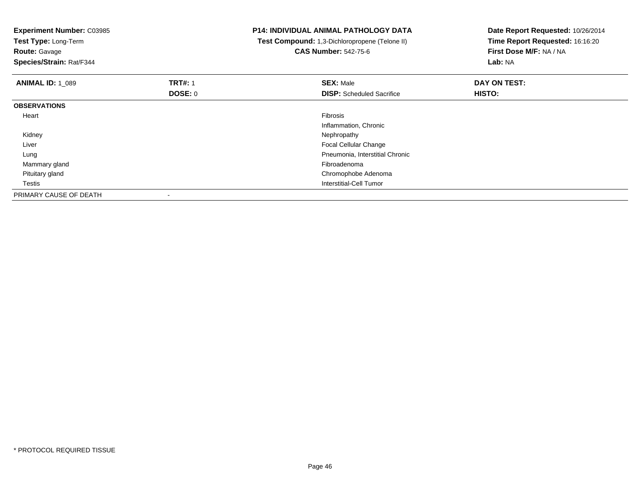| <b>Experiment Number: C03985</b><br>Test Type: Long-Term<br><b>Route: Gavage</b><br>Species/Strain: Rat/F344 |                | <b>P14: INDIVIDUAL ANIMAL PATHOLOGY DATA</b><br>Test Compound: 1,3-Dichloropropene (Telone II)<br><b>CAS Number: 542-75-6</b> | Date Report Requested: 10/26/2014<br>Time Report Requested: 16:16:20<br>First Dose M/F: NA / NA<br>Lab: NA |
|--------------------------------------------------------------------------------------------------------------|----------------|-------------------------------------------------------------------------------------------------------------------------------|------------------------------------------------------------------------------------------------------------|
| <b>ANIMAL ID: 1 089</b>                                                                                      | <b>TRT#: 1</b> | <b>SEX: Male</b>                                                                                                              | DAY ON TEST:                                                                                               |
|                                                                                                              | DOSE: 0        | <b>DISP:</b> Scheduled Sacrifice                                                                                              | HISTO:                                                                                                     |
| <b>OBSERVATIONS</b>                                                                                          |                |                                                                                                                               |                                                                                                            |
| Heart                                                                                                        |                | <b>Fibrosis</b>                                                                                                               |                                                                                                            |
|                                                                                                              |                | Inflammation, Chronic                                                                                                         |                                                                                                            |
| Kidney                                                                                                       |                | Nephropathy                                                                                                                   |                                                                                                            |
| Liver                                                                                                        |                | Focal Cellular Change                                                                                                         |                                                                                                            |
| Lung                                                                                                         |                | Pneumonia, Interstitial Chronic                                                                                               |                                                                                                            |
| Mammary gland                                                                                                |                | Fibroadenoma                                                                                                                  |                                                                                                            |
| Pituitary gland                                                                                              |                | Chromophobe Adenoma                                                                                                           |                                                                                                            |
| Testis                                                                                                       |                | Interstitial-Cell Tumor                                                                                                       |                                                                                                            |
| PRIMARY CAUSE OF DEATH                                                                                       |                |                                                                                                                               |                                                                                                            |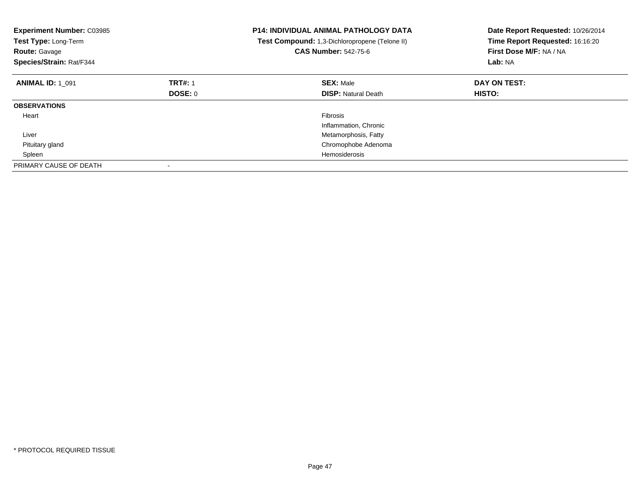| <b>Experiment Number: C03985</b><br>Test Type: Long-Term<br><b>Route: Gavage</b><br>Species/Strain: Rat/F344 |                | <b>P14: INDIVIDUAL ANIMAL PATHOLOGY DATA</b><br>Test Compound: 1,3-Dichloropropene (Telone II)<br><b>CAS Number: 542-75-6</b> | Date Report Requested: 10/26/2014<br>Time Report Requested: 16:16:20<br>First Dose M/F: NA / NA<br>Lab: NA |
|--------------------------------------------------------------------------------------------------------------|----------------|-------------------------------------------------------------------------------------------------------------------------------|------------------------------------------------------------------------------------------------------------|
| <b>ANIMAL ID: 1 091</b>                                                                                      | <b>TRT#: 1</b> | <b>SEX: Male</b>                                                                                                              | DAY ON TEST:                                                                                               |
|                                                                                                              | DOSE: 0        | <b>DISP: Natural Death</b>                                                                                                    | <b>HISTO:</b>                                                                                              |
| <b>OBSERVATIONS</b>                                                                                          |                |                                                                                                                               |                                                                                                            |
| Heart                                                                                                        |                | <b>Fibrosis</b>                                                                                                               |                                                                                                            |
|                                                                                                              |                | Inflammation, Chronic                                                                                                         |                                                                                                            |
| Liver                                                                                                        |                | Metamorphosis, Fatty                                                                                                          |                                                                                                            |
| Pituitary gland                                                                                              |                | Chromophobe Adenoma                                                                                                           |                                                                                                            |
| Spleen                                                                                                       |                | <b>Hemosiderosis</b>                                                                                                          |                                                                                                            |
| PRIMARY CAUSE OF DEATH                                                                                       |                |                                                                                                                               |                                                                                                            |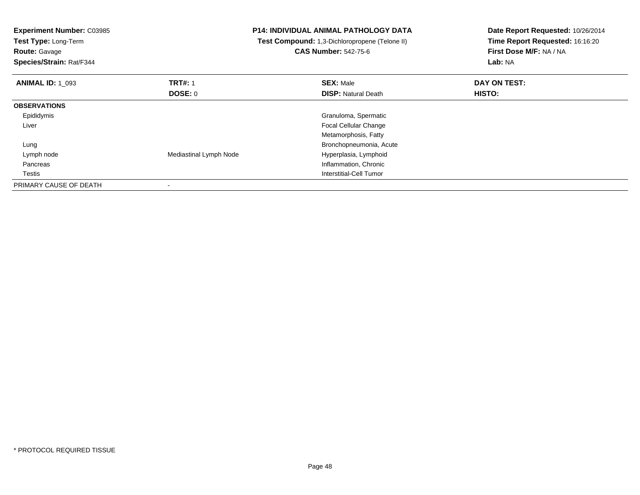| <b>Experiment Number: C03985</b><br>Test Type: Long-Term<br><b>Route: Gavage</b><br>Species/Strain: Rat/F344 |                        | <b>P14: INDIVIDUAL ANIMAL PATHOLOGY DATA</b><br>Test Compound: 1,3-Dichloropropene (Telone II)<br><b>CAS Number: 542-75-6</b> | Date Report Requested: 10/26/2014<br>Time Report Requested: 16:16:20<br>First Dose M/F: NA / NA<br>Lab: NA |
|--------------------------------------------------------------------------------------------------------------|------------------------|-------------------------------------------------------------------------------------------------------------------------------|------------------------------------------------------------------------------------------------------------|
| <b>ANIMAL ID: 1 093</b>                                                                                      | <b>TRT#: 1</b>         | <b>SEX: Male</b>                                                                                                              | DAY ON TEST:                                                                                               |
|                                                                                                              | DOSE: 0                | <b>DISP: Natural Death</b>                                                                                                    | <b>HISTO:</b>                                                                                              |
| <b>OBSERVATIONS</b>                                                                                          |                        |                                                                                                                               |                                                                                                            |
| Epididymis                                                                                                   |                        | Granuloma, Spermatic                                                                                                          |                                                                                                            |
| Liver                                                                                                        |                        | Focal Cellular Change                                                                                                         |                                                                                                            |
|                                                                                                              |                        | Metamorphosis, Fatty                                                                                                          |                                                                                                            |
| Lung                                                                                                         |                        | Bronchopneumonia, Acute                                                                                                       |                                                                                                            |
| Lymph node                                                                                                   | Mediastinal Lymph Node | Hyperplasia, Lymphoid                                                                                                         |                                                                                                            |
| Pancreas                                                                                                     |                        | Inflammation, Chronic                                                                                                         |                                                                                                            |
| Testis                                                                                                       |                        | Interstitial-Cell Tumor                                                                                                       |                                                                                                            |
| PRIMARY CAUSE OF DEATH                                                                                       |                        |                                                                                                                               |                                                                                                            |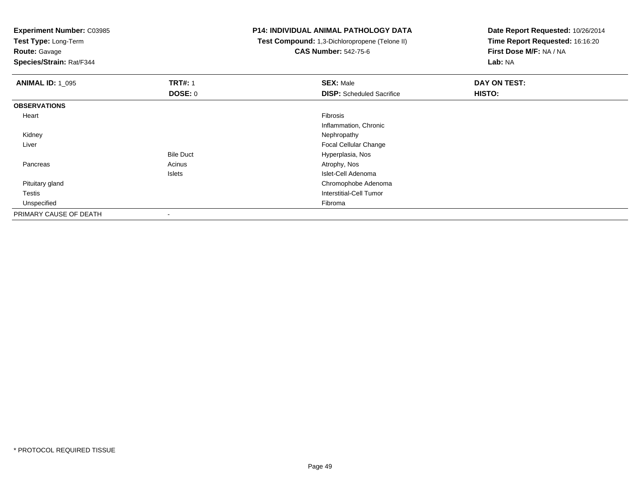**Test Type:** Long-Term

**Route:** Gavage

**Species/Strain:** Rat/F344

# **P14: INDIVIDUAL ANIMAL PATHOLOGY DATA**

 **Test Compound:** 1,3-Dichloropropene (Telone II)**CAS Number:** 542-75-6

| <b>ANIMAL ID: 1_095</b> | <b>TRT#: 1</b>   | <b>SEX: Male</b>                 | DAY ON TEST: |
|-------------------------|------------------|----------------------------------|--------------|
|                         | <b>DOSE: 0</b>   | <b>DISP:</b> Scheduled Sacrifice | HISTO:       |
| <b>OBSERVATIONS</b>     |                  |                                  |              |
| Heart                   |                  | Fibrosis                         |              |
|                         |                  | Inflammation, Chronic            |              |
| Kidney                  |                  | Nephropathy                      |              |
| Liver                   |                  | <b>Focal Cellular Change</b>     |              |
|                         | <b>Bile Duct</b> | Hyperplasia, Nos                 |              |
| Pancreas                | Acinus           | Atrophy, Nos                     |              |
|                         | Islets           | Islet-Cell Adenoma               |              |
| Pituitary gland         |                  | Chromophobe Adenoma              |              |
| Testis                  |                  | Interstitial-Cell Tumor          |              |
| Unspecified             |                  | Fibroma                          |              |
| PRIMARY CAUSE OF DEATH  |                  |                                  |              |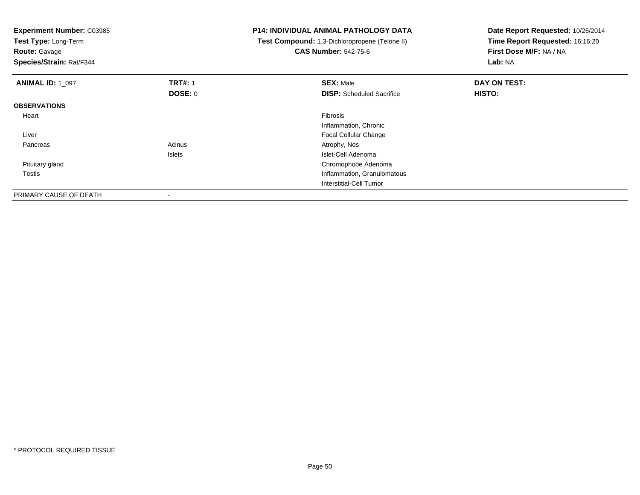| <b>Experiment Number: C03985</b><br>Test Type: Long-Term<br><b>Route: Gavage</b><br>Species/Strain: Rat/F344 |                | <b>P14: INDIVIDUAL ANIMAL PATHOLOGY DATA</b><br>Test Compound: 1,3-Dichloropropene (Telone II)<br><b>CAS Number: 542-75-6</b> | Date Report Requested: 10/26/2014<br>Time Report Requested: 16:16:20<br>First Dose M/F: NA / NA<br>Lab: NA |
|--------------------------------------------------------------------------------------------------------------|----------------|-------------------------------------------------------------------------------------------------------------------------------|------------------------------------------------------------------------------------------------------------|
| <b>ANIMAL ID: 1 097</b>                                                                                      | <b>TRT#: 1</b> | <b>SEX: Male</b>                                                                                                              | DAY ON TEST:                                                                                               |
|                                                                                                              | <b>DOSE: 0</b> | <b>DISP:</b> Scheduled Sacrifice                                                                                              | HISTO:                                                                                                     |
| <b>OBSERVATIONS</b>                                                                                          |                |                                                                                                                               |                                                                                                            |
| Heart                                                                                                        |                | Fibrosis                                                                                                                      |                                                                                                            |
|                                                                                                              |                | Inflammation, Chronic                                                                                                         |                                                                                                            |
| Liver                                                                                                        |                | Focal Cellular Change                                                                                                         |                                                                                                            |
| Pancreas                                                                                                     | Acinus         | Atrophy, Nos                                                                                                                  |                                                                                                            |
|                                                                                                              | <b>Islets</b>  | Islet-Cell Adenoma                                                                                                            |                                                                                                            |
| Pituitary gland                                                                                              |                | Chromophobe Adenoma                                                                                                           |                                                                                                            |
| Testis                                                                                                       |                | Inflammation, Granulomatous                                                                                                   |                                                                                                            |
|                                                                                                              |                | <b>Interstitial-Cell Tumor</b>                                                                                                |                                                                                                            |
| PRIMARY CAUSE OF DEATH                                                                                       |                |                                                                                                                               |                                                                                                            |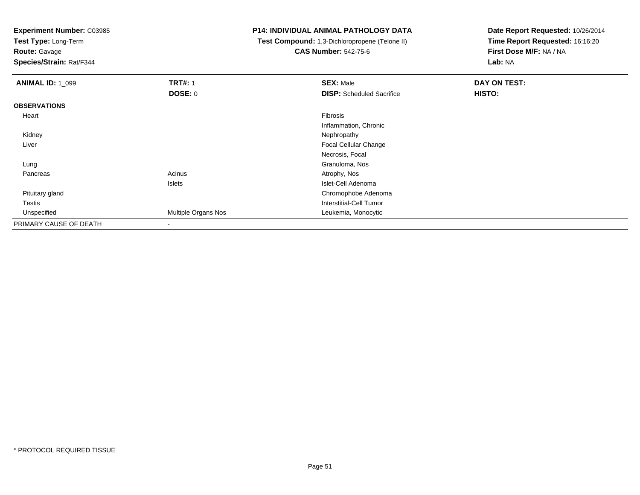**Test Type:** Long-Term

**Route:** Gavage

**Species/Strain:** Rat/F344

# **P14: INDIVIDUAL ANIMAL PATHOLOGY DATA**

 **Test Compound:** 1,3-Dichloropropene (Telone II)**CAS Number:** 542-75-6

| <b>ANIMAL ID: 1_099</b> | <b>TRT#: 1</b>      | <b>SEX: Male</b>                 | DAY ON TEST: |
|-------------------------|---------------------|----------------------------------|--------------|
|                         | <b>DOSE: 0</b>      | <b>DISP:</b> Scheduled Sacrifice | HISTO:       |
| <b>OBSERVATIONS</b>     |                     |                                  |              |
| Heart                   |                     | Fibrosis                         |              |
|                         |                     | Inflammation, Chronic            |              |
| Kidney                  |                     | Nephropathy                      |              |
| Liver                   |                     | <b>Focal Cellular Change</b>     |              |
|                         |                     | Necrosis, Focal                  |              |
| Lung                    |                     | Granuloma, Nos                   |              |
| Pancreas                | Acinus              | Atrophy, Nos                     |              |
|                         | Islets              | Islet-Cell Adenoma               |              |
| Pituitary gland         |                     | Chromophobe Adenoma              |              |
| <b>Testis</b>           |                     | Interstitial-Cell Tumor          |              |
| Unspecified             | Multiple Organs Nos | Leukemia, Monocytic              |              |
| PRIMARY CAUSE OF DEATH  | $\blacksquare$      |                                  |              |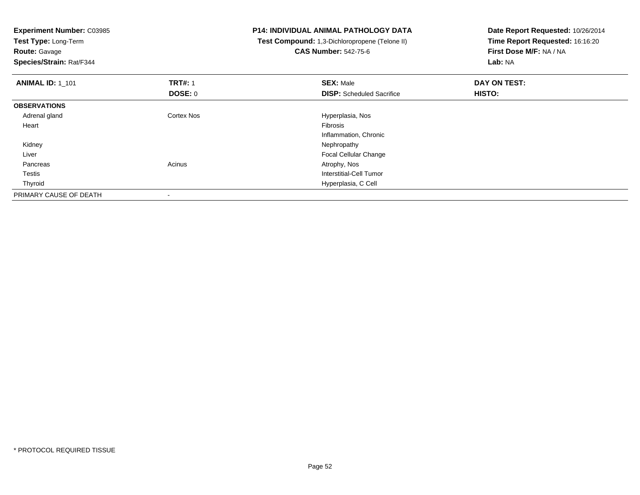| <b>Experiment Number: C03985</b><br>Test Type: Long-Term |                   | <b>P14: INDIVIDUAL ANIMAL PATHOLOGY DATA</b>   | Date Report Requested: 10/26/2014 |
|----------------------------------------------------------|-------------------|------------------------------------------------|-----------------------------------|
|                                                          |                   | Test Compound: 1,3-Dichloropropene (Telone II) | Time Report Requested: 16:16:20   |
| <b>Route: Gavage</b>                                     |                   | <b>CAS Number: 542-75-6</b>                    | First Dose M/F: NA / NA           |
| Species/Strain: Rat/F344                                 |                   |                                                | Lab: NA                           |
| <b>ANIMAL ID: 1_101</b>                                  | <b>TRT#: 1</b>    | <b>SEX: Male</b>                               | DAY ON TEST:                      |
|                                                          | <b>DOSE: 0</b>    | <b>DISP:</b> Scheduled Sacrifice               | <b>HISTO:</b>                     |
| <b>OBSERVATIONS</b>                                      |                   |                                                |                                   |
| Adrenal gland                                            | <b>Cortex Nos</b> | Hyperplasia, Nos                               |                                   |
| Heart                                                    |                   | <b>Fibrosis</b>                                |                                   |
|                                                          |                   | Inflammation, Chronic                          |                                   |
| Kidney                                                   |                   | Nephropathy                                    |                                   |
| Liver                                                    |                   | <b>Focal Cellular Change</b>                   |                                   |
| Pancreas                                                 | Acinus            | Atrophy, Nos                                   |                                   |
| Testis                                                   |                   | Interstitial-Cell Tumor                        |                                   |
| Thyroid                                                  |                   | Hyperplasia, C Cell                            |                                   |
| PRIMARY CAUSE OF DEATH                                   |                   |                                                |                                   |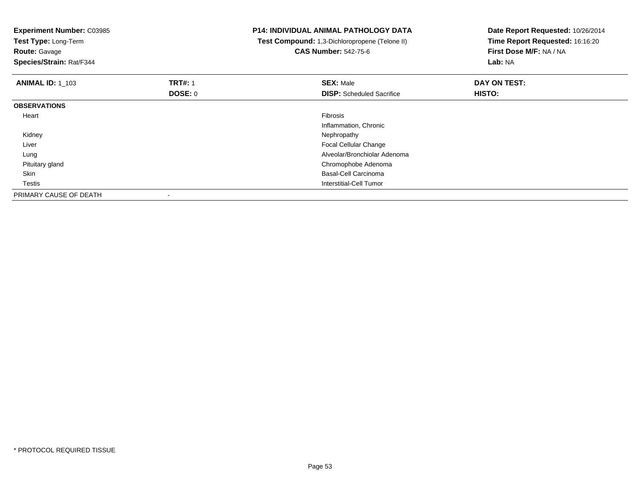| <b>Experiment Number: C03985</b><br>Test Type: Long-Term<br><b>Route: Gavage</b><br>Species/Strain: Rat/F344 |                | <b>P14: INDIVIDUAL ANIMAL PATHOLOGY DATA</b><br>Test Compound: 1,3-Dichloropropene (Telone II)<br><b>CAS Number: 542-75-6</b> | Date Report Requested: 10/26/2014<br>Time Report Requested: 16:16:20<br>First Dose M/F: NA / NA<br>Lab: NA |
|--------------------------------------------------------------------------------------------------------------|----------------|-------------------------------------------------------------------------------------------------------------------------------|------------------------------------------------------------------------------------------------------------|
| <b>ANIMAL ID: 1 103</b>                                                                                      | <b>TRT#: 1</b> | <b>SEX: Male</b>                                                                                                              | DAY ON TEST:                                                                                               |
|                                                                                                              | DOSE: 0        | <b>DISP:</b> Scheduled Sacrifice                                                                                              | HISTO:                                                                                                     |
| <b>OBSERVATIONS</b>                                                                                          |                |                                                                                                                               |                                                                                                            |
| Heart                                                                                                        |                | <b>Fibrosis</b>                                                                                                               |                                                                                                            |
|                                                                                                              |                | Inflammation, Chronic                                                                                                         |                                                                                                            |
| Kidney                                                                                                       |                | Nephropathy                                                                                                                   |                                                                                                            |
| Liver                                                                                                        |                | Focal Cellular Change                                                                                                         |                                                                                                            |
| Lung                                                                                                         |                | Alveolar/Bronchiolar Adenoma                                                                                                  |                                                                                                            |
| Pituitary gland                                                                                              |                | Chromophobe Adenoma                                                                                                           |                                                                                                            |
| Skin                                                                                                         |                | Basal-Cell Carcinoma                                                                                                          |                                                                                                            |
| Testis                                                                                                       |                | Interstitial-Cell Tumor                                                                                                       |                                                                                                            |
| PRIMARY CAUSE OF DEATH                                                                                       |                |                                                                                                                               |                                                                                                            |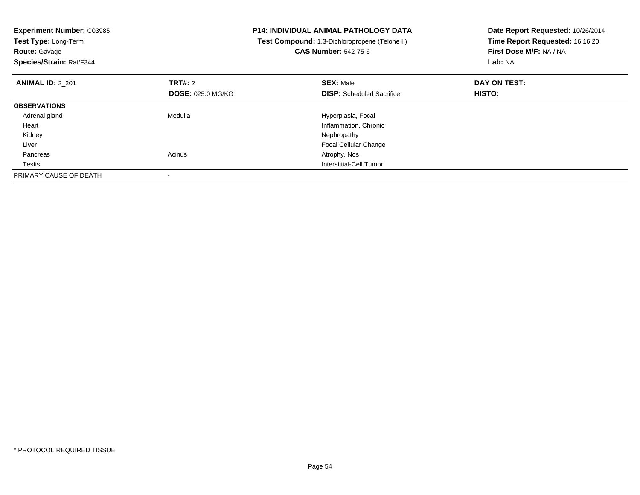| <b>Experiment Number: C03985</b><br>Test Type: Long-Term<br><b>Route: Gavage</b><br>Species/Strain: Rat/F344 |                                     | <b>P14: INDIVIDUAL ANIMAL PATHOLOGY DATA</b><br>Test Compound: 1,3-Dichloropropene (Telone II)<br><b>CAS Number: 542-75-6</b> | Date Report Requested: 10/26/2014<br>Time Report Requested: 16:16:20<br>First Dose M/F: NA / NA<br>Lab: NA |
|--------------------------------------------------------------------------------------------------------------|-------------------------------------|-------------------------------------------------------------------------------------------------------------------------------|------------------------------------------------------------------------------------------------------------|
| <b>ANIMAL ID: 2 201</b>                                                                                      | TRT#: 2<br><b>DOSE: 025.0 MG/KG</b> | <b>SEX: Male</b><br><b>DISP:</b> Scheduled Sacrifice                                                                          | DAY ON TEST:<br><b>HISTO:</b>                                                                              |
| <b>OBSERVATIONS</b>                                                                                          |                                     |                                                                                                                               |                                                                                                            |
| Adrenal gland                                                                                                | Medulla                             | Hyperplasia, Focal                                                                                                            |                                                                                                            |
| Heart                                                                                                        |                                     | Inflammation, Chronic                                                                                                         |                                                                                                            |
| Kidney                                                                                                       |                                     | Nephropathy                                                                                                                   |                                                                                                            |
| Liver                                                                                                        |                                     | <b>Focal Cellular Change</b>                                                                                                  |                                                                                                            |
| Pancreas                                                                                                     | Acinus                              | Atrophy, Nos                                                                                                                  |                                                                                                            |
| Testis                                                                                                       |                                     | Interstitial-Cell Tumor                                                                                                       |                                                                                                            |
| PRIMARY CAUSE OF DEATH                                                                                       |                                     |                                                                                                                               |                                                                                                            |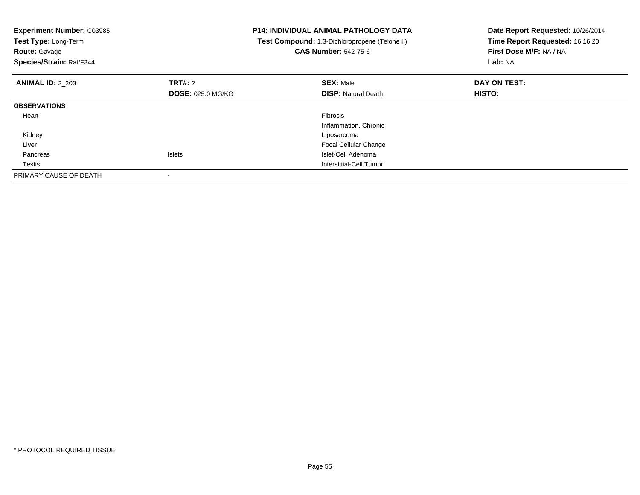| <b>Experiment Number: C03985</b><br>Test Type: Long-Term<br><b>Route: Gavage</b><br>Species/Strain: Rat/F344 |                          | <b>P14: INDIVIDUAL ANIMAL PATHOLOGY DATA</b><br>Test Compound: 1,3-Dichloropropene (Telone II)<br><b>CAS Number: 542-75-6</b> | Date Report Requested: 10/26/2014<br>Time Report Requested: 16:16:20<br>First Dose M/F: NA / NA<br>Lab: NA |
|--------------------------------------------------------------------------------------------------------------|--------------------------|-------------------------------------------------------------------------------------------------------------------------------|------------------------------------------------------------------------------------------------------------|
| <b>ANIMAL ID: 2 203</b>                                                                                      | TRT#: 2                  | <b>SEX: Male</b>                                                                                                              | DAY ON TEST:                                                                                               |
|                                                                                                              | <b>DOSE: 025.0 MG/KG</b> | <b>DISP:</b> Natural Death                                                                                                    | HISTO:                                                                                                     |
| <b>OBSERVATIONS</b>                                                                                          |                          |                                                                                                                               |                                                                                                            |
| Heart                                                                                                        |                          | Fibrosis                                                                                                                      |                                                                                                            |
|                                                                                                              |                          | Inflammation, Chronic                                                                                                         |                                                                                                            |
| Kidney                                                                                                       |                          | Liposarcoma                                                                                                                   |                                                                                                            |
| Liver                                                                                                        |                          | <b>Focal Cellular Change</b>                                                                                                  |                                                                                                            |
| Pancreas                                                                                                     | <b>Islets</b>            | Islet-Cell Adenoma                                                                                                            |                                                                                                            |
| Testis                                                                                                       |                          | Interstitial-Cell Tumor                                                                                                       |                                                                                                            |
| PRIMARY CAUSE OF DEATH                                                                                       |                          |                                                                                                                               |                                                                                                            |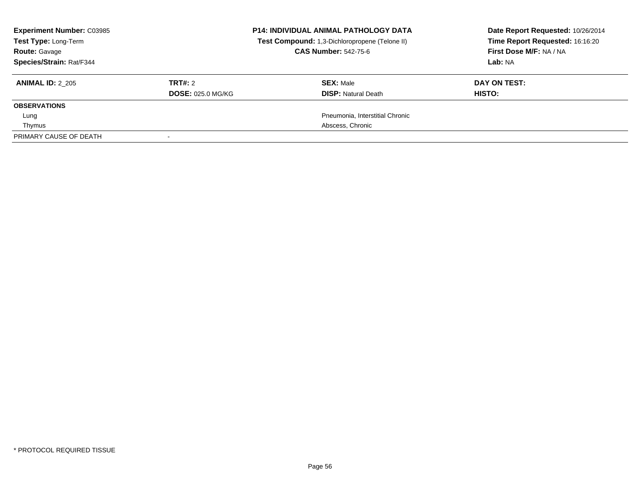| <b>Experiment Number: C03985</b><br>Test Type: Long-Term<br><b>Route: Gavage</b><br>Species/Strain: Rat/F344 | <b>P14: INDIVIDUAL ANIMAL PATHOLOGY DATA</b><br>Test Compound: 1,3-Dichloropropene (Telone II)<br><b>CAS Number: 542-75-6</b> |                                                | Date Report Requested: 10/26/2014<br>Time Report Requested: 16:16:20<br>First Dose M/F: NA / NA<br>Lab: NA |
|--------------------------------------------------------------------------------------------------------------|-------------------------------------------------------------------------------------------------------------------------------|------------------------------------------------|------------------------------------------------------------------------------------------------------------|
| <b>ANIMAL ID: 2 205</b>                                                                                      | TRT#: 2<br><b>DOSE: 025.0 MG/KG</b>                                                                                           | <b>SEX: Male</b><br><b>DISP:</b> Natural Death | DAY ON TEST:<br>HISTO:                                                                                     |
| <b>OBSERVATIONS</b>                                                                                          |                                                                                                                               |                                                |                                                                                                            |
| Lung                                                                                                         |                                                                                                                               | Pneumonia, Interstitial Chronic                |                                                                                                            |
| Thymus                                                                                                       |                                                                                                                               | Abscess, Chronic                               |                                                                                                            |
| PRIMARY CAUSE OF DEATH                                                                                       |                                                                                                                               |                                                |                                                                                                            |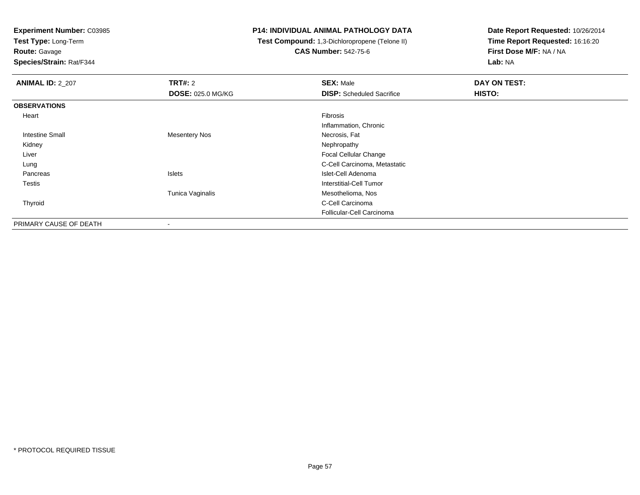**Test Type:** Long-Term

# **Route:** Gavage

**Species/Strain:** Rat/F344

### **P14: INDIVIDUAL ANIMAL PATHOLOGY DATA**

#### **Test Compound:** 1,3-Dichloropropene (Telone II)**CAS Number:** 542-75-6

| <b>ANIMAL ID: 2_207</b> | TRT#: 2                  | <b>SEX: Male</b>                 | DAY ON TEST: |
|-------------------------|--------------------------|----------------------------------|--------------|
|                         | <b>DOSE: 025.0 MG/KG</b> | <b>DISP:</b> Scheduled Sacrifice | HISTO:       |
| <b>OBSERVATIONS</b>     |                          |                                  |              |
| Heart                   |                          | Fibrosis                         |              |
|                         |                          | Inflammation, Chronic            |              |
| <b>Intestine Small</b>  | <b>Mesentery Nos</b>     | Necrosis, Fat                    |              |
| Kidney                  |                          | Nephropathy                      |              |
| Liver                   |                          | Focal Cellular Change            |              |
| Lung                    |                          | C-Cell Carcinoma, Metastatic     |              |
| Pancreas                | Islets                   | Islet-Cell Adenoma               |              |
| Testis                  |                          | Interstitial-Cell Tumor          |              |
|                         | Tunica Vaginalis         | Mesothelioma, Nos                |              |
| Thyroid                 |                          | C-Cell Carcinoma                 |              |
|                         |                          | Follicular-Cell Carcinoma        |              |
| PRIMARY CAUSE OF DEATH  | $\blacksquare$           |                                  |              |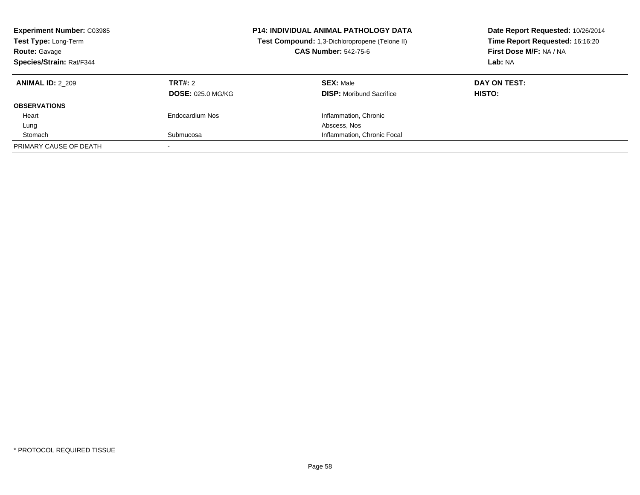| <b>Experiment Number: C03985</b><br>Test Type: Long-Term<br><b>Route: Gavage</b><br>Species/Strain: Rat/F344 |                                     | <b>P14: INDIVIDUAL ANIMAL PATHOLOGY DATA</b><br>Test Compound: 1,3-Dichloropropene (Telone II)<br><b>CAS Number: 542-75-6</b> | Date Report Requested: 10/26/2014<br>Time Report Requested: 16:16:20<br>First Dose M/F: NA / NA<br>Lab: NA |
|--------------------------------------------------------------------------------------------------------------|-------------------------------------|-------------------------------------------------------------------------------------------------------------------------------|------------------------------------------------------------------------------------------------------------|
| <b>ANIMAL ID: 2 209</b>                                                                                      | TRT#: 2<br><b>DOSE: 025.0 MG/KG</b> | <b>SEX: Male</b><br><b>DISP:</b> Moribund Sacrifice                                                                           | DAY ON TEST:<br>HISTO:                                                                                     |
| <b>OBSERVATIONS</b>                                                                                          |                                     |                                                                                                                               |                                                                                                            |
|                                                                                                              |                                     |                                                                                                                               |                                                                                                            |
| Heart                                                                                                        | Endocardium Nos                     | Inflammation, Chronic                                                                                                         |                                                                                                            |
| Lung                                                                                                         |                                     | Abscess, Nos                                                                                                                  |                                                                                                            |
| Stomach                                                                                                      | Submucosa                           | Inflammation, Chronic Focal                                                                                                   |                                                                                                            |
| PRIMARY CAUSE OF DEATH                                                                                       |                                     |                                                                                                                               |                                                                                                            |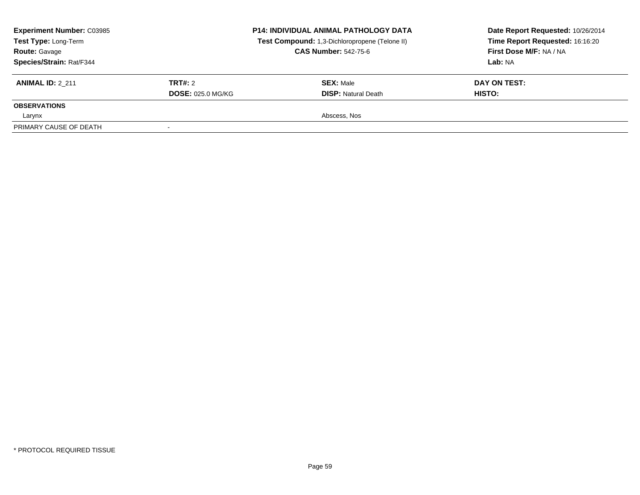| <b>Experiment Number: C03985</b><br>Test Type: Long-Term<br><b>Route: Gavage</b><br>Species/Strain: Rat/F344 | <b>P14: INDIVIDUAL ANIMAL PATHOLOGY DATA</b><br>Test Compound: 1,3-Dichloropropene (Telone II)<br><b>CAS Number: 542-75-6</b> |                                                | Date Report Requested: 10/26/2014<br>Time Report Requested: 16:16:20<br><b>First Dose M/F: NA / NA</b><br>Lab: NA |
|--------------------------------------------------------------------------------------------------------------|-------------------------------------------------------------------------------------------------------------------------------|------------------------------------------------|-------------------------------------------------------------------------------------------------------------------|
| <b>ANIMAL ID: 2 211</b>                                                                                      | TRT#: 2<br><b>DOSE: 025.0 MG/KG</b>                                                                                           | <b>SEX: Male</b><br><b>DISP:</b> Natural Death | DAY ON TEST:<br>HISTO:                                                                                            |
| <b>OBSERVATIONS</b>                                                                                          |                                                                                                                               |                                                |                                                                                                                   |
| Larynx                                                                                                       |                                                                                                                               | Abscess, Nos                                   |                                                                                                                   |
| PRIMARY CAUSE OF DEATH                                                                                       |                                                                                                                               |                                                |                                                                                                                   |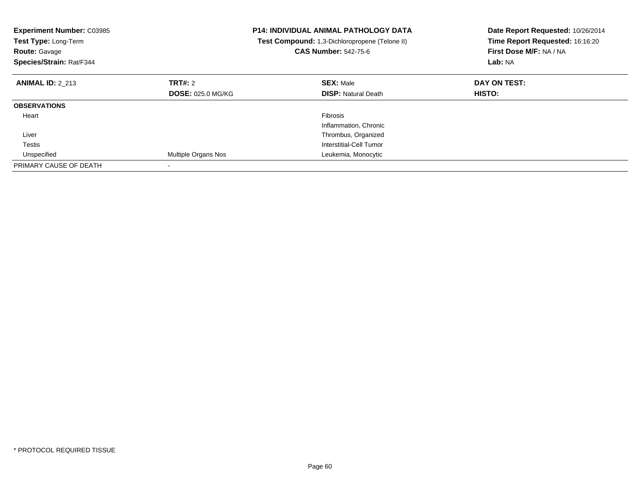| <b>Experiment Number: C03985</b><br>Test Type: Long-Term<br><b>Route: Gavage</b><br>Species/Strain: Rat/F344 |                          | P14: INDIVIDUAL ANIMAL PATHOLOGY DATA<br>Test Compound: 1,3-Dichloropropene (Telone II)<br><b>CAS Number: 542-75-6</b> | Date Report Requested: 10/26/2014<br>Time Report Requested: 16:16:20<br>First Dose M/F: NA / NA<br>Lab: NA |
|--------------------------------------------------------------------------------------------------------------|--------------------------|------------------------------------------------------------------------------------------------------------------------|------------------------------------------------------------------------------------------------------------|
| <b>ANIMAL ID: 2 213</b>                                                                                      | TRT#: 2                  | <b>SEX: Male</b>                                                                                                       | DAY ON TEST:                                                                                               |
|                                                                                                              | <b>DOSE: 025.0 MG/KG</b> | <b>DISP:</b> Natural Death                                                                                             | HISTO:                                                                                                     |
| <b>OBSERVATIONS</b>                                                                                          |                          |                                                                                                                        |                                                                                                            |
| Heart                                                                                                        |                          | Fibrosis                                                                                                               |                                                                                                            |
|                                                                                                              |                          | Inflammation, Chronic                                                                                                  |                                                                                                            |
| Liver                                                                                                        |                          | Thrombus, Organized                                                                                                    |                                                                                                            |
| <b>Testis</b>                                                                                                |                          | Interstitial-Cell Tumor                                                                                                |                                                                                                            |
| Unspecified                                                                                                  | Multiple Organs Nos      | Leukemia, Monocytic                                                                                                    |                                                                                                            |
| PRIMARY CAUSE OF DEATH                                                                                       |                          |                                                                                                                        |                                                                                                            |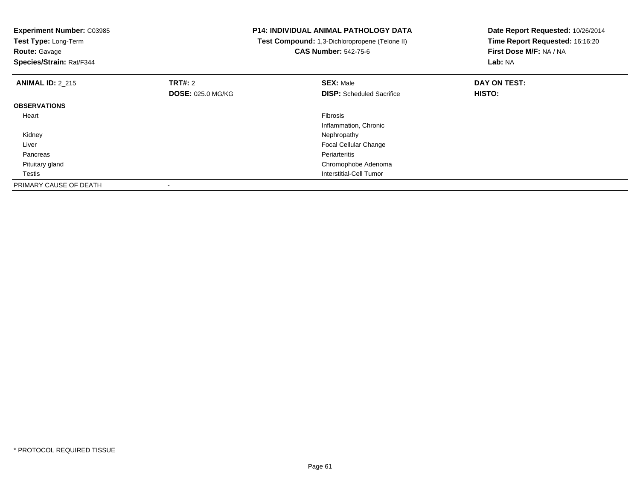| <b>Experiment Number: C03985</b><br>Test Type: Long-Term<br><b>Route: Gavage</b><br>Species/Strain: Rat/F344 |                          | <b>P14: INDIVIDUAL ANIMAL PATHOLOGY DATA</b><br>Test Compound: 1,3-Dichloropropene (Telone II)<br><b>CAS Number: 542-75-6</b> | Date Report Requested: 10/26/2014<br>Time Report Requested: 16:16:20<br>First Dose M/F: NA / NA<br>Lab: NA |
|--------------------------------------------------------------------------------------------------------------|--------------------------|-------------------------------------------------------------------------------------------------------------------------------|------------------------------------------------------------------------------------------------------------|
| <b>ANIMAL ID: 2_215</b>                                                                                      | <b>TRT#: 2</b>           | <b>SEX: Male</b>                                                                                                              | DAY ON TEST:                                                                                               |
|                                                                                                              | <b>DOSE: 025.0 MG/KG</b> | <b>DISP:</b> Scheduled Sacrifice                                                                                              | HISTO:                                                                                                     |
| <b>OBSERVATIONS</b>                                                                                          |                          |                                                                                                                               |                                                                                                            |
| Heart                                                                                                        |                          | <b>Fibrosis</b>                                                                                                               |                                                                                                            |
|                                                                                                              |                          | Inflammation, Chronic                                                                                                         |                                                                                                            |
| Kidney                                                                                                       |                          | Nephropathy                                                                                                                   |                                                                                                            |
| Liver                                                                                                        |                          | <b>Focal Cellular Change</b>                                                                                                  |                                                                                                            |
| Pancreas                                                                                                     |                          | Periarteritis                                                                                                                 |                                                                                                            |
| Pituitary gland                                                                                              |                          | Chromophobe Adenoma                                                                                                           |                                                                                                            |
| Testis                                                                                                       |                          | Interstitial-Cell Tumor                                                                                                       |                                                                                                            |
| PRIMARY CAUSE OF DEATH                                                                                       |                          |                                                                                                                               |                                                                                                            |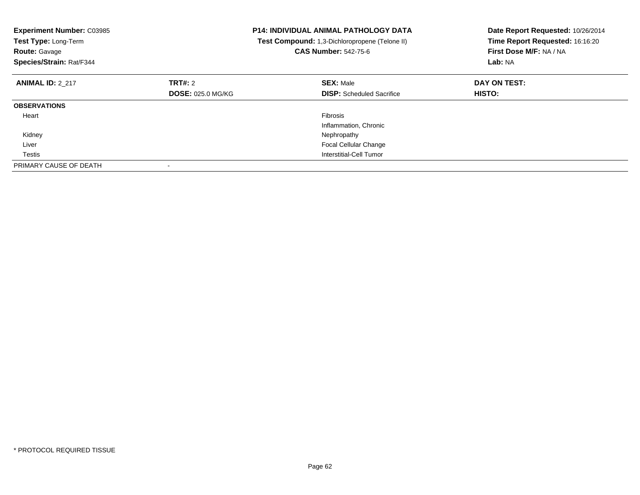| <b>Experiment Number: C03985</b><br>Test Type: Long-Term<br><b>Route: Gavage</b><br>Species/Strain: Rat/F344 |                          | <b>P14: INDIVIDUAL ANIMAL PATHOLOGY DATA</b><br>Test Compound: 1,3-Dichloropropene (Telone II)<br><b>CAS Number: 542-75-6</b> | Date Report Requested: 10/26/2014<br>Time Report Requested: 16:16:20<br>First Dose M/F: NA / NA<br>Lab: NA |
|--------------------------------------------------------------------------------------------------------------|--------------------------|-------------------------------------------------------------------------------------------------------------------------------|------------------------------------------------------------------------------------------------------------|
| <b>ANIMAL ID: 2_217</b>                                                                                      | <b>TRT#: 2</b>           | <b>SEX: Male</b>                                                                                                              | DAY ON TEST:                                                                                               |
|                                                                                                              | <b>DOSE: 025.0 MG/KG</b> | <b>DISP:</b> Scheduled Sacrifice                                                                                              | <b>HISTO:</b>                                                                                              |
| <b>OBSERVATIONS</b>                                                                                          |                          |                                                                                                                               |                                                                                                            |
| Heart                                                                                                        |                          | <b>Fibrosis</b>                                                                                                               |                                                                                                            |
|                                                                                                              |                          | Inflammation, Chronic                                                                                                         |                                                                                                            |
| Kidney                                                                                                       |                          | Nephropathy                                                                                                                   |                                                                                                            |
| Liver                                                                                                        |                          | <b>Focal Cellular Change</b>                                                                                                  |                                                                                                            |
| Testis                                                                                                       |                          | Interstitial-Cell Tumor                                                                                                       |                                                                                                            |
| PRIMARY CAUSE OF DEATH                                                                                       |                          |                                                                                                                               |                                                                                                            |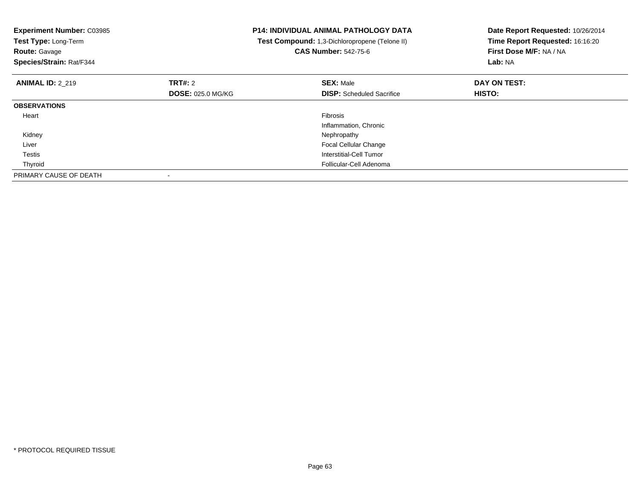| <b>Experiment Number: C03985</b><br>Test Type: Long-Term<br><b>Route: Gavage</b><br>Species/Strain: Rat/F344 |                          | <b>P14: INDIVIDUAL ANIMAL PATHOLOGY DATA</b><br>Test Compound: 1,3-Dichloropropene (Telone II)<br><b>CAS Number: 542-75-6</b> | Date Report Requested: 10/26/2014<br>Time Report Requested: 16:16:20<br>First Dose M/F: NA / NA<br>Lab: NA |
|--------------------------------------------------------------------------------------------------------------|--------------------------|-------------------------------------------------------------------------------------------------------------------------------|------------------------------------------------------------------------------------------------------------|
| <b>ANIMAL ID: 2 219</b>                                                                                      | TRT#: 2                  | <b>SEX: Male</b>                                                                                                              | DAY ON TEST:                                                                                               |
|                                                                                                              | <b>DOSE: 025.0 MG/KG</b> | <b>DISP:</b> Scheduled Sacrifice                                                                                              | <b>HISTO:</b>                                                                                              |
| <b>OBSERVATIONS</b>                                                                                          |                          |                                                                                                                               |                                                                                                            |
| Heart                                                                                                        |                          | Fibrosis                                                                                                                      |                                                                                                            |
|                                                                                                              |                          | Inflammation, Chronic                                                                                                         |                                                                                                            |
| Kidney                                                                                                       |                          | Nephropathy                                                                                                                   |                                                                                                            |
| Liver                                                                                                        |                          | <b>Focal Cellular Change</b>                                                                                                  |                                                                                                            |
| Testis                                                                                                       |                          | Interstitial-Cell Tumor                                                                                                       |                                                                                                            |
| Thyroid                                                                                                      |                          | Follicular-Cell Adenoma                                                                                                       |                                                                                                            |
| PRIMARY CAUSE OF DEATH                                                                                       |                          |                                                                                                                               |                                                                                                            |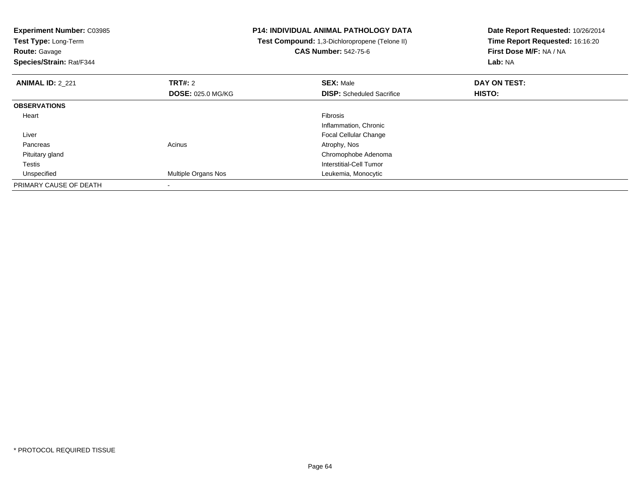| <b>Experiment Number: C03985</b><br>Test Type: Long-Term<br><b>Route: Gavage</b><br>Species/Strain: Rat/F344 |                            | <b>P14: INDIVIDUAL ANIMAL PATHOLOGY DATA</b><br>Test Compound: 1,3-Dichloropropene (Telone II)<br><b>CAS Number: 542-75-6</b> | Date Report Requested: 10/26/2014<br>Time Report Requested: 16:16:20<br>First Dose M/F: NA / NA<br><b>Lab: NA</b> |
|--------------------------------------------------------------------------------------------------------------|----------------------------|-------------------------------------------------------------------------------------------------------------------------------|-------------------------------------------------------------------------------------------------------------------|
| <b>ANIMAL ID: 2 221</b>                                                                                      | <b>TRT#: 2</b>             | <b>SEX: Male</b>                                                                                                              | DAY ON TEST:                                                                                                      |
|                                                                                                              | <b>DOSE: 025.0 MG/KG</b>   | <b>DISP:</b> Scheduled Sacrifice                                                                                              | <b>HISTO:</b>                                                                                                     |
| <b>OBSERVATIONS</b>                                                                                          |                            |                                                                                                                               |                                                                                                                   |
| Heart                                                                                                        |                            | Fibrosis                                                                                                                      |                                                                                                                   |
|                                                                                                              |                            | Inflammation, Chronic                                                                                                         |                                                                                                                   |
| Liver                                                                                                        |                            | Focal Cellular Change                                                                                                         |                                                                                                                   |
| Pancreas                                                                                                     | Acinus                     | Atrophy, Nos                                                                                                                  |                                                                                                                   |
| Pituitary gland                                                                                              |                            | Chromophobe Adenoma                                                                                                           |                                                                                                                   |
| Testis                                                                                                       |                            | Interstitial-Cell Tumor                                                                                                       |                                                                                                                   |
| Unspecified                                                                                                  | <b>Multiple Organs Nos</b> | Leukemia, Monocytic                                                                                                           |                                                                                                                   |
| PRIMARY CAUSE OF DEATH                                                                                       |                            |                                                                                                                               |                                                                                                                   |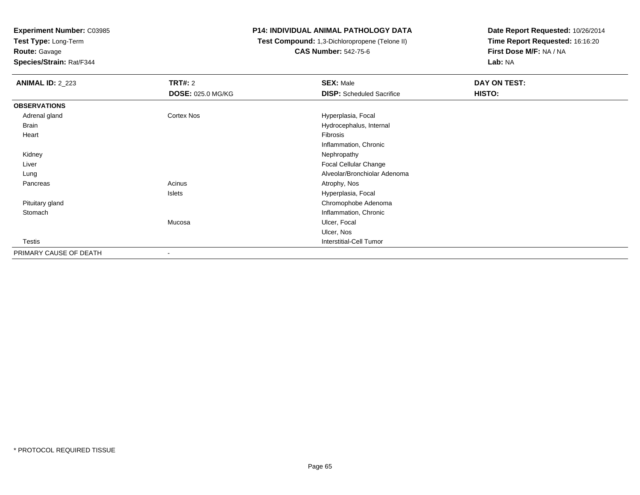**Test Type:** Long-Term

**Route:** Gavage

**Species/Strain:** Rat/F344

### **P14: INDIVIDUAL ANIMAL PATHOLOGY DATA**

 **Test Compound:** 1,3-Dichloropropene (Telone II)**CAS Number:** 542-75-6

| <b>ANIMAL ID: 2_223</b> | TRT#: 2                  | <b>SEX: Male</b>                 | DAY ON TEST: |
|-------------------------|--------------------------|----------------------------------|--------------|
|                         | <b>DOSE: 025.0 MG/KG</b> | <b>DISP:</b> Scheduled Sacrifice | HISTO:       |
| <b>OBSERVATIONS</b>     |                          |                                  |              |
| Adrenal gland           | Cortex Nos               | Hyperplasia, Focal               |              |
| Brain                   |                          | Hydrocephalus, Internal          |              |
| Heart                   |                          | Fibrosis                         |              |
|                         |                          | Inflammation, Chronic            |              |
| Kidney                  |                          | Nephropathy                      |              |
| Liver                   |                          | Focal Cellular Change            |              |
| Lung                    |                          | Alveolar/Bronchiolar Adenoma     |              |
| Pancreas                | Acinus                   | Atrophy, Nos                     |              |
|                         | Islets                   | Hyperplasia, Focal               |              |
| Pituitary gland         |                          | Chromophobe Adenoma              |              |
| Stomach                 |                          | Inflammation, Chronic            |              |
|                         | Mucosa                   | Ulcer, Focal                     |              |
|                         |                          | Ulcer, Nos                       |              |
| Testis                  |                          | <b>Interstitial-Cell Tumor</b>   |              |
| PRIMARY CAUSE OF DEATH  | $\overline{\phantom{a}}$ |                                  |              |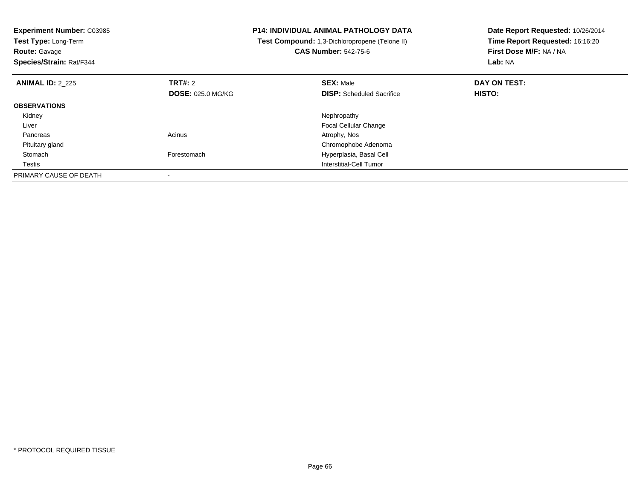| <b>Experiment Number: C03985</b><br>Test Type: Long-Term<br>Route: Gavage<br>Species/Strain: Rat/F344 |                          | <b>P14: INDIVIDUAL ANIMAL PATHOLOGY DATA</b><br>Test Compound: 1,3-Dichloropropene (Telone II)<br><b>CAS Number: 542-75-6</b> | Date Report Requested: 10/26/2014<br>Time Report Requested: 16:16:20<br>First Dose M/F: NA / NA<br>Lab: NA |
|-------------------------------------------------------------------------------------------------------|--------------------------|-------------------------------------------------------------------------------------------------------------------------------|------------------------------------------------------------------------------------------------------------|
| <b>ANIMAL ID: 2 225</b>                                                                               | TRT#: 2                  | <b>SEX: Male</b>                                                                                                              | DAY ON TEST:                                                                                               |
|                                                                                                       | <b>DOSE: 025.0 MG/KG</b> | <b>DISP:</b> Scheduled Sacrifice                                                                                              | <b>HISTO:</b>                                                                                              |
| <b>OBSERVATIONS</b>                                                                                   |                          |                                                                                                                               |                                                                                                            |
| Kidney                                                                                                |                          | Nephropathy                                                                                                                   |                                                                                                            |
| Liver                                                                                                 |                          | <b>Focal Cellular Change</b>                                                                                                  |                                                                                                            |
| Pancreas                                                                                              | Acinus                   | Atrophy, Nos                                                                                                                  |                                                                                                            |
| Pituitary gland                                                                                       |                          | Chromophobe Adenoma                                                                                                           |                                                                                                            |
| Stomach                                                                                               | Forestomach              | Hyperplasia, Basal Cell                                                                                                       |                                                                                                            |
| Testis                                                                                                |                          | Interstitial-Cell Tumor                                                                                                       |                                                                                                            |
| PRIMARY CAUSE OF DEATH                                                                                |                          |                                                                                                                               |                                                                                                            |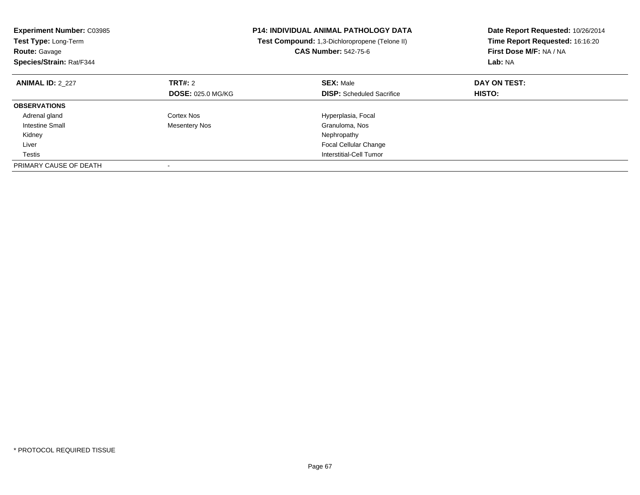| <b>Experiment Number: C03985</b><br>Test Type: Long-Term<br><b>Route: Gavage</b><br>Species/Strain: Rat/F344 |                          | <b>P14: INDIVIDUAL ANIMAL PATHOLOGY DATA</b><br>Test Compound: 1,3-Dichloropropene (Telone II)<br><b>CAS Number: 542-75-6</b> | Date Report Requested: 10/26/2014<br>Time Report Requested: 16:16:20<br>First Dose M/F: NA / NA<br>Lab: NA |
|--------------------------------------------------------------------------------------------------------------|--------------------------|-------------------------------------------------------------------------------------------------------------------------------|------------------------------------------------------------------------------------------------------------|
| <b>ANIMAL ID: 2_227</b>                                                                                      | TRT#: 2                  | <b>SEX: Male</b>                                                                                                              | DAY ON TEST:                                                                                               |
|                                                                                                              | <b>DOSE: 025.0 MG/KG</b> | <b>DISP:</b> Scheduled Sacrifice                                                                                              | HISTO:                                                                                                     |
| <b>OBSERVATIONS</b>                                                                                          |                          |                                                                                                                               |                                                                                                            |
| Adrenal gland                                                                                                | Cortex Nos               | Hyperplasia, Focal                                                                                                            |                                                                                                            |
| <b>Intestine Small</b>                                                                                       | <b>Mesentery Nos</b>     | Granuloma, Nos                                                                                                                |                                                                                                            |
| Kidney                                                                                                       |                          | Nephropathy                                                                                                                   |                                                                                                            |
| Liver                                                                                                        |                          | <b>Focal Cellular Change</b>                                                                                                  |                                                                                                            |
| Testis                                                                                                       |                          | Interstitial-Cell Tumor                                                                                                       |                                                                                                            |
| PRIMARY CAUSE OF DEATH                                                                                       |                          |                                                                                                                               |                                                                                                            |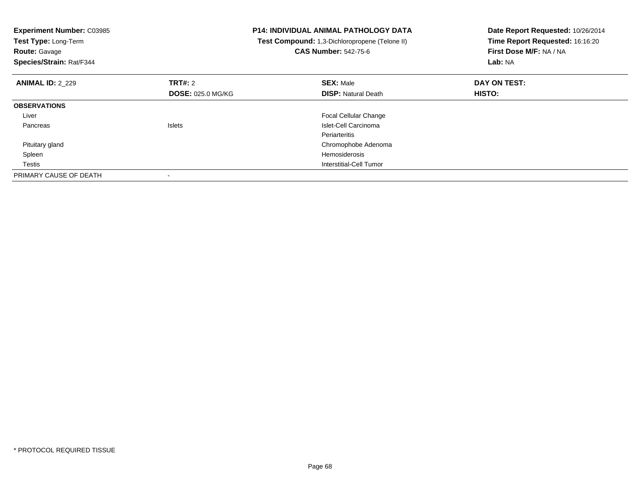| <b>Experiment Number: C03985</b><br>Test Type: Long-Term<br><b>Route: Gavage</b><br>Species/Strain: Rat/F344 |                          | <b>P14: INDIVIDUAL ANIMAL PATHOLOGY DATA</b><br>Test Compound: 1,3-Dichloropropene (Telone II)<br><b>CAS Number: 542-75-6</b> | Date Report Requested: 10/26/2014<br>Time Report Requested: 16:16:20<br>First Dose M/F: NA / NA<br>Lab: NA |
|--------------------------------------------------------------------------------------------------------------|--------------------------|-------------------------------------------------------------------------------------------------------------------------------|------------------------------------------------------------------------------------------------------------|
| <b>ANIMAL ID: 2_229</b>                                                                                      | TRT#: 2                  | <b>SEX: Male</b>                                                                                                              | DAY ON TEST:                                                                                               |
|                                                                                                              | <b>DOSE: 025.0 MG/KG</b> | <b>DISP:</b> Natural Death                                                                                                    | <b>HISTO:</b>                                                                                              |
| <b>OBSERVATIONS</b>                                                                                          |                          |                                                                                                                               |                                                                                                            |
| Liver                                                                                                        |                          | <b>Focal Cellular Change</b>                                                                                                  |                                                                                                            |
| Pancreas                                                                                                     | <b>Islets</b>            | Islet-Cell Carcinoma                                                                                                          |                                                                                                            |
|                                                                                                              |                          | Periarteritis                                                                                                                 |                                                                                                            |
| Pituitary gland                                                                                              |                          | Chromophobe Adenoma                                                                                                           |                                                                                                            |
| Spleen                                                                                                       |                          | <b>Hemosiderosis</b>                                                                                                          |                                                                                                            |
| Testis                                                                                                       |                          | Interstitial-Cell Tumor                                                                                                       |                                                                                                            |
| PRIMARY CAUSE OF DEATH                                                                                       |                          |                                                                                                                               |                                                                                                            |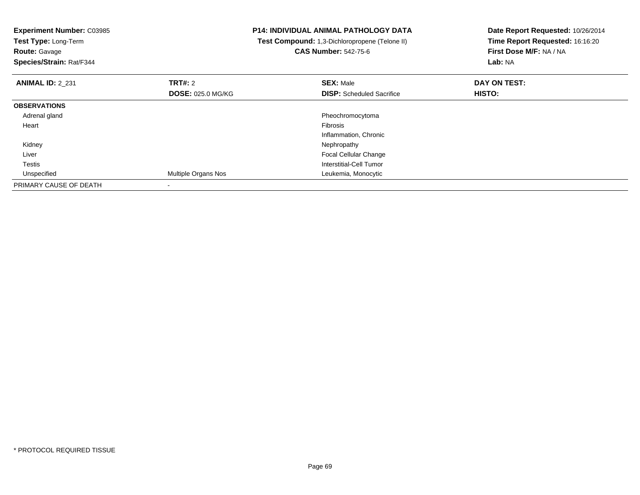| <b>Experiment Number: C03985</b><br>Test Type: Long-Term<br><b>Route: Gavage</b><br>Species/Strain: Rat/F344 |                          | <b>P14: INDIVIDUAL ANIMAL PATHOLOGY DATA</b><br>Test Compound: 1,3-Dichloropropene (Telone II)<br><b>CAS Number: 542-75-6</b> | Date Report Requested: 10/26/2014<br>Time Report Requested: 16:16:20<br>First Dose M/F: NA / NA<br><b>Lab: NA</b> |
|--------------------------------------------------------------------------------------------------------------|--------------------------|-------------------------------------------------------------------------------------------------------------------------------|-------------------------------------------------------------------------------------------------------------------|
| <b>ANIMAL ID: 2 231</b>                                                                                      | <b>TRT#:</b> 2           | <b>SEX: Male</b>                                                                                                              | DAY ON TEST:                                                                                                      |
|                                                                                                              | <b>DOSE: 025.0 MG/KG</b> | <b>DISP:</b> Scheduled Sacrifice                                                                                              | HISTO:                                                                                                            |
| <b>OBSERVATIONS</b>                                                                                          |                          |                                                                                                                               |                                                                                                                   |
| Adrenal gland                                                                                                |                          | Pheochromocytoma                                                                                                              |                                                                                                                   |
| Heart                                                                                                        |                          | Fibrosis                                                                                                                      |                                                                                                                   |
|                                                                                                              |                          | Inflammation, Chronic                                                                                                         |                                                                                                                   |
| Kidney                                                                                                       |                          | Nephropathy                                                                                                                   |                                                                                                                   |
| Liver                                                                                                        |                          | Focal Cellular Change                                                                                                         |                                                                                                                   |
| Testis                                                                                                       |                          | <b>Interstitial-Cell Tumor</b>                                                                                                |                                                                                                                   |
| Unspecified                                                                                                  | Multiple Organs Nos      | Leukemia, Monocytic                                                                                                           |                                                                                                                   |
| PRIMARY CAUSE OF DEATH                                                                                       |                          |                                                                                                                               |                                                                                                                   |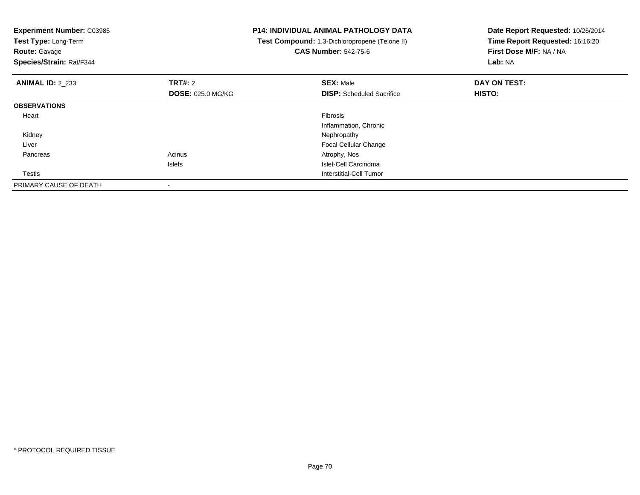| <b>Experiment Number: C03985</b><br>Test Type: Long-Term<br><b>Route: Gavage</b><br>Species/Strain: Rat/F344 |                          | <b>P14: INDIVIDUAL ANIMAL PATHOLOGY DATA</b><br>Test Compound: 1,3-Dichloropropene (Telone II)<br><b>CAS Number: 542-75-6</b> | Date Report Requested: 10/26/2014<br>Time Report Requested: 16:16:20<br>First Dose M/F: NA / NA<br>Lab: NA |
|--------------------------------------------------------------------------------------------------------------|--------------------------|-------------------------------------------------------------------------------------------------------------------------------|------------------------------------------------------------------------------------------------------------|
| <b>ANIMAL ID: 2 233</b>                                                                                      | <b>TRT#: 2</b>           | <b>SEX: Male</b>                                                                                                              | DAY ON TEST:                                                                                               |
|                                                                                                              | <b>DOSE: 025.0 MG/KG</b> | <b>DISP:</b> Scheduled Sacrifice                                                                                              | <b>HISTO:</b>                                                                                              |
| <b>OBSERVATIONS</b>                                                                                          |                          |                                                                                                                               |                                                                                                            |
| Heart                                                                                                        |                          | <b>Fibrosis</b>                                                                                                               |                                                                                                            |
|                                                                                                              |                          | Inflammation, Chronic                                                                                                         |                                                                                                            |
| Kidney                                                                                                       |                          | Nephropathy                                                                                                                   |                                                                                                            |
| Liver                                                                                                        |                          | <b>Focal Cellular Change</b>                                                                                                  |                                                                                                            |
| Pancreas                                                                                                     | Acinus                   | Atrophy, Nos                                                                                                                  |                                                                                                            |
|                                                                                                              | Islets                   | Islet-Cell Carcinoma                                                                                                          |                                                                                                            |
| Testis                                                                                                       |                          | Interstitial-Cell Tumor                                                                                                       |                                                                                                            |
| PRIMARY CAUSE OF DEATH                                                                                       |                          |                                                                                                                               |                                                                                                            |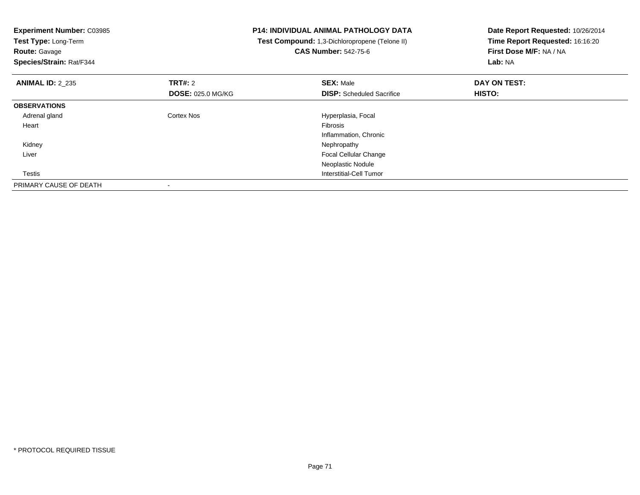| <b>Experiment Number: C03985</b> |                          | <b>P14: INDIVIDUAL ANIMAL PATHOLOGY DATA</b>   | Date Report Requested: 10/26/2014<br>Time Report Requested: 16:16:20 |
|----------------------------------|--------------------------|------------------------------------------------|----------------------------------------------------------------------|
| Test Type: Long-Term             |                          | Test Compound: 1,3-Dichloropropene (Telone II) |                                                                      |
| <b>Route: Gavage</b>             |                          | <b>CAS Number: 542-75-6</b>                    | First Dose M/F: NA / NA                                              |
| Species/Strain: Rat/F344         |                          |                                                | Lab: NA                                                              |
| <b>ANIMAL ID: 2 235</b>          | <b>TRT#: 2</b>           | <b>SEX: Male</b>                               | DAY ON TEST:                                                         |
|                                  | <b>DOSE: 025.0 MG/KG</b> | <b>DISP:</b> Scheduled Sacrifice               | HISTO:                                                               |
| <b>OBSERVATIONS</b>              |                          |                                                |                                                                      |
| Adrenal gland                    | <b>Cortex Nos</b>        | Hyperplasia, Focal                             |                                                                      |
| Heart                            |                          | Fibrosis                                       |                                                                      |
|                                  |                          | Inflammation, Chronic                          |                                                                      |
| Kidney                           |                          | Nephropathy                                    |                                                                      |
| Liver                            |                          | <b>Focal Cellular Change</b>                   |                                                                      |
|                                  |                          | Neoplastic Nodule                              |                                                                      |
| Testis                           |                          | Interstitial-Cell Tumor                        |                                                                      |
| PRIMARY CAUSE OF DEATH           |                          |                                                |                                                                      |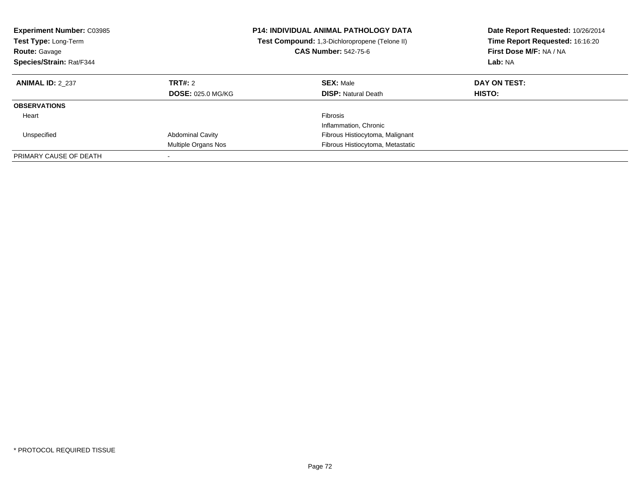| <b>Experiment Number: C03985</b><br><b>Test Type: Long-Term</b><br><b>Route: Gavage</b><br>Species/Strain: Rat/F344 |                                                | <b>P14: INDIVIDUAL ANIMAL PATHOLOGY DATA</b><br><b>Test Compound:</b> 1,3-Dichloropropene (Telone II)<br><b>CAS Number: 542-75-6</b> | Date Report Requested: 10/26/2014<br>Time Report Requested: 16:16:20<br>First Dose M/F: NA / NA<br>Lab: NA |
|---------------------------------------------------------------------------------------------------------------------|------------------------------------------------|--------------------------------------------------------------------------------------------------------------------------------------|------------------------------------------------------------------------------------------------------------|
| <b>ANIMAL ID: 2 237</b>                                                                                             | TRT#: 2<br><b>DOSE: 025.0 MG/KG</b>            | <b>SEX: Male</b><br><b>DISP:</b> Natural Death                                                                                       | DAY ON TEST:<br>HISTO:                                                                                     |
| <b>OBSERVATIONS</b>                                                                                                 |                                                |                                                                                                                                      |                                                                                                            |
| Heart                                                                                                               |                                                | Fibrosis<br>Inflammation, Chronic                                                                                                    |                                                                                                            |
| Unspecified                                                                                                         | <b>Abdominal Cavity</b><br>Multiple Organs Nos | Fibrous Histiocytoma, Malignant<br>Fibrous Histiocytoma, Metastatic                                                                  |                                                                                                            |
| PRIMARY CAUSE OF DEATH                                                                                              |                                                |                                                                                                                                      |                                                                                                            |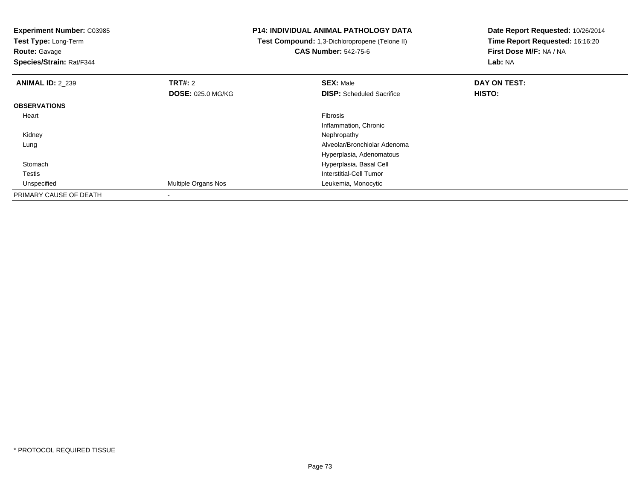| <b>Experiment Number: C03985</b><br>Test Type: Long-Term<br><b>Route: Gavage</b><br>Species/Strain: Rat/F344 |                          | <b>P14: INDIVIDUAL ANIMAL PATHOLOGY DATA</b><br>Test Compound: 1,3-Dichloropropene (Telone II)<br><b>CAS Number: 542-75-6</b> | Date Report Requested: 10/26/2014<br>Time Report Requested: 16:16:20<br>First Dose M/F: NA / NA<br>Lab: NA |
|--------------------------------------------------------------------------------------------------------------|--------------------------|-------------------------------------------------------------------------------------------------------------------------------|------------------------------------------------------------------------------------------------------------|
| <b>ANIMAL ID: 2 239</b>                                                                                      | <b>TRT#: 2</b>           | <b>SEX: Male</b>                                                                                                              | DAY ON TEST:                                                                                               |
|                                                                                                              | <b>DOSE: 025.0 MG/KG</b> | <b>DISP:</b> Scheduled Sacrifice                                                                                              | HISTO:                                                                                                     |
| <b>OBSERVATIONS</b>                                                                                          |                          |                                                                                                                               |                                                                                                            |
| Heart                                                                                                        |                          | <b>Fibrosis</b>                                                                                                               |                                                                                                            |
|                                                                                                              |                          | Inflammation, Chronic                                                                                                         |                                                                                                            |
| Kidney                                                                                                       |                          | Nephropathy                                                                                                                   |                                                                                                            |
| Lung                                                                                                         |                          | Alveolar/Bronchiolar Adenoma                                                                                                  |                                                                                                            |
|                                                                                                              |                          | Hyperplasia, Adenomatous                                                                                                      |                                                                                                            |
| Stomach                                                                                                      |                          | Hyperplasia, Basal Cell                                                                                                       |                                                                                                            |
| Testis                                                                                                       |                          | Interstitial-Cell Tumor                                                                                                       |                                                                                                            |
| Unspecified                                                                                                  | Multiple Organs Nos      | Leukemia, Monocytic                                                                                                           |                                                                                                            |
| PRIMARY CAUSE OF DEATH                                                                                       |                          |                                                                                                                               |                                                                                                            |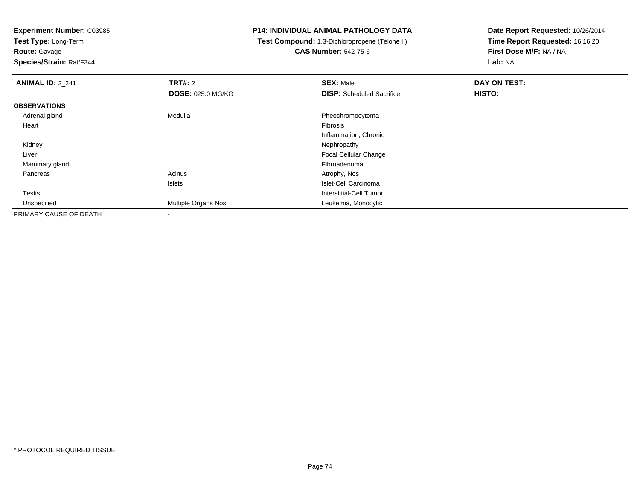**Test Type:** Long-Term

**Route:** Gavage

**Species/Strain:** Rat/F344

# **P14: INDIVIDUAL ANIMAL PATHOLOGY DATA**

 **Test Compound:** 1,3-Dichloropropene (Telone II)**CAS Number:** 542-75-6

| <b>ANIMAL ID: 2_241</b> | <b>TRT#: 2</b>           | <b>SEX: Male</b>                 | DAY ON TEST: |
|-------------------------|--------------------------|----------------------------------|--------------|
|                         | <b>DOSE: 025.0 MG/KG</b> | <b>DISP:</b> Scheduled Sacrifice | HISTO:       |
| <b>OBSERVATIONS</b>     |                          |                                  |              |
| Adrenal gland           | Medulla                  | Pheochromocytoma                 |              |
| Heart                   |                          | Fibrosis                         |              |
|                         |                          | Inflammation, Chronic            |              |
| Kidney                  |                          | Nephropathy                      |              |
| Liver                   |                          | <b>Focal Cellular Change</b>     |              |
| Mammary gland           |                          | Fibroadenoma                     |              |
| Pancreas                | Acinus                   | Atrophy, Nos                     |              |
|                         | Islets                   | Islet-Cell Carcinoma             |              |
| <b>Testis</b>           |                          | Interstitial-Cell Tumor          |              |
| Unspecified             | Multiple Organs Nos      | Leukemia, Monocytic              |              |
| PRIMARY CAUSE OF DEATH  |                          |                                  |              |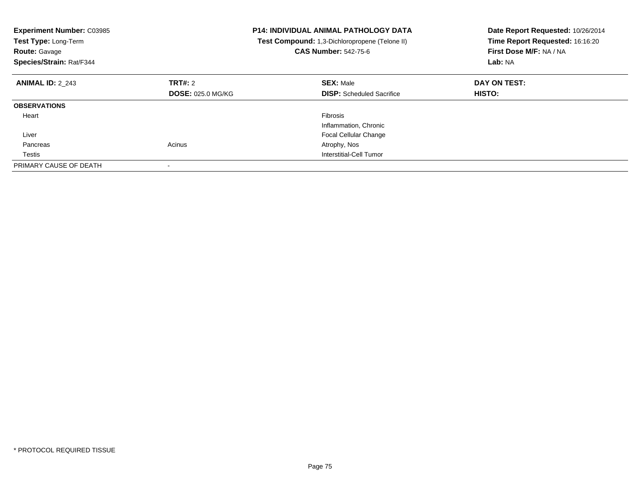| <b>Experiment Number: C03985</b><br>Test Type: Long-Term<br><b>Route: Gavage</b><br>Species/Strain: Rat/F344 |                          | <b>P14: INDIVIDUAL ANIMAL PATHOLOGY DATA</b><br>Test Compound: 1,3-Dichloropropene (Telone II)<br><b>CAS Number: 542-75-6</b> | Date Report Requested: 10/26/2014<br>Time Report Requested: 16:16:20<br>First Dose M/F: NA / NA<br>Lab: NA |
|--------------------------------------------------------------------------------------------------------------|--------------------------|-------------------------------------------------------------------------------------------------------------------------------|------------------------------------------------------------------------------------------------------------|
| <b>ANIMAL ID: 2 243</b>                                                                                      | TRT#: 2                  | <b>SEX: Male</b>                                                                                                              | DAY ON TEST:                                                                                               |
|                                                                                                              | <b>DOSE: 025.0 MG/KG</b> | <b>DISP:</b> Scheduled Sacrifice                                                                                              | <b>HISTO:</b>                                                                                              |
| <b>OBSERVATIONS</b>                                                                                          |                          |                                                                                                                               |                                                                                                            |
| Heart                                                                                                        |                          | Fibrosis                                                                                                                      |                                                                                                            |
|                                                                                                              |                          | Inflammation, Chronic                                                                                                         |                                                                                                            |
| Liver                                                                                                        |                          | <b>Focal Cellular Change</b>                                                                                                  |                                                                                                            |
| Pancreas                                                                                                     | Acinus                   | Atrophy, Nos                                                                                                                  |                                                                                                            |
| Testis                                                                                                       |                          | Interstitial-Cell Tumor                                                                                                       |                                                                                                            |
| PRIMARY CAUSE OF DEATH                                                                                       |                          |                                                                                                                               |                                                                                                            |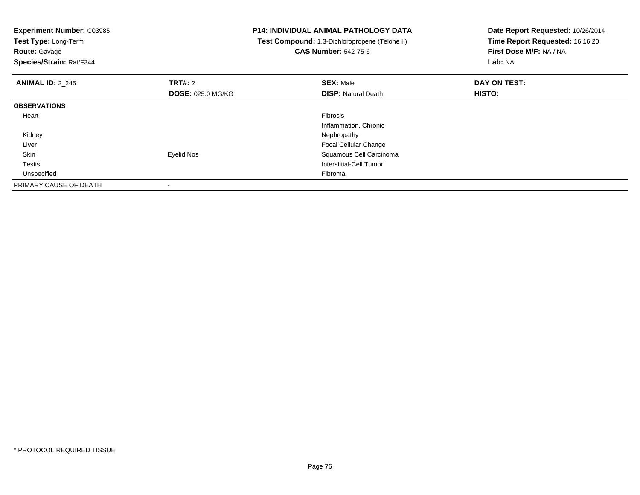| <b>Experiment Number: C03985</b><br>Test Type: Long-Term<br><b>Route: Gavage</b><br>Species/Strain: Rat/F344 |                          | P14: INDIVIDUAL ANIMAL PATHOLOGY DATA<br>Test Compound: 1,3-Dichloropropene (Telone II)<br><b>CAS Number: 542-75-6</b> | Date Report Requested: 10/26/2014<br>Time Report Requested: 16:16:20<br>First Dose M/F: NA / NA<br>Lab: NA |
|--------------------------------------------------------------------------------------------------------------|--------------------------|------------------------------------------------------------------------------------------------------------------------|------------------------------------------------------------------------------------------------------------|
|                                                                                                              |                          |                                                                                                                        |                                                                                                            |
| <b>ANIMAL ID: 2 245</b>                                                                                      | <b>TRT#: 2</b>           | <b>SEX: Male</b>                                                                                                       | DAY ON TEST:                                                                                               |
|                                                                                                              | <b>DOSE: 025.0 MG/KG</b> | <b>DISP:</b> Natural Death                                                                                             | <b>HISTO:</b>                                                                                              |
| <b>OBSERVATIONS</b>                                                                                          |                          |                                                                                                                        |                                                                                                            |
| Heart                                                                                                        |                          | <b>Fibrosis</b>                                                                                                        |                                                                                                            |
|                                                                                                              |                          | Inflammation, Chronic                                                                                                  |                                                                                                            |
| Kidney                                                                                                       |                          | Nephropathy                                                                                                            |                                                                                                            |
| Liver                                                                                                        |                          | <b>Focal Cellular Change</b>                                                                                           |                                                                                                            |
| Skin                                                                                                         | Eyelid Nos               | Squamous Cell Carcinoma                                                                                                |                                                                                                            |
| <b>Testis</b>                                                                                                |                          | Interstitial-Cell Tumor                                                                                                |                                                                                                            |
| Unspecified                                                                                                  |                          | Fibroma                                                                                                                |                                                                                                            |
| PRIMARY CAUSE OF DEATH                                                                                       |                          |                                                                                                                        |                                                                                                            |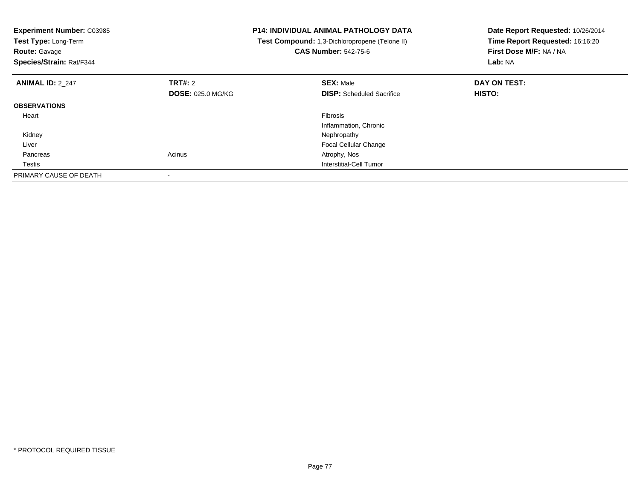| <b>Experiment Number: C03985</b><br>Test Type: Long-Term<br><b>Route:</b> Gavage<br>Species/Strain: Rat/F344 |                          | <b>P14: INDIVIDUAL ANIMAL PATHOLOGY DATA</b><br>Test Compound: 1,3-Dichloropropene (Telone II)<br><b>CAS Number: 542-75-6</b> | Date Report Requested: 10/26/2014<br>Time Report Requested: 16:16:20<br>First Dose M/F: NA / NA<br>Lab: NA |
|--------------------------------------------------------------------------------------------------------------|--------------------------|-------------------------------------------------------------------------------------------------------------------------------|------------------------------------------------------------------------------------------------------------|
| <b>ANIMAL ID: 2 247</b>                                                                                      | TRT#: 2                  | <b>SEX: Male</b>                                                                                                              | DAY ON TEST:                                                                                               |
|                                                                                                              | <b>DOSE: 025.0 MG/KG</b> | <b>DISP:</b> Scheduled Sacrifice                                                                                              | <b>HISTO:</b>                                                                                              |
| <b>OBSERVATIONS</b>                                                                                          |                          |                                                                                                                               |                                                                                                            |
| Heart                                                                                                        |                          | Fibrosis                                                                                                                      |                                                                                                            |
|                                                                                                              |                          | Inflammation, Chronic                                                                                                         |                                                                                                            |
| Kidney                                                                                                       |                          | Nephropathy                                                                                                                   |                                                                                                            |
| Liver                                                                                                        |                          | <b>Focal Cellular Change</b>                                                                                                  |                                                                                                            |
| Pancreas                                                                                                     | Acinus                   | Atrophy, Nos                                                                                                                  |                                                                                                            |
| Testis                                                                                                       |                          | Interstitial-Cell Tumor                                                                                                       |                                                                                                            |
| PRIMARY CAUSE OF DEATH                                                                                       |                          |                                                                                                                               |                                                                                                            |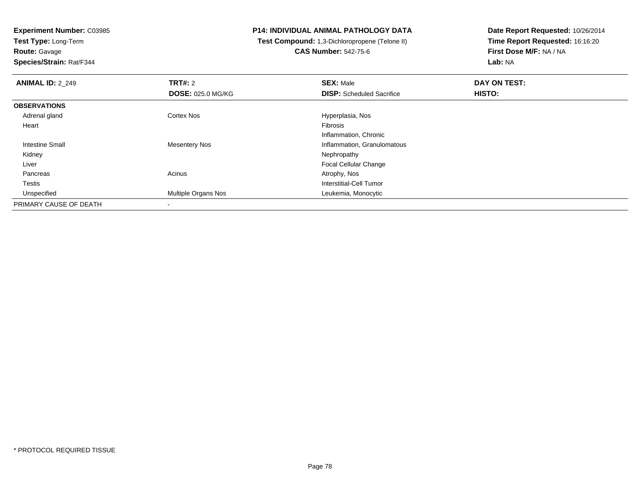**Test Type:** Long-Term**Route:** Gavage

**Species/Strain:** Rat/F344

# **P14: INDIVIDUAL ANIMAL PATHOLOGY DATA**

 **Test Compound:** 1,3-Dichloropropene (Telone II)**CAS Number:** 542-75-6

| <b>ANIMAL ID: 2 249</b> | TRT#: 2                  | <b>SEX: Male</b>                 | DAY ON TEST: |  |
|-------------------------|--------------------------|----------------------------------|--------------|--|
|                         | <b>DOSE: 025.0 MG/KG</b> | <b>DISP:</b> Scheduled Sacrifice | HISTO:       |  |
| <b>OBSERVATIONS</b>     |                          |                                  |              |  |
| Adrenal gland           | Cortex Nos               | Hyperplasia, Nos                 |              |  |
| Heart                   |                          | Fibrosis                         |              |  |
|                         |                          | Inflammation, Chronic            |              |  |
| Intestine Small         | <b>Mesentery Nos</b>     | Inflammation, Granulomatous      |              |  |
| Kidney                  |                          | Nephropathy                      |              |  |
| Liver                   |                          | Focal Cellular Change            |              |  |
| Pancreas                | Acinus                   | Atrophy, Nos                     |              |  |
| Testis                  |                          | Interstitial-Cell Tumor          |              |  |
| Unspecified             | Multiple Organs Nos      | Leukemia, Monocytic              |              |  |
| PRIMARY CAUSE OF DEATH  | $\overline{\phantom{a}}$ |                                  |              |  |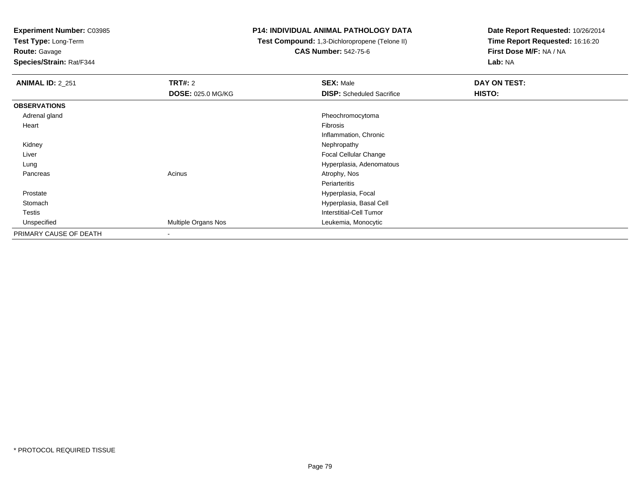**Test Type:** Long-Term

**Route:** Gavage

**Species/Strain:** Rat/F344

#### **P14: INDIVIDUAL ANIMAL PATHOLOGY DATA**

 **Test Compound:** 1,3-Dichloropropene (Telone II)**CAS Number:** 542-75-6

| <b>ANIMAL ID: 2 251</b> | TRT#: 2                  | <b>SEX: Male</b>                 | <b>DAY ON TEST:</b> |
|-------------------------|--------------------------|----------------------------------|---------------------|
|                         | <b>DOSE: 025.0 MG/KG</b> | <b>DISP:</b> Scheduled Sacrifice | HISTO:              |
| <b>OBSERVATIONS</b>     |                          |                                  |                     |
| Adrenal gland           |                          | Pheochromocytoma                 |                     |
| Heart                   |                          | Fibrosis                         |                     |
|                         |                          | Inflammation, Chronic            |                     |
| Kidney                  |                          | Nephropathy                      |                     |
| Liver                   |                          | Focal Cellular Change            |                     |
| Lung                    |                          | Hyperplasia, Adenomatous         |                     |
| Pancreas                | Acinus                   | Atrophy, Nos                     |                     |
|                         |                          | Periarteritis                    |                     |
| Prostate                |                          | Hyperplasia, Focal               |                     |
| Stomach                 |                          | Hyperplasia, Basal Cell          |                     |
| <b>Testis</b>           |                          | <b>Interstitial-Cell Tumor</b>   |                     |
| Unspecified             | Multiple Organs Nos      | Leukemia, Monocytic              |                     |
| PRIMARY CAUSE OF DEATH  | $\overline{\phantom{a}}$ |                                  |                     |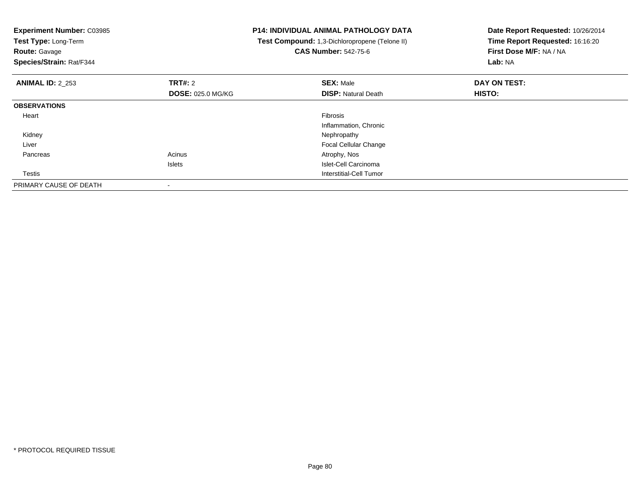| <b>Experiment Number: C03985</b><br>Test Type: Long-Term<br><b>Route: Gavage</b><br>Species/Strain: Rat/F344 |                          | <b>P14: INDIVIDUAL ANIMAL PATHOLOGY DATA</b><br>Test Compound: 1,3-Dichloropropene (Telone II)<br><b>CAS Number: 542-75-6</b> | Date Report Requested: 10/26/2014<br>Time Report Requested: 16:16:20<br>First Dose M/F: NA / NA<br>Lab: NA |
|--------------------------------------------------------------------------------------------------------------|--------------------------|-------------------------------------------------------------------------------------------------------------------------------|------------------------------------------------------------------------------------------------------------|
| <b>ANIMAL ID: 2 253</b>                                                                                      | TRT#: 2                  | <b>SEX: Male</b>                                                                                                              | DAY ON TEST:                                                                                               |
|                                                                                                              | <b>DOSE: 025.0 MG/KG</b> | <b>DISP:</b> Natural Death                                                                                                    | HISTO:                                                                                                     |
| <b>OBSERVATIONS</b>                                                                                          |                          |                                                                                                                               |                                                                                                            |
| Heart                                                                                                        |                          | <b>Fibrosis</b>                                                                                                               |                                                                                                            |
|                                                                                                              |                          | Inflammation, Chronic                                                                                                         |                                                                                                            |
| Kidney                                                                                                       |                          | Nephropathy                                                                                                                   |                                                                                                            |
| Liver                                                                                                        |                          | Focal Cellular Change                                                                                                         |                                                                                                            |
| Pancreas                                                                                                     | Acinus                   | Atrophy, Nos                                                                                                                  |                                                                                                            |
|                                                                                                              | <b>Islets</b>            | Islet-Cell Carcinoma                                                                                                          |                                                                                                            |
| Testis                                                                                                       |                          | Interstitial-Cell Tumor                                                                                                       |                                                                                                            |
| PRIMARY CAUSE OF DEATH                                                                                       |                          |                                                                                                                               |                                                                                                            |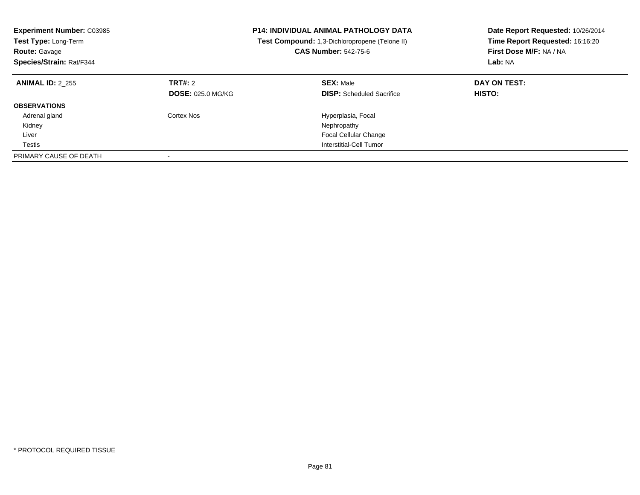| <b>Experiment Number: C03985</b><br><b>Test Type: Long-Term</b><br><b>Route: Gavage</b><br>Species/Strain: Rat/F344 |                                     | <b>P14: INDIVIDUAL ANIMAL PATHOLOGY DATA</b><br>Test Compound: 1,3-Dichloropropene (Telone II)<br><b>CAS Number: 542-75-6</b> | Date Report Requested: 10/26/2014<br>Time Report Requested: 16:16:20<br>First Dose M/F: NA / NA<br>Lab: NA |
|---------------------------------------------------------------------------------------------------------------------|-------------------------------------|-------------------------------------------------------------------------------------------------------------------------------|------------------------------------------------------------------------------------------------------------|
| <b>ANIMAL ID: 2 255</b>                                                                                             | TRT#: 2<br><b>DOSE: 025.0 MG/KG</b> | <b>SEX: Male</b><br><b>DISP:</b> Scheduled Sacrifice                                                                          | DAY ON TEST:<br><b>HISTO:</b>                                                                              |
| <b>OBSERVATIONS</b>                                                                                                 |                                     |                                                                                                                               |                                                                                                            |
| Adrenal gland                                                                                                       | Cortex Nos                          | Hyperplasia, Focal                                                                                                            |                                                                                                            |
| Kidney                                                                                                              |                                     | Nephropathy                                                                                                                   |                                                                                                            |
| Liver                                                                                                               |                                     | <b>Focal Cellular Change</b>                                                                                                  |                                                                                                            |
| Testis                                                                                                              |                                     | Interstitial-Cell Tumor                                                                                                       |                                                                                                            |
| PRIMARY CAUSE OF DEATH                                                                                              |                                     |                                                                                                                               |                                                                                                            |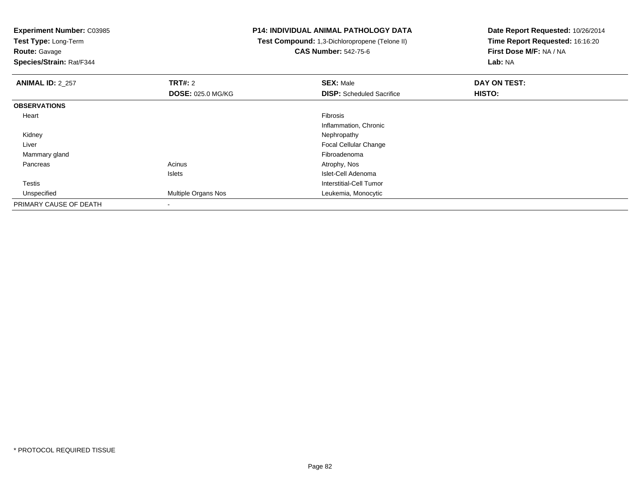**Test Type:** Long-Term

**Route:** Gavage

**Species/Strain:** Rat/F344

# **P14: INDIVIDUAL ANIMAL PATHOLOGY DATA**

 **Test Compound:** 1,3-Dichloropropene (Telone II)**CAS Number:** 542-75-6

| <b>ANIMAL ID: 2_257</b> | TRT#: 2                    | <b>SEX: Male</b>                 | DAY ON TEST: |  |
|-------------------------|----------------------------|----------------------------------|--------------|--|
|                         | <b>DOSE: 025.0 MG/KG</b>   | <b>DISP:</b> Scheduled Sacrifice | HISTO:       |  |
| <b>OBSERVATIONS</b>     |                            |                                  |              |  |
| Heart                   |                            | Fibrosis                         |              |  |
|                         |                            | Inflammation, Chronic            |              |  |
| Kidney                  |                            | Nephropathy                      |              |  |
| Liver                   |                            | Focal Cellular Change            |              |  |
| Mammary gland           |                            | Fibroadenoma                     |              |  |
| Pancreas                | Acinus                     | Atrophy, Nos                     |              |  |
|                         | <b>Islets</b>              | Islet-Cell Adenoma               |              |  |
| Testis                  |                            | Interstitial-Cell Tumor          |              |  |
| Unspecified             | <b>Multiple Organs Nos</b> | Leukemia, Monocytic              |              |  |
| PRIMARY CAUSE OF DEATH  |                            |                                  |              |  |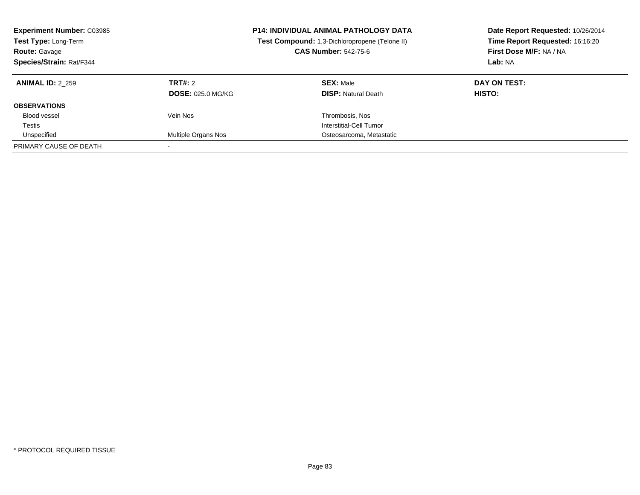| <b>Experiment Number: C03985</b><br>Test Type: Long-Term<br><b>Route: Gavage</b><br>Species/Strain: Rat/F344 |                          | <b>P14: INDIVIDUAL ANIMAL PATHOLOGY DATA</b><br>Test Compound: 1,3-Dichloropropene (Telone II)<br><b>CAS Number: 542-75-6</b> | Date Report Requested: 10/26/2014<br>Time Report Requested: 16:16:20<br>First Dose M/F: NA / NA<br>Lab: NA |
|--------------------------------------------------------------------------------------------------------------|--------------------------|-------------------------------------------------------------------------------------------------------------------------------|------------------------------------------------------------------------------------------------------------|
| <b>ANIMAL ID: 2 259</b>                                                                                      | TRT#: 2                  | <b>SEX: Male</b>                                                                                                              | DAY ON TEST:                                                                                               |
|                                                                                                              | <b>DOSE: 025.0 MG/KG</b> | <b>DISP:</b> Natural Death                                                                                                    | <b>HISTO:</b>                                                                                              |
| <b>OBSERVATIONS</b>                                                                                          |                          |                                                                                                                               |                                                                                                            |
| Blood vessel                                                                                                 | Vein Nos                 | Thrombosis, Nos                                                                                                               |                                                                                                            |
| Testis                                                                                                       |                          | Interstitial-Cell Tumor                                                                                                       |                                                                                                            |
| Unspecified                                                                                                  | Multiple Organs Nos      | Osteosarcoma, Metastatic                                                                                                      |                                                                                                            |
| PRIMARY CAUSE OF DEATH                                                                                       |                          |                                                                                                                               |                                                                                                            |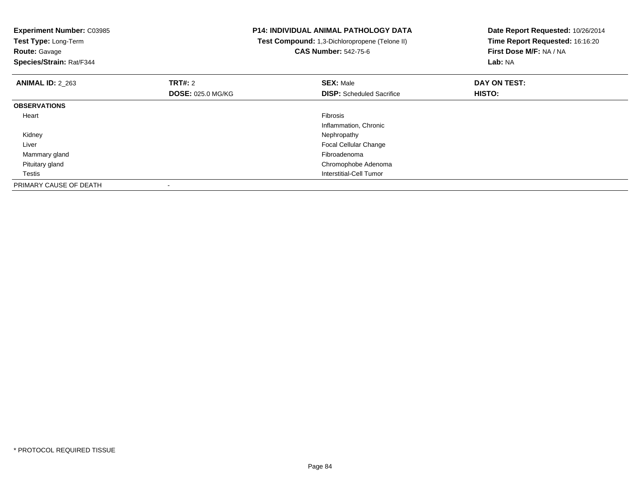| <b>Experiment Number: C03985</b><br>Test Type: Long-Term<br><b>Route: Gavage</b><br>Species/Strain: Rat/F344 |                          | <b>P14: INDIVIDUAL ANIMAL PATHOLOGY DATA</b><br>Test Compound: 1,3-Dichloropropene (Telone II)<br><b>CAS Number: 542-75-6</b> | Date Report Requested: 10/26/2014<br>Time Report Requested: 16:16:20<br>First Dose M/F: NA / NA<br>Lab: NA |
|--------------------------------------------------------------------------------------------------------------|--------------------------|-------------------------------------------------------------------------------------------------------------------------------|------------------------------------------------------------------------------------------------------------|
| <b>ANIMAL ID: 2_263</b>                                                                                      | <b>TRT#: 2</b>           | <b>SEX: Male</b>                                                                                                              | DAY ON TEST:                                                                                               |
|                                                                                                              | <b>DOSE: 025.0 MG/KG</b> | <b>DISP:</b> Scheduled Sacrifice                                                                                              | HISTO:                                                                                                     |
| <b>OBSERVATIONS</b>                                                                                          |                          |                                                                                                                               |                                                                                                            |
| Heart                                                                                                        |                          | <b>Fibrosis</b>                                                                                                               |                                                                                                            |
|                                                                                                              |                          | Inflammation, Chronic                                                                                                         |                                                                                                            |
| Kidney                                                                                                       |                          | Nephropathy                                                                                                                   |                                                                                                            |
| Liver                                                                                                        |                          | Focal Cellular Change                                                                                                         |                                                                                                            |
| Mammary gland                                                                                                |                          | Fibroadenoma                                                                                                                  |                                                                                                            |
| Pituitary gland                                                                                              |                          | Chromophobe Adenoma                                                                                                           |                                                                                                            |
| Testis                                                                                                       |                          | Interstitial-Cell Tumor                                                                                                       |                                                                                                            |
| PRIMARY CAUSE OF DEATH                                                                                       |                          |                                                                                                                               |                                                                                                            |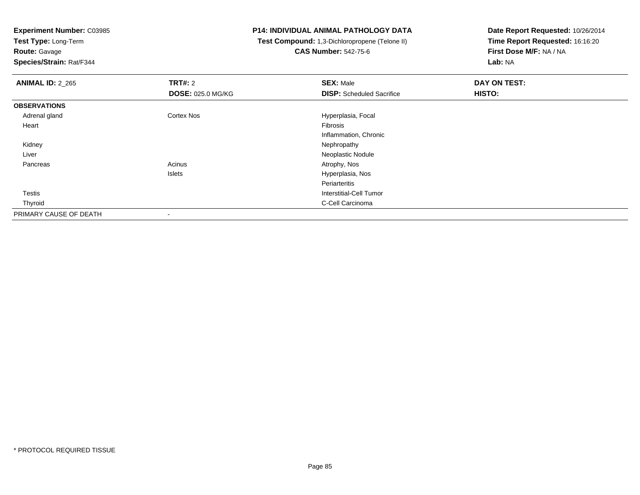**Test Type:** Long-Term

**Route:** Gavage

**Species/Strain:** Rat/F344

# **P14: INDIVIDUAL ANIMAL PATHOLOGY DATA**

 **Test Compound:** 1,3-Dichloropropene (Telone II)**CAS Number:** 542-75-6

| <b>ANIMAL ID: 2 265</b> | TRT#: 2                  | <b>SEX: Male</b>                 | DAY ON TEST: |  |
|-------------------------|--------------------------|----------------------------------|--------------|--|
|                         | <b>DOSE: 025.0 MG/KG</b> | <b>DISP:</b> Scheduled Sacrifice | HISTO:       |  |
| <b>OBSERVATIONS</b>     |                          |                                  |              |  |
| Adrenal gland           | <b>Cortex Nos</b>        | Hyperplasia, Focal               |              |  |
| Heart                   |                          | Fibrosis                         |              |  |
|                         |                          | Inflammation, Chronic            |              |  |
| Kidney                  |                          | Nephropathy                      |              |  |
| Liver                   |                          | Neoplastic Nodule                |              |  |
| Pancreas                | Acinus                   | Atrophy, Nos                     |              |  |
|                         | Islets                   | Hyperplasia, Nos                 |              |  |
|                         |                          | Periarteritis                    |              |  |
| Testis                  |                          | Interstitial-Cell Tumor          |              |  |
| Thyroid                 |                          | C-Cell Carcinoma                 |              |  |
| PRIMARY CAUSE OF DEATH  | $\overline{\phantom{a}}$ |                                  |              |  |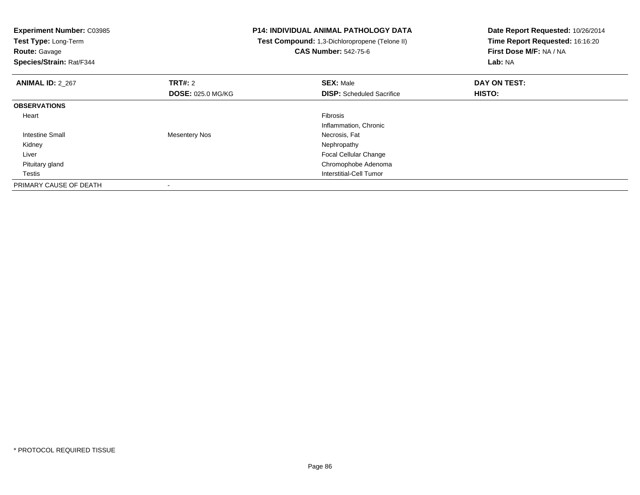| <b>Experiment Number: C03985</b><br>Test Type: Long-Term<br><b>Route: Gavage</b><br>Species/Strain: Rat/F344 |                          | <b>P14: INDIVIDUAL ANIMAL PATHOLOGY DATA</b><br>Test Compound: 1,3-Dichloropropene (Telone II)<br><b>CAS Number: 542-75-6</b> | Date Report Requested: 10/26/2014<br>Time Report Requested: 16:16:20<br>First Dose M/F: NA / NA<br>Lab: NA |
|--------------------------------------------------------------------------------------------------------------|--------------------------|-------------------------------------------------------------------------------------------------------------------------------|------------------------------------------------------------------------------------------------------------|
| <b>ANIMAL ID: 2 267</b>                                                                                      | <b>TRT#: 2</b>           | <b>SEX: Male</b>                                                                                                              | DAY ON TEST:                                                                                               |
|                                                                                                              | <b>DOSE: 025.0 MG/KG</b> | <b>DISP:</b> Scheduled Sacrifice                                                                                              | <b>HISTO:</b>                                                                                              |
| <b>OBSERVATIONS</b>                                                                                          |                          |                                                                                                                               |                                                                                                            |
| Heart                                                                                                        |                          | Fibrosis                                                                                                                      |                                                                                                            |
|                                                                                                              |                          | Inflammation, Chronic                                                                                                         |                                                                                                            |
| Intestine Small                                                                                              | Mesentery Nos            | Necrosis, Fat                                                                                                                 |                                                                                                            |
| Kidney                                                                                                       |                          | Nephropathy                                                                                                                   |                                                                                                            |
| Liver                                                                                                        |                          | <b>Focal Cellular Change</b>                                                                                                  |                                                                                                            |
| Pituitary gland                                                                                              |                          | Chromophobe Adenoma                                                                                                           |                                                                                                            |
| Testis                                                                                                       |                          | Interstitial-Cell Tumor                                                                                                       |                                                                                                            |
| PRIMARY CAUSE OF DEATH                                                                                       |                          |                                                                                                                               |                                                                                                            |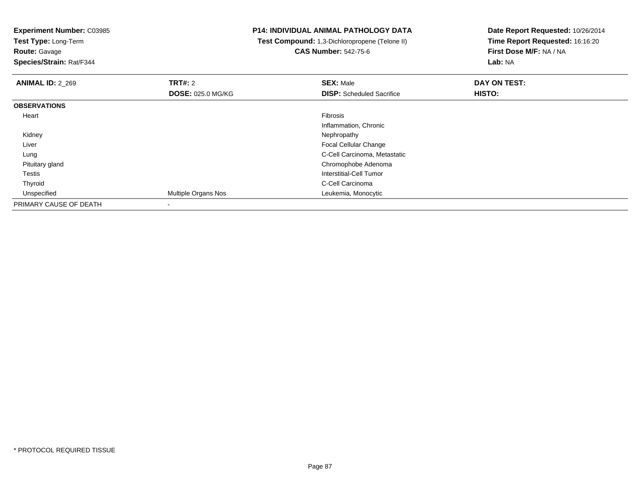**Test Type:** Long-Term**Route:** Gavage

**Species/Strain:** Rat/F344

# **P14: INDIVIDUAL ANIMAL PATHOLOGY DATA**

 **Test Compound:** 1,3-Dichloropropene (Telone II)**CAS Number:** 542-75-6

| <b>ANIMAL ID: 2 269</b> | TRT#: 2                  | <b>SEX: Male</b>                 | DAY ON TEST: |  |
|-------------------------|--------------------------|----------------------------------|--------------|--|
|                         | <b>DOSE: 025.0 MG/KG</b> | <b>DISP:</b> Scheduled Sacrifice | HISTO:       |  |
| <b>OBSERVATIONS</b>     |                          |                                  |              |  |
| Heart                   |                          | Fibrosis                         |              |  |
|                         |                          | Inflammation, Chronic            |              |  |
| Kidney                  |                          | Nephropathy                      |              |  |
| Liver                   |                          | Focal Cellular Change            |              |  |
| Lung                    |                          | C-Cell Carcinoma, Metastatic     |              |  |
| Pituitary gland         |                          | Chromophobe Adenoma              |              |  |
| Testis                  |                          | Interstitial-Cell Tumor          |              |  |
| Thyroid                 |                          | C-Cell Carcinoma                 |              |  |
| Unspecified             | Multiple Organs Nos      | Leukemia, Monocytic              |              |  |
| PRIMARY CAUSE OF DEATH  | $\,$                     |                                  |              |  |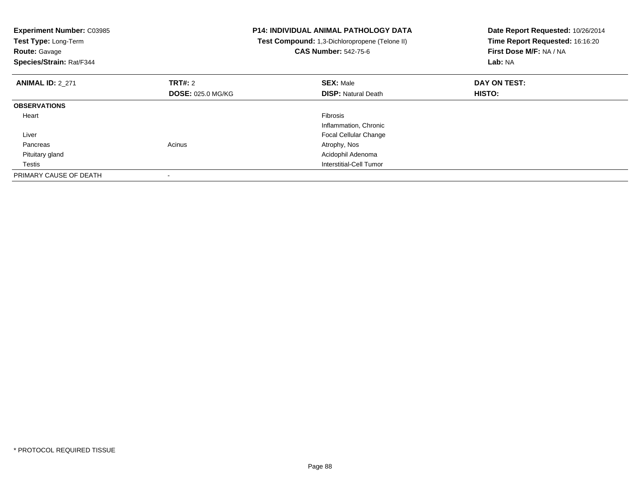| <b>Experiment Number: C03985</b><br>Test Type: Long-Term<br><b>Route: Gavage</b><br>Species/Strain: Rat/F344 |                          | <b>P14: INDIVIDUAL ANIMAL PATHOLOGY DATA</b><br>Test Compound: 1,3-Dichloropropene (Telone II)<br><b>CAS Number: 542-75-6</b> | Date Report Requested: 10/26/2014<br>Time Report Requested: 16:16:20<br>First Dose M/F: NA / NA<br>Lab: NA |
|--------------------------------------------------------------------------------------------------------------|--------------------------|-------------------------------------------------------------------------------------------------------------------------------|------------------------------------------------------------------------------------------------------------|
| <b>ANIMAL ID: 2 271</b>                                                                                      | <b>TRT#: 2</b>           | <b>SEX: Male</b>                                                                                                              | DAY ON TEST:                                                                                               |
|                                                                                                              | <b>DOSE: 025.0 MG/KG</b> | <b>DISP:</b> Natural Death                                                                                                    | HISTO:                                                                                                     |
| <b>OBSERVATIONS</b>                                                                                          |                          |                                                                                                                               |                                                                                                            |
| Heart                                                                                                        |                          | Fibrosis                                                                                                                      |                                                                                                            |
|                                                                                                              |                          | Inflammation, Chronic                                                                                                         |                                                                                                            |
| Liver                                                                                                        |                          | <b>Focal Cellular Change</b>                                                                                                  |                                                                                                            |
| Pancreas                                                                                                     | Acinus                   | Atrophy, Nos                                                                                                                  |                                                                                                            |
| Pituitary gland                                                                                              |                          | Acidophil Adenoma                                                                                                             |                                                                                                            |
| Testis                                                                                                       |                          | <b>Interstitial-Cell Tumor</b>                                                                                                |                                                                                                            |
| PRIMARY CAUSE OF DEATH                                                                                       |                          |                                                                                                                               |                                                                                                            |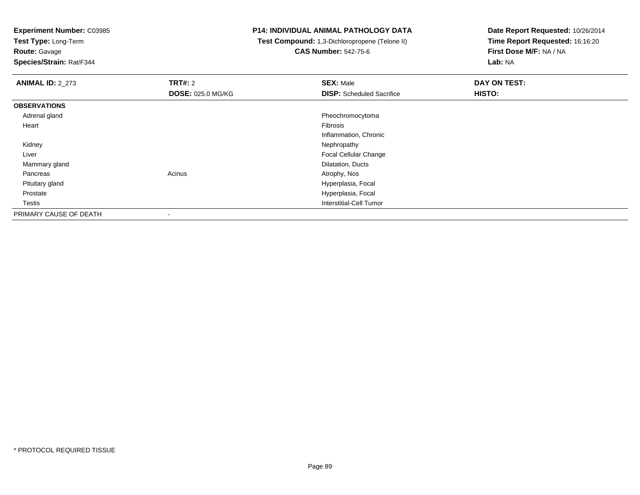**Test Type:** Long-Term

**Route:** Gavage

**Species/Strain:** Rat/F344

### **P14: INDIVIDUAL ANIMAL PATHOLOGY DATA**

 **Test Compound:** 1,3-Dichloropropene (Telone II)**CAS Number:** 542-75-6

| <b>ANIMAL ID: 2_273</b> | TRT#: 2                  | <b>SEX: Male</b>                 | DAY ON TEST: |
|-------------------------|--------------------------|----------------------------------|--------------|
|                         | <b>DOSE: 025.0 MG/KG</b> | <b>DISP:</b> Scheduled Sacrifice | HISTO:       |
| <b>OBSERVATIONS</b>     |                          |                                  |              |
| Adrenal gland           |                          | Pheochromocytoma                 |              |
| Heart                   |                          | Fibrosis                         |              |
|                         |                          | Inflammation, Chronic            |              |
| Kidney                  |                          | Nephropathy                      |              |
| Liver                   |                          | <b>Focal Cellular Change</b>     |              |
| Mammary gland           |                          | Dilatation, Ducts                |              |
| Pancreas                | Acinus                   | Atrophy, Nos                     |              |
| Pituitary gland         |                          | Hyperplasia, Focal               |              |
| Prostate                |                          | Hyperplasia, Focal               |              |
| Testis                  |                          | Interstitial-Cell Tumor          |              |
| PRIMARY CAUSE OF DEATH  | ۰                        |                                  |              |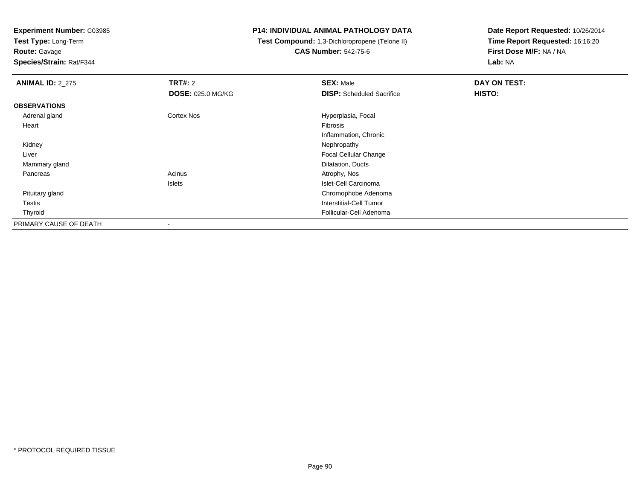**Test Type:** Long-Term

**Route:** Gavage

**Species/Strain:** Rat/F344

#### **P14: INDIVIDUAL ANIMAL PATHOLOGY DATA**

 **Test Compound:** 1,3-Dichloropropene (Telone II)**CAS Number:** 542-75-6

| <b>ANIMAL ID: 2_275</b> | TRT#: 2                  | <b>SEX: Male</b>                 | DAY ON TEST: |
|-------------------------|--------------------------|----------------------------------|--------------|
|                         | <b>DOSE: 025.0 MG/KG</b> | <b>DISP:</b> Scheduled Sacrifice | HISTO:       |
| <b>OBSERVATIONS</b>     |                          |                                  |              |
| Adrenal gland           | Cortex Nos               | Hyperplasia, Focal               |              |
| Heart                   |                          | Fibrosis                         |              |
|                         |                          | Inflammation, Chronic            |              |
| Kidney                  |                          | Nephropathy                      |              |
| Liver                   |                          | Focal Cellular Change            |              |
| Mammary gland           |                          | Dilatation, Ducts                |              |
| Pancreas                | Acinus                   | Atrophy, Nos                     |              |
|                         | <b>Islets</b>            | Islet-Cell Carcinoma             |              |
| Pituitary gland         |                          | Chromophobe Adenoma              |              |
| Testis                  |                          | Interstitial-Cell Tumor          |              |
| Thyroid                 |                          | Follicular-Cell Adenoma          |              |
| PRIMARY CAUSE OF DEATH  | $\blacksquare$           |                                  |              |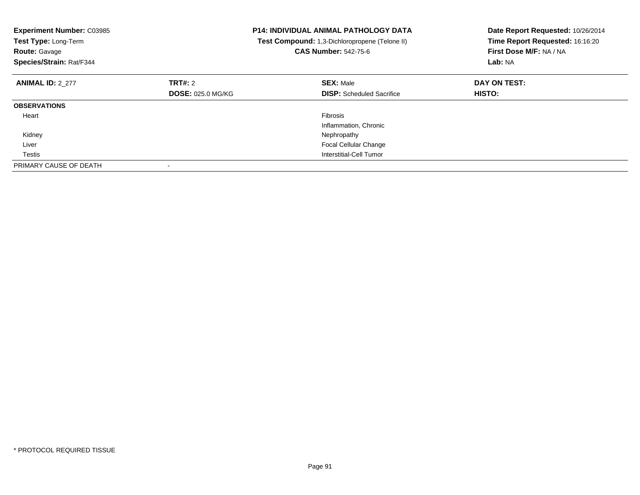| <b>Experiment Number: C03985</b><br>Test Type: Long-Term<br><b>Route: Gavage</b><br>Species/Strain: Rat/F344 |                          | <b>P14: INDIVIDUAL ANIMAL PATHOLOGY DATA</b><br>Test Compound: 1,3-Dichloropropene (Telone II)<br><b>CAS Number: 542-75-6</b> | Date Report Requested: 10/26/2014<br>Time Report Requested: 16:16:20<br>First Dose M/F: NA / NA<br>Lab: NA |
|--------------------------------------------------------------------------------------------------------------|--------------------------|-------------------------------------------------------------------------------------------------------------------------------|------------------------------------------------------------------------------------------------------------|
| <b>ANIMAL ID: 2_277</b>                                                                                      | <b>TRT#: 2</b>           | <b>SEX: Male</b>                                                                                                              | DAY ON TEST:                                                                                               |
|                                                                                                              | <b>DOSE: 025.0 MG/KG</b> | <b>DISP:</b> Scheduled Sacrifice                                                                                              | <b>HISTO:</b>                                                                                              |
| <b>OBSERVATIONS</b>                                                                                          |                          |                                                                                                                               |                                                                                                            |
| Heart                                                                                                        |                          | <b>Fibrosis</b>                                                                                                               |                                                                                                            |
|                                                                                                              |                          | Inflammation, Chronic                                                                                                         |                                                                                                            |
| Kidney                                                                                                       |                          | Nephropathy                                                                                                                   |                                                                                                            |
| Liver                                                                                                        |                          | <b>Focal Cellular Change</b>                                                                                                  |                                                                                                            |
| Testis                                                                                                       |                          | Interstitial-Cell Tumor                                                                                                       |                                                                                                            |
| PRIMARY CAUSE OF DEATH                                                                                       |                          |                                                                                                                               |                                                                                                            |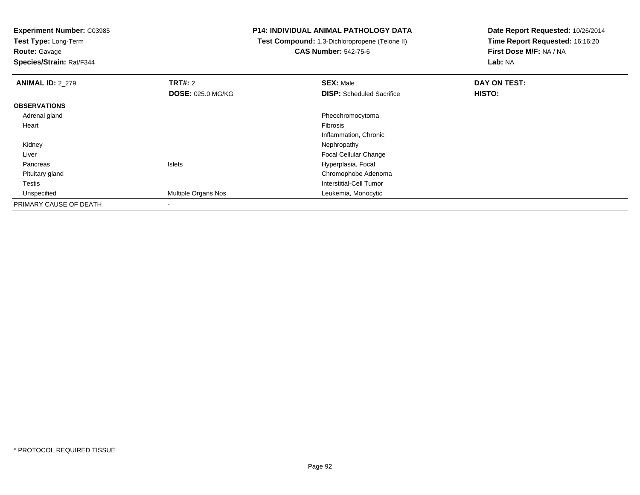**Test Type:** Long-Term

# **Route:** Gavage

**Species/Strain:** Rat/F344

# **P14: INDIVIDUAL ANIMAL PATHOLOGY DATA**

 **Test Compound:** 1,3-Dichloropropene (Telone II)**CAS Number:** 542-75-6

| <b>ANIMAL ID: 2_279</b> | TRT#: 2                  | <b>SEX: Male</b>                 | DAY ON TEST: |  |
|-------------------------|--------------------------|----------------------------------|--------------|--|
|                         | <b>DOSE: 025.0 MG/KG</b> | <b>DISP:</b> Scheduled Sacrifice | HISTO:       |  |
| <b>OBSERVATIONS</b>     |                          |                                  |              |  |
| Adrenal gland           |                          | Pheochromocytoma                 |              |  |
| Heart                   |                          | Fibrosis                         |              |  |
|                         |                          | Inflammation, Chronic            |              |  |
| Kidney                  |                          | Nephropathy                      |              |  |
| Liver                   |                          | Focal Cellular Change            |              |  |
| Pancreas                | Islets                   | Hyperplasia, Focal               |              |  |
| Pituitary gland         |                          | Chromophobe Adenoma              |              |  |
| Testis                  |                          | Interstitial-Cell Tumor          |              |  |
| Unspecified             | Multiple Organs Nos      | Leukemia, Monocytic              |              |  |
| PRIMARY CAUSE OF DEATH  | $\,$                     |                                  |              |  |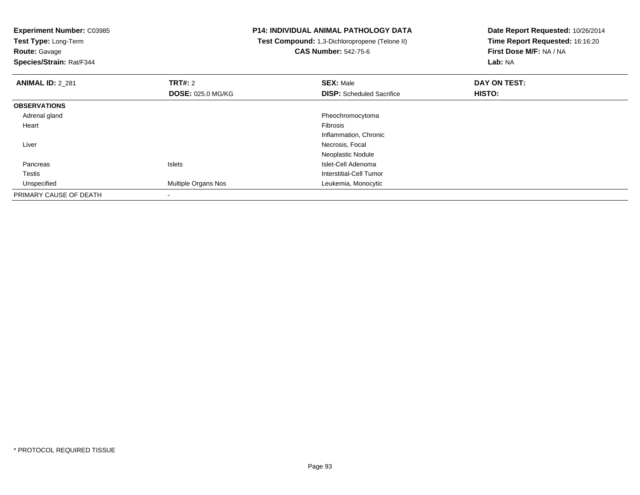**Test Type:** Long-Term

**Route:** Gavage

**Species/Strain:** Rat/F344

# **P14: INDIVIDUAL ANIMAL PATHOLOGY DATA**

 **Test Compound:** 1,3-Dichloropropene (Telone II)**CAS Number:** 542-75-6

| <b>ANIMAL ID: 2 281</b> | <b>TRT#: 2</b>           | <b>SEX: Male</b>                 | DAY ON TEST: |  |
|-------------------------|--------------------------|----------------------------------|--------------|--|
|                         | <b>DOSE: 025.0 MG/KG</b> | <b>DISP:</b> Scheduled Sacrifice | HISTO:       |  |
| <b>OBSERVATIONS</b>     |                          |                                  |              |  |
| Adrenal gland           |                          | Pheochromocytoma                 |              |  |
| Heart                   |                          | Fibrosis                         |              |  |
|                         |                          | Inflammation, Chronic            |              |  |
| Liver                   |                          | Necrosis, Focal                  |              |  |
|                         |                          | Neoplastic Nodule                |              |  |
| Pancreas                | <b>Islets</b>            | Islet-Cell Adenoma               |              |  |
| Testis                  |                          | Interstitial-Cell Tumor          |              |  |
| Unspecified             | Multiple Organs Nos      | Leukemia, Monocytic              |              |  |
| PRIMARY CAUSE OF DEATH  |                          |                                  |              |  |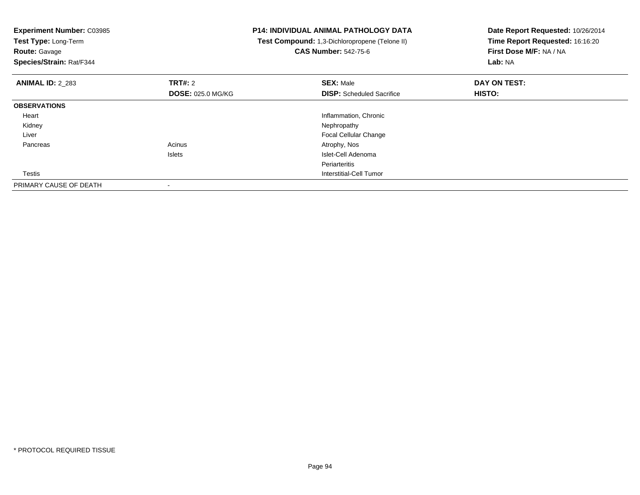| <b>Experiment Number: C03985</b><br>Test Type: Long-Term<br><b>Route: Gavage</b> |                          | <b>P14: INDIVIDUAL ANIMAL PATHOLOGY DATA</b><br>Test Compound: 1,3-Dichloropropene (Telone II)<br><b>CAS Number: 542-75-6</b> | Date Report Requested: 10/26/2014<br>Time Report Requested: 16:16:20<br>First Dose M/F: NA / NA |
|----------------------------------------------------------------------------------|--------------------------|-------------------------------------------------------------------------------------------------------------------------------|-------------------------------------------------------------------------------------------------|
| Species/Strain: Rat/F344                                                         |                          |                                                                                                                               | Lab: NA                                                                                         |
| <b>ANIMAL ID: 2 283</b>                                                          | <b>TRT#:</b> 2           | <b>SEX: Male</b>                                                                                                              | DAY ON TEST:                                                                                    |
|                                                                                  | <b>DOSE: 025.0 MG/KG</b> | <b>DISP:</b> Scheduled Sacrifice                                                                                              | HISTO:                                                                                          |
| <b>OBSERVATIONS</b>                                                              |                          |                                                                                                                               |                                                                                                 |
| Heart                                                                            |                          | Inflammation, Chronic                                                                                                         |                                                                                                 |
| Kidney                                                                           |                          | Nephropathy                                                                                                                   |                                                                                                 |
| Liver                                                                            |                          | <b>Focal Cellular Change</b>                                                                                                  |                                                                                                 |
| Pancreas                                                                         | Acinus                   | Atrophy, Nos                                                                                                                  |                                                                                                 |
|                                                                                  | Islets                   | Islet-Cell Adenoma                                                                                                            |                                                                                                 |
|                                                                                  |                          | Periarteritis                                                                                                                 |                                                                                                 |
| Testis                                                                           |                          | Interstitial-Cell Tumor                                                                                                       |                                                                                                 |
| PRIMARY CAUSE OF DEATH                                                           |                          |                                                                                                                               |                                                                                                 |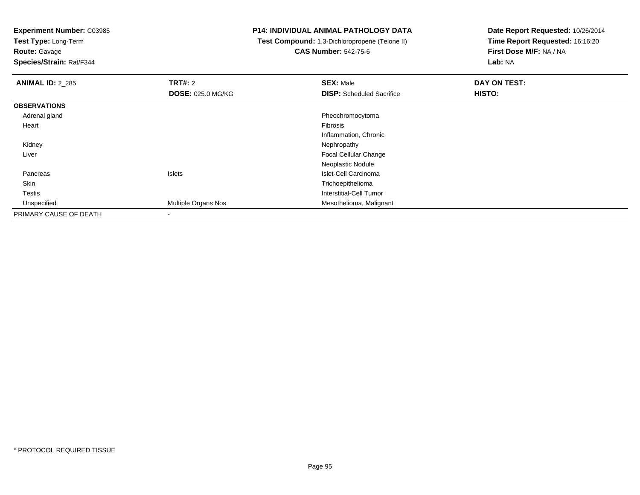**Test Type:** Long-Term

# **Route:** Gavage

**Species/Strain:** Rat/F344

# **P14: INDIVIDUAL ANIMAL PATHOLOGY DATA**

#### **Test Compound:** 1,3-Dichloropropene (Telone II)**CAS Number:** 542-75-6

| <b>ANIMAL ID: 2_285</b> | TRT#: 2                  | <b>SEX: Male</b>                 | DAY ON TEST: |
|-------------------------|--------------------------|----------------------------------|--------------|
|                         | <b>DOSE: 025.0 MG/KG</b> | <b>DISP:</b> Scheduled Sacrifice | HISTO:       |
| <b>OBSERVATIONS</b>     |                          |                                  |              |
| Adrenal gland           |                          | Pheochromocytoma                 |              |
| Heart                   |                          | Fibrosis                         |              |
|                         |                          | Inflammation, Chronic            |              |
| Kidney                  |                          | Nephropathy                      |              |
| Liver                   |                          | <b>Focal Cellular Change</b>     |              |
|                         |                          | Neoplastic Nodule                |              |
| Pancreas                | <b>Islets</b>            | Islet-Cell Carcinoma             |              |
| Skin                    |                          | Trichoepithelioma                |              |
| <b>Testis</b>           |                          | Interstitial-Cell Tumor          |              |
| Unspecified             | Multiple Organs Nos      | Mesothelioma, Malignant          |              |
| PRIMARY CAUSE OF DEATH  | $\,$                     |                                  |              |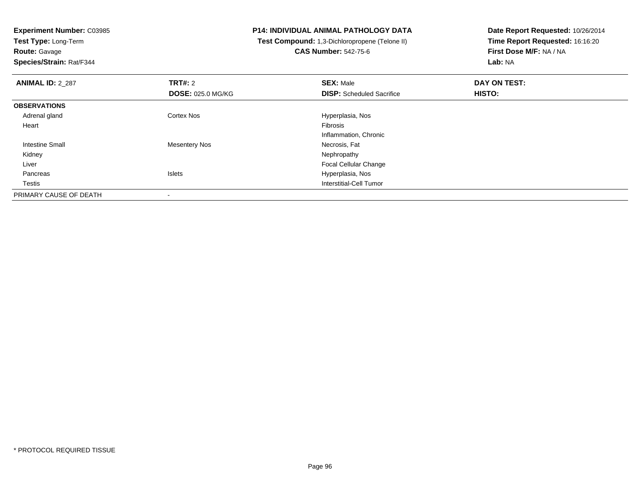**Test Type:** Long-Term**Route:** Gavage

**Species/Strain:** Rat/F344

# **P14: INDIVIDUAL ANIMAL PATHOLOGY DATA**

 **Test Compound:** 1,3-Dichloropropene (Telone II)**CAS Number:** 542-75-6

| <b>ANIMAL ID: 2_287</b> | TRT#: 2                  | <b>SEX: Male</b>                 | DAY ON TEST: |  |
|-------------------------|--------------------------|----------------------------------|--------------|--|
|                         | <b>DOSE: 025.0 MG/KG</b> | <b>DISP:</b> Scheduled Sacrifice | HISTO:       |  |
| <b>OBSERVATIONS</b>     |                          |                                  |              |  |
| Adrenal gland           | Cortex Nos               | Hyperplasia, Nos                 |              |  |
| Heart                   |                          | Fibrosis                         |              |  |
|                         |                          | Inflammation, Chronic            |              |  |
| Intestine Small         | <b>Mesentery Nos</b>     | Necrosis, Fat                    |              |  |
| Kidney                  |                          | Nephropathy                      |              |  |
| Liver                   |                          | <b>Focal Cellular Change</b>     |              |  |
| Pancreas                | <b>Islets</b>            | Hyperplasia, Nos                 |              |  |
| Testis                  |                          | Interstitial-Cell Tumor          |              |  |
| PRIMARY CAUSE OF DEATH  |                          |                                  |              |  |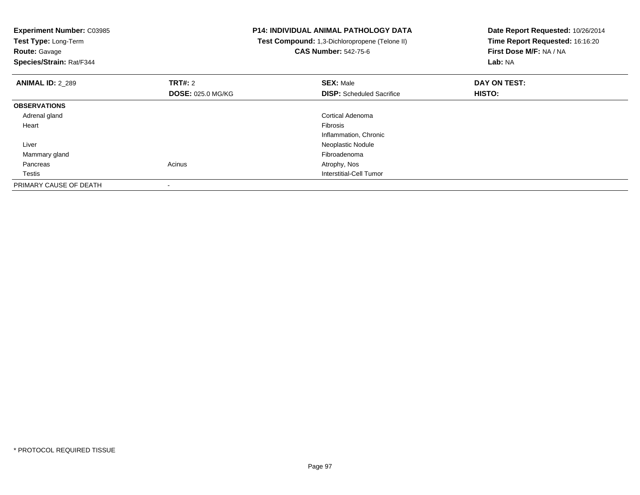**Experiment Number:** C03985**Test Type:** Long-Term**Route:** Gavage **Species/Strain:** Rat/F344**P14: INDIVIDUAL ANIMAL PATHOLOGY DATA Test Compound:** 1,3-Dichloropropene (Telone II)**CAS Number:** 542-75-6**Date Report Requested:** 10/26/2014**Time Report Requested:** 16:16:20**First Dose M/F:** NA / NA**Lab:** NA**ANIMAL ID:** 2\_289**TRT#:** 2 **SEX:** Male **DAY ON TEST: DOSE:** 025.0 MG/KG**DISP:** Scheduled Sacrifice **HISTO: OBSERVATIONS** Adrenal glandCortical Adenoma<br>Fibrosis Heartt de la constitución de la constitución de la constitución de la constitución de la constitución de la constitución Inflammation, Chronic Liver Neoplastic Nodule Mammary glandFibroadenoma<br>Acinus Acinus and the Contract of America Atrophy, Nos Pancreass and the contract of the contract of the contract of the contract of the contract  $\mathsf{A}$  at  $\mathsf{A}$  and  $\mathsf{A}$  and  $\mathsf{A}$  and  $\mathsf{A}$  and  $\mathsf{A}$  are contract of  $\mathsf{A}$  and  $\mathsf{A}$  and  $\mathsf{A}$  are contract of **Testis**  Interstitial-Cell Tumor PRIMARY CAUSE OF DEATH-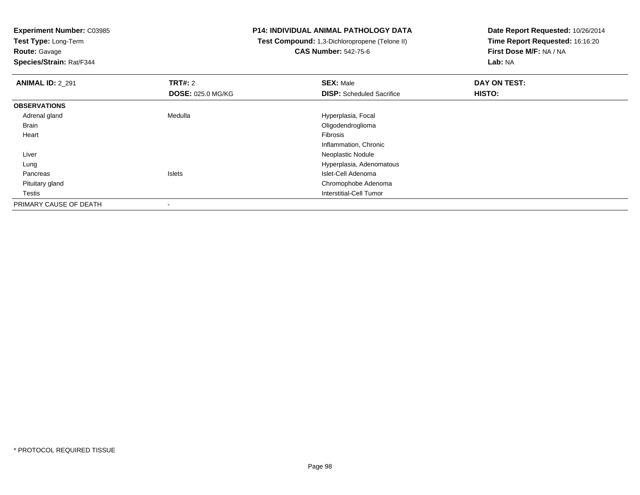**Test Type:** Long-Term

**Route:** Gavage

**Species/Strain:** Rat/F344

### **P14: INDIVIDUAL ANIMAL PATHOLOGY DATA**

 **Test Compound:** 1,3-Dichloropropene (Telone II)**CAS Number:** 542-75-6

| <b>ANIMAL ID: 2 291</b> | <b>TRT#: 2</b>           | <b>SEX: Male</b>                 | DAY ON TEST: |  |
|-------------------------|--------------------------|----------------------------------|--------------|--|
|                         | <b>DOSE: 025.0 MG/KG</b> | <b>DISP:</b> Scheduled Sacrifice | HISTO:       |  |
| <b>OBSERVATIONS</b>     |                          |                                  |              |  |
| Adrenal gland           | Medulla                  | Hyperplasia, Focal               |              |  |
| Brain                   |                          | Oligodendroglioma                |              |  |
| Heart                   |                          | Fibrosis                         |              |  |
|                         |                          | Inflammation, Chronic            |              |  |
| Liver                   |                          | Neoplastic Nodule                |              |  |
| Lung                    |                          | Hyperplasia, Adenomatous         |              |  |
| Pancreas                | <b>Islets</b>            | Islet-Cell Adenoma               |              |  |
| Pituitary gland         |                          | Chromophobe Adenoma              |              |  |
| Testis                  |                          | Interstitial-Cell Tumor          |              |  |
| PRIMARY CAUSE OF DEATH  |                          |                                  |              |  |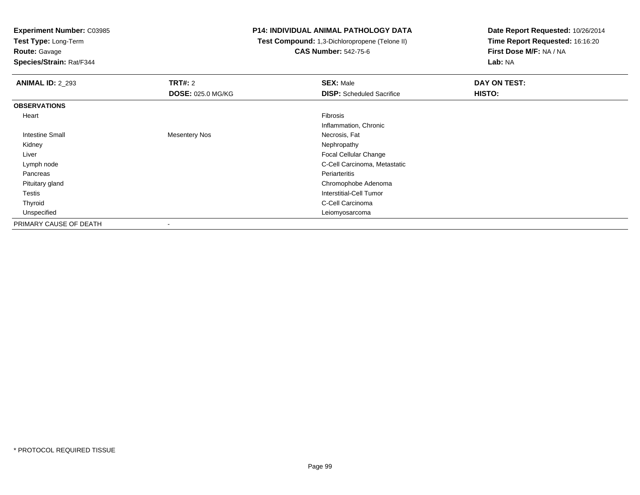**Test Type:** Long-Term

# **Route:** Gavage

**Species/Strain:** Rat/F344

#### **P14: INDIVIDUAL ANIMAL PATHOLOGY DATA**

#### **Test Compound:** 1,3-Dichloropropene (Telone II)**CAS Number:** 542-75-6

| <b>ANIMAL ID: 2_293</b> | TRT#: 2                  | <b>SEX: Male</b>                 | DAY ON TEST: |  |
|-------------------------|--------------------------|----------------------------------|--------------|--|
|                         | <b>DOSE: 025.0 MG/KG</b> | <b>DISP:</b> Scheduled Sacrifice | HISTO:       |  |
| <b>OBSERVATIONS</b>     |                          |                                  |              |  |
| Heart                   |                          | Fibrosis                         |              |  |
|                         |                          | Inflammation, Chronic            |              |  |
| <b>Intestine Small</b>  | <b>Mesentery Nos</b>     | Necrosis, Fat                    |              |  |
| Kidney                  |                          | Nephropathy                      |              |  |
| Liver                   |                          | Focal Cellular Change            |              |  |
| Lymph node              |                          | C-Cell Carcinoma, Metastatic     |              |  |
| Pancreas                |                          | Periarteritis                    |              |  |
| Pituitary gland         |                          | Chromophobe Adenoma              |              |  |
| Testis                  |                          | Interstitial-Cell Tumor          |              |  |
| Thyroid                 |                          | C-Cell Carcinoma                 |              |  |
| Unspecified             |                          | Leiomyosarcoma                   |              |  |
| PRIMARY CAUSE OF DEATH  | ۰                        |                                  |              |  |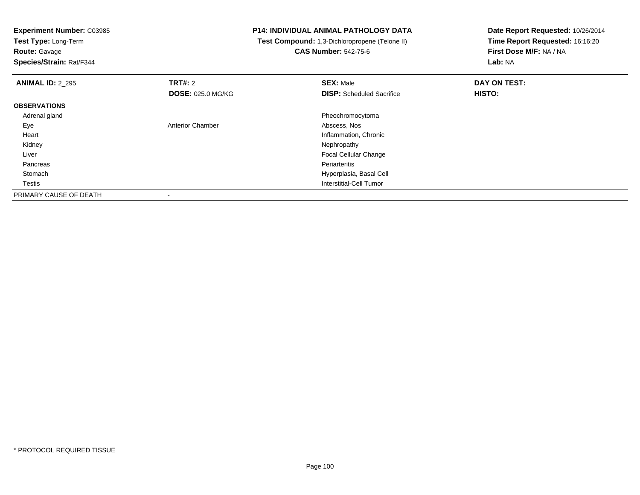**Test Type:** Long-Term

# **Route:** Gavage

**Species/Strain:** Rat/F344

## **P14: INDIVIDUAL ANIMAL PATHOLOGY DATA**

#### **Test Compound:** 1,3-Dichloropropene (Telone II)**CAS Number:** 542-75-6

| <b>ANIMAL ID: 2 295</b> | TRT#: 2                  | <b>SEX: Male</b>                 | DAY ON TEST: |  |
|-------------------------|--------------------------|----------------------------------|--------------|--|
|                         | <b>DOSE: 025.0 MG/KG</b> | <b>DISP:</b> Scheduled Sacrifice | HISTO:       |  |
| <b>OBSERVATIONS</b>     |                          |                                  |              |  |
| Adrenal gland           |                          | Pheochromocytoma                 |              |  |
| Eye                     | <b>Anterior Chamber</b>  | Abscess, Nos                     |              |  |
| Heart                   |                          | Inflammation, Chronic            |              |  |
| Kidney                  |                          | Nephropathy                      |              |  |
| Liver                   |                          | Focal Cellular Change            |              |  |
| Pancreas                |                          | Periarteritis                    |              |  |
| Stomach                 |                          | Hyperplasia, Basal Cell          |              |  |
| Testis                  |                          | Interstitial-Cell Tumor          |              |  |
| PRIMARY CAUSE OF DEATH  |                          |                                  |              |  |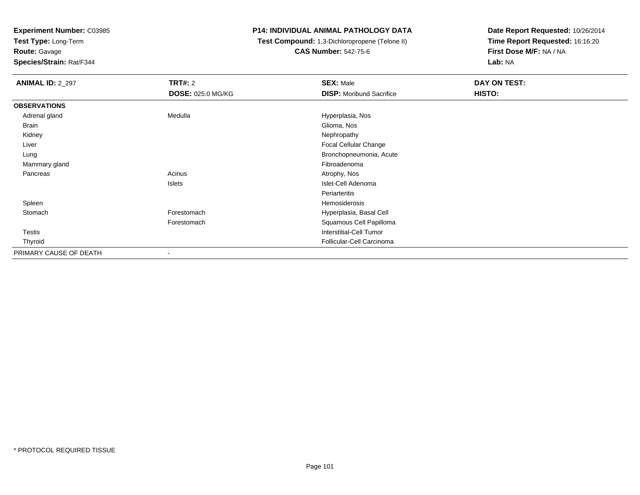**Test Type:** Long-Term

**Route:** Gavage

**Species/Strain:** Rat/F344

#### **P14: INDIVIDUAL ANIMAL PATHOLOGY DATA**

 **Test Compound:** 1,3-Dichloropropene (Telone II)**CAS Number:** 542-75-6

| <b>ANIMAL ID: 2_297</b> | <b>TRT#:</b> 2           | <b>SEX: Male</b>                | <b>DAY ON TEST:</b> |  |
|-------------------------|--------------------------|---------------------------------|---------------------|--|
|                         | <b>DOSE: 025.0 MG/KG</b> | <b>DISP:</b> Moribund Sacrifice | HISTO:              |  |
| <b>OBSERVATIONS</b>     |                          |                                 |                     |  |
| Adrenal gland           | Medulla                  | Hyperplasia, Nos                |                     |  |
| Brain                   |                          | Glioma, Nos                     |                     |  |
| Kidney                  |                          | Nephropathy                     |                     |  |
| Liver                   |                          | Focal Cellular Change           |                     |  |
| Lung                    |                          | Bronchopneumonia, Acute         |                     |  |
| Mammary gland           |                          | Fibroadenoma                    |                     |  |
| Pancreas                | Acinus                   | Atrophy, Nos                    |                     |  |
|                         | Islets                   | Islet-Cell Adenoma              |                     |  |
|                         |                          | Periarteritis                   |                     |  |
| Spleen                  |                          | Hemosiderosis                   |                     |  |
| Stomach                 | Forestomach              | Hyperplasia, Basal Cell         |                     |  |
|                         | Forestomach              | Squamous Cell Papilloma         |                     |  |
| Testis                  |                          | <b>Interstitial-Cell Tumor</b>  |                     |  |
| Thyroid                 |                          | Follicular-Cell Carcinoma       |                     |  |
| PRIMARY CAUSE OF DEATH  | $\blacksquare$           |                                 |                     |  |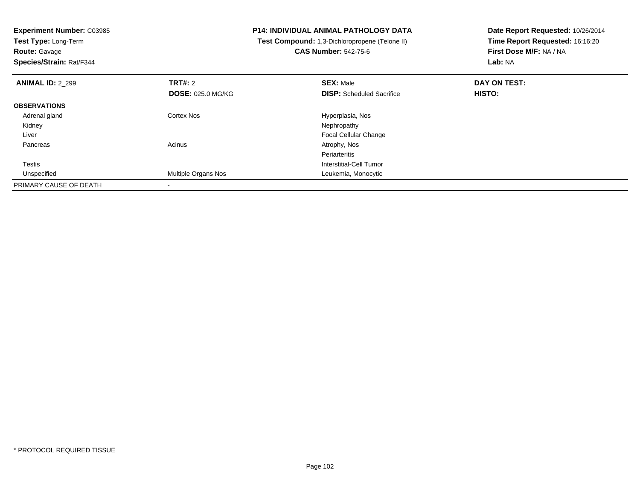| <b>Experiment Number: C03985</b><br>Test Type: Long-Term<br><b>Route: Gavage</b><br>Species/Strain: Rat/F344 |                          | <b>P14: INDIVIDUAL ANIMAL PATHOLOGY DATA</b>   | Date Report Requested: 10/26/2014 |
|--------------------------------------------------------------------------------------------------------------|--------------------------|------------------------------------------------|-----------------------------------|
|                                                                                                              |                          | Test Compound: 1,3-Dichloropropene (Telone II) | Time Report Requested: 16:16:20   |
|                                                                                                              |                          | <b>CAS Number: 542-75-6</b>                    | First Dose M/F: NA / NA           |
|                                                                                                              |                          |                                                | Lab: NA                           |
| <b>ANIMAL ID: 2 299</b>                                                                                      | <b>TRT#: 2</b>           | <b>SEX: Male</b>                               | DAY ON TEST:                      |
|                                                                                                              | <b>DOSE: 025.0 MG/KG</b> | <b>DISP:</b> Scheduled Sacrifice               | HISTO:                            |
| <b>OBSERVATIONS</b>                                                                                          |                          |                                                |                                   |
| Adrenal gland                                                                                                | Cortex Nos               | Hyperplasia, Nos                               |                                   |
| Kidney                                                                                                       |                          | Nephropathy                                    |                                   |
| Liver                                                                                                        |                          | <b>Focal Cellular Change</b>                   |                                   |
| Pancreas                                                                                                     | Acinus                   | Atrophy, Nos                                   |                                   |
|                                                                                                              |                          | Periarteritis                                  |                                   |
| Testis                                                                                                       |                          | Interstitial-Cell Tumor                        |                                   |
| Unspecified                                                                                                  | Multiple Organs Nos      | Leukemia, Monocytic                            |                                   |
| PRIMARY CAUSE OF DEATH                                                                                       |                          |                                                |                                   |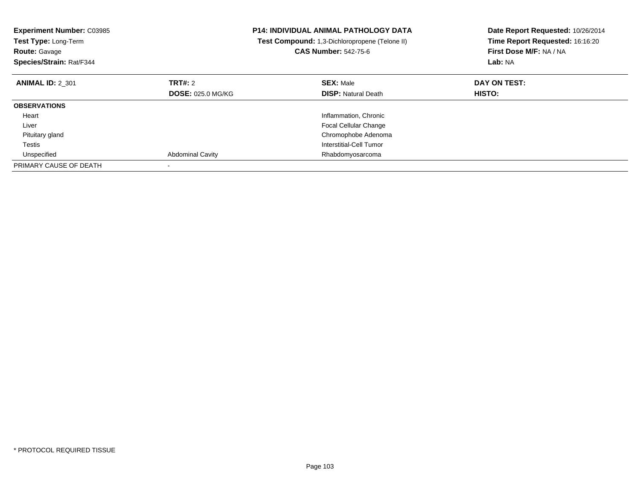| <b>Experiment Number: C03985</b><br><b>Test Type: Long-Term</b><br><b>Route: Gavage</b><br>Species/Strain: Rat/F344 |                          | <b>P14: INDIVIDUAL ANIMAL PATHOLOGY DATA</b><br>Test Compound: 1,3-Dichloropropene (Telone II)<br><b>CAS Number: 542-75-6</b> | Date Report Requested: 10/26/2014<br>Time Report Requested: 16:16:20<br>First Dose M/F: NA / NA<br>Lab: NA |
|---------------------------------------------------------------------------------------------------------------------|--------------------------|-------------------------------------------------------------------------------------------------------------------------------|------------------------------------------------------------------------------------------------------------|
| <b>ANIMAL ID: 2 301</b>                                                                                             | TRT#: 2                  | <b>SEX: Male</b>                                                                                                              | DAY ON TEST:                                                                                               |
|                                                                                                                     | <b>DOSE: 025.0 MG/KG</b> | <b>DISP:</b> Natural Death                                                                                                    | HISTO:                                                                                                     |
| <b>OBSERVATIONS</b>                                                                                                 |                          |                                                                                                                               |                                                                                                            |
| Heart                                                                                                               |                          | Inflammation, Chronic                                                                                                         |                                                                                                            |
| Liver                                                                                                               |                          | <b>Focal Cellular Change</b>                                                                                                  |                                                                                                            |
| Pituitary gland                                                                                                     |                          | Chromophobe Adenoma                                                                                                           |                                                                                                            |
| Testis                                                                                                              |                          | Interstitial-Cell Tumor                                                                                                       |                                                                                                            |
| Unspecified                                                                                                         | <b>Abdominal Cavity</b>  | Rhabdomyosarcoma                                                                                                              |                                                                                                            |
| PRIMARY CAUSE OF DEATH                                                                                              |                          |                                                                                                                               |                                                                                                            |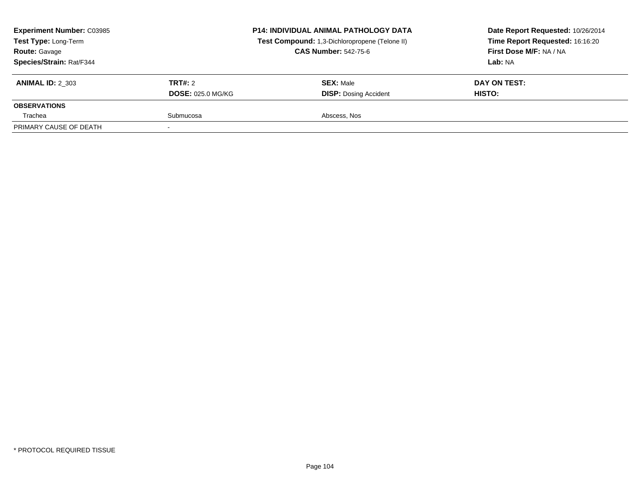| <b>Experiment Number: C03985</b><br>Test Type: Long-Term<br><b>Route: Gavage</b><br>Species/Strain: Rat/F344 |                                     | <b>P14: INDIVIDUAL ANIMAL PATHOLOGY DATA</b><br>Test Compound: 1,3-Dichloropropene (Telone II)<br><b>CAS Number: 542-75-6</b> | Date Report Requested: 10/26/2014<br>Time Report Requested: 16:16:20<br>First Dose M/F: NA / NA<br>Lab: NA |
|--------------------------------------------------------------------------------------------------------------|-------------------------------------|-------------------------------------------------------------------------------------------------------------------------------|------------------------------------------------------------------------------------------------------------|
| <b>ANIMAL ID: 2 303</b>                                                                                      | TRT#: 2<br><b>DOSE: 025.0 MG/KG</b> | <b>SEX: Male</b><br><b>DISP: Dosing Accident</b>                                                                              | DAY ON TEST:<br><b>HISTO:</b>                                                                              |
| <b>OBSERVATIONS</b>                                                                                          |                                     |                                                                                                                               |                                                                                                            |
| Trachea                                                                                                      | Submucosa                           | Abscess, Nos                                                                                                                  |                                                                                                            |
| PRIMARY CAUSE OF DEATH                                                                                       |                                     |                                                                                                                               |                                                                                                            |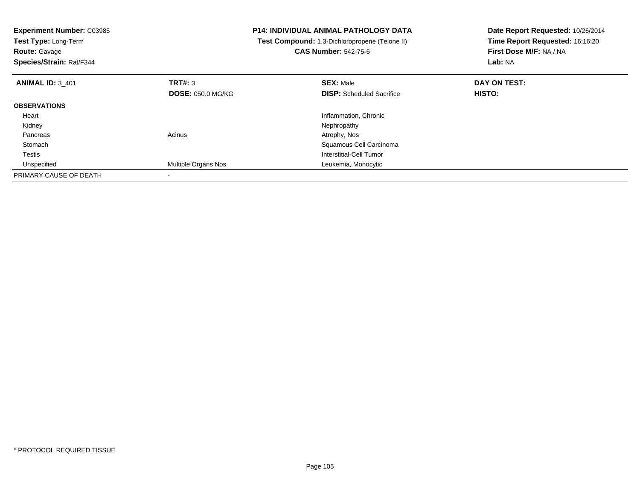| <b>Experiment Number: C03985</b><br>Test Type: Long-Term<br><b>Route: Gavage</b><br>Species/Strain: Rat/F344 |                          | <b>P14: INDIVIDUAL ANIMAL PATHOLOGY DATA</b><br>Test Compound: 1,3-Dichloropropene (Telone II)<br><b>CAS Number: 542-75-6</b> | Date Report Requested: 10/26/2014<br>Time Report Requested: 16:16:20<br>First Dose M/F: NA / NA<br><b>Lab: NA</b> |
|--------------------------------------------------------------------------------------------------------------|--------------------------|-------------------------------------------------------------------------------------------------------------------------------|-------------------------------------------------------------------------------------------------------------------|
| <b>ANIMAL ID: 3 401</b>                                                                                      | TRT#: 3                  | <b>SEX: Male</b>                                                                                                              | DAY ON TEST:                                                                                                      |
|                                                                                                              | <b>DOSE: 050.0 MG/KG</b> | <b>DISP:</b> Scheduled Sacrifice                                                                                              | HISTO:                                                                                                            |
| <b>OBSERVATIONS</b>                                                                                          |                          |                                                                                                                               |                                                                                                                   |
| Heart                                                                                                        |                          | Inflammation, Chronic                                                                                                         |                                                                                                                   |
| Kidney                                                                                                       |                          | Nephropathy                                                                                                                   |                                                                                                                   |
| Pancreas                                                                                                     | Acinus                   | Atrophy, Nos                                                                                                                  |                                                                                                                   |
| Stomach                                                                                                      |                          | Squamous Cell Carcinoma                                                                                                       |                                                                                                                   |
| Testis                                                                                                       |                          | Interstitial-Cell Tumor                                                                                                       |                                                                                                                   |
| Unspecified                                                                                                  | Multiple Organs Nos      | Leukemia, Monocytic                                                                                                           |                                                                                                                   |
| PRIMARY CAUSE OF DEATH                                                                                       |                          |                                                                                                                               |                                                                                                                   |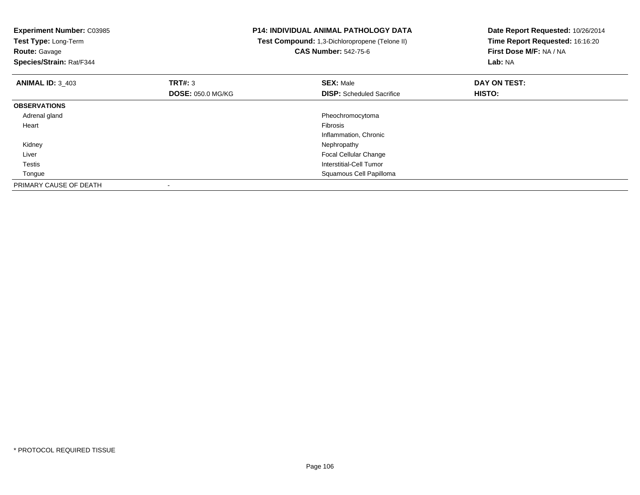| <b>Experiment Number: C03985</b><br>Test Type: Long-Term<br><b>Route: Gavage</b> |                          | P14: INDIVIDUAL ANIMAL PATHOLOGY DATA<br>Test Compound: 1,3-Dichloropropene (Telone II)<br><b>CAS Number: 542-75-6</b> | Date Report Requested: 10/26/2014<br>Time Report Requested: 16:16:20<br>First Dose M/F: NA / NA |
|----------------------------------------------------------------------------------|--------------------------|------------------------------------------------------------------------------------------------------------------------|-------------------------------------------------------------------------------------------------|
| Species/Strain: Rat/F344                                                         |                          |                                                                                                                        | Lab: NA                                                                                         |
| <b>ANIMAL ID: 3_403</b>                                                          | TRT#: 3                  | <b>SEX: Male</b>                                                                                                       | DAY ON TEST:                                                                                    |
|                                                                                  | <b>DOSE: 050.0 MG/KG</b> | <b>DISP:</b> Scheduled Sacrifice                                                                                       | HISTO:                                                                                          |
| <b>OBSERVATIONS</b>                                                              |                          |                                                                                                                        |                                                                                                 |
| Adrenal gland                                                                    |                          | Pheochromocytoma                                                                                                       |                                                                                                 |
| Heart                                                                            |                          | Fibrosis                                                                                                               |                                                                                                 |
|                                                                                  |                          | Inflammation, Chronic                                                                                                  |                                                                                                 |
| Kidney                                                                           |                          | Nephropathy                                                                                                            |                                                                                                 |
| Liver                                                                            |                          | Focal Cellular Change                                                                                                  |                                                                                                 |
| Testis                                                                           |                          | <b>Interstitial-Cell Tumor</b>                                                                                         |                                                                                                 |
| Tongue                                                                           |                          | Squamous Cell Papilloma                                                                                                |                                                                                                 |
| PRIMARY CAUSE OF DEATH                                                           |                          |                                                                                                                        |                                                                                                 |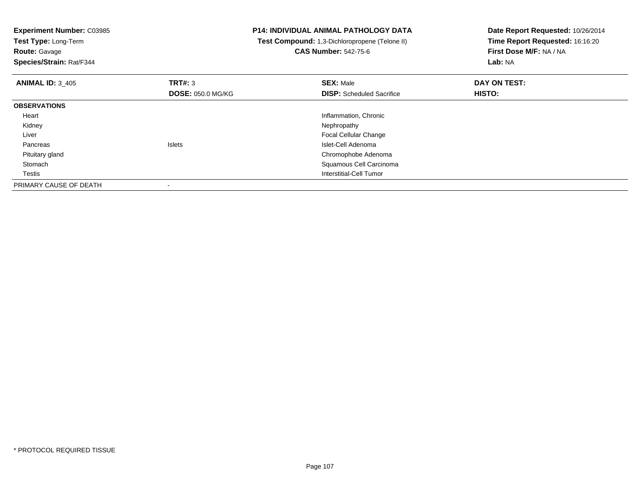**Experiment Number:** C03985**Test Type:** Long-Term**Route:** Gavage **Species/Strain:** Rat/F344**P14: INDIVIDUAL ANIMAL PATHOLOGY DATA Test Compound:** 1,3-Dichloropropene (Telone II)**CAS Number:** 542-75-6**Date Report Requested:** 10/26/2014**Time Report Requested:** 16:16:20**First Dose M/F:** NA / NA**Lab:** NA**ANIMAL ID:** 3\_405 **TRT#:** <sup>3</sup> **SEX:** Male **DAY ON TEST: DOSE:** 050.0 MG/KG**DISP:** Scheduled Sacrifice **HISTO: OBSERVATIONS** Heart Inflammation, Chronic Kidneyy the control of the control of the control of the control of the control of the control of the control of the control of the control of the control of the control of the control of the control of the control of the contro Liver Focal Cellular Change PancreasIslets **Islet-Cell Adenoma** d<sub>d</sub> Chromophobe Adenoma Pituitary gland Stomach Squamous Cell Carcinoma **Testis**  Interstitial-Cell Tumor PRIMARY CAUSE OF DEATH-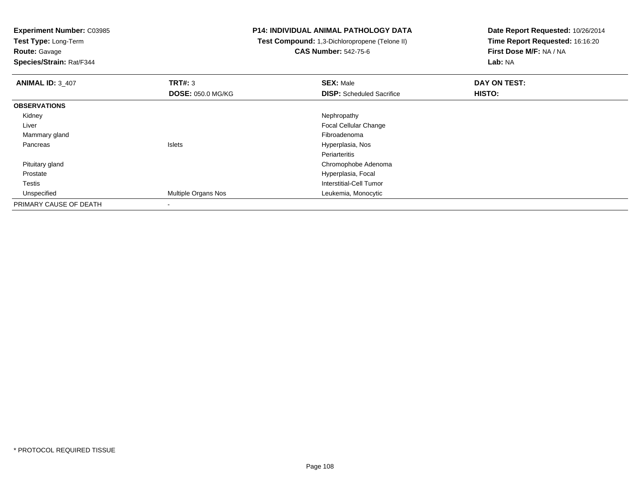**Test Type:** Long-Term

**Route:** Gavage

**Species/Strain:** Rat/F344

## **P14: INDIVIDUAL ANIMAL PATHOLOGY DATA**

 **Test Compound:** 1,3-Dichloropropene (Telone II)**CAS Number:** 542-75-6

| <b>ANIMAL ID: 3_407</b> | TRT#: 3                    | <b>SEX: Male</b>                 | DAY ON TEST: |  |
|-------------------------|----------------------------|----------------------------------|--------------|--|
|                         | <b>DOSE: 050.0 MG/KG</b>   | <b>DISP:</b> Scheduled Sacrifice | HISTO:       |  |
| <b>OBSERVATIONS</b>     |                            |                                  |              |  |
| Kidney                  |                            | Nephropathy                      |              |  |
| Liver                   |                            | Focal Cellular Change            |              |  |
| Mammary gland           |                            | Fibroadenoma                     |              |  |
| Pancreas                | <b>Islets</b>              | Hyperplasia, Nos                 |              |  |
|                         |                            | Periarteritis                    |              |  |
| Pituitary gland         |                            | Chromophobe Adenoma              |              |  |
| Prostate                |                            | Hyperplasia, Focal               |              |  |
| Testis                  |                            | Interstitial-Cell Tumor          |              |  |
| Unspecified             | <b>Multiple Organs Nos</b> | Leukemia, Monocytic              |              |  |
| PRIMARY CAUSE OF DEATH  |                            |                                  |              |  |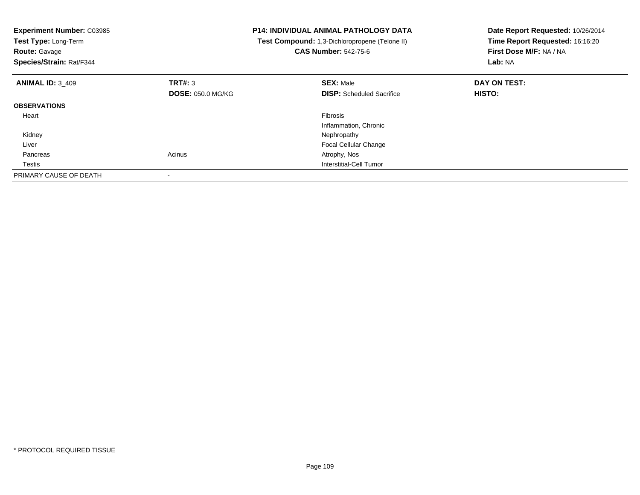| <b>Experiment Number: C03985</b><br>Test Type: Long-Term<br><b>Route: Gavage</b><br>Species/Strain: Rat/F344 |                          | <b>P14: INDIVIDUAL ANIMAL PATHOLOGY DATA</b><br>Test Compound: 1,3-Dichloropropene (Telone II)<br><b>CAS Number: 542-75-6</b> | Date Report Requested: 10/26/2014<br>Time Report Requested: 16:16:20<br>First Dose M/F: NA / NA<br>Lab: NA |
|--------------------------------------------------------------------------------------------------------------|--------------------------|-------------------------------------------------------------------------------------------------------------------------------|------------------------------------------------------------------------------------------------------------|
| <b>ANIMAL ID: 3 409</b>                                                                                      | TRT#: 3                  | <b>SEX: Male</b>                                                                                                              | DAY ON TEST:                                                                                               |
|                                                                                                              | <b>DOSE: 050.0 MG/KG</b> | <b>DISP:</b> Scheduled Sacrifice                                                                                              | <b>HISTO:</b>                                                                                              |
| <b>OBSERVATIONS</b>                                                                                          |                          |                                                                                                                               |                                                                                                            |
| Heart                                                                                                        |                          | Fibrosis                                                                                                                      |                                                                                                            |
|                                                                                                              |                          | Inflammation, Chronic                                                                                                         |                                                                                                            |
| Kidney                                                                                                       |                          | Nephropathy                                                                                                                   |                                                                                                            |
| Liver                                                                                                        |                          | <b>Focal Cellular Change</b>                                                                                                  |                                                                                                            |
| Pancreas                                                                                                     | Acinus                   | Atrophy, Nos                                                                                                                  |                                                                                                            |
| Testis                                                                                                       |                          | Interstitial-Cell Tumor                                                                                                       |                                                                                                            |
| PRIMARY CAUSE OF DEATH                                                                                       |                          |                                                                                                                               |                                                                                                            |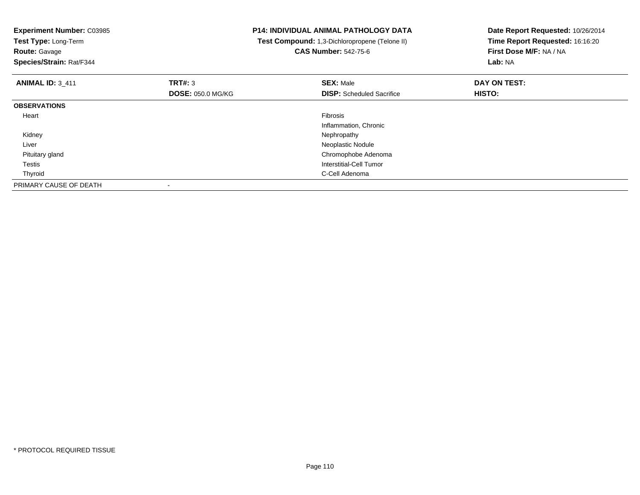| <b>Experiment Number: C03985</b><br>Test Type: Long-Term<br><b>Route: Gavage</b><br>Species/Strain: Rat/F344 |                          | P14: INDIVIDUAL ANIMAL PATHOLOGY DATA<br>Test Compound: 1,3-Dichloropropene (Telone II)<br><b>CAS Number: 542-75-6</b> | Date Report Requested: 10/26/2014<br>Time Report Requested: 16:16:20<br>First Dose M/F: NA / NA<br>Lab: NA |
|--------------------------------------------------------------------------------------------------------------|--------------------------|------------------------------------------------------------------------------------------------------------------------|------------------------------------------------------------------------------------------------------------|
| <b>ANIMAL ID: 3_411</b>                                                                                      | TRT#: 3                  | <b>SEX: Male</b>                                                                                                       | DAY ON TEST:                                                                                               |
|                                                                                                              | <b>DOSE: 050.0 MG/KG</b> | <b>DISP:</b> Scheduled Sacrifice                                                                                       | HISTO:                                                                                                     |
| <b>OBSERVATIONS</b>                                                                                          |                          |                                                                                                                        |                                                                                                            |
| Heart                                                                                                        |                          | <b>Fibrosis</b>                                                                                                        |                                                                                                            |
|                                                                                                              |                          | Inflammation, Chronic                                                                                                  |                                                                                                            |
| Kidney                                                                                                       |                          | Nephropathy                                                                                                            |                                                                                                            |
| Liver                                                                                                        |                          | Neoplastic Nodule                                                                                                      |                                                                                                            |
| Pituitary gland                                                                                              |                          | Chromophobe Adenoma                                                                                                    |                                                                                                            |
| Testis                                                                                                       |                          | Interstitial-Cell Tumor                                                                                                |                                                                                                            |
| Thyroid                                                                                                      |                          | C-Cell Adenoma                                                                                                         |                                                                                                            |
| PRIMARY CAUSE OF DEATH                                                                                       |                          |                                                                                                                        |                                                                                                            |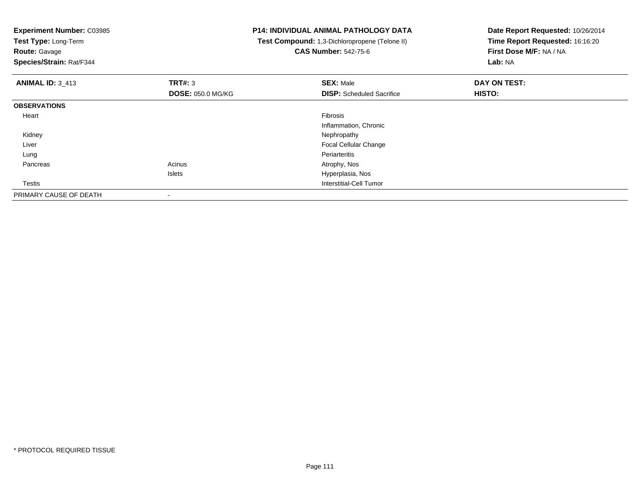**Experiment Number:** C03985**Test Type:** Long-Term**Route:** Gavage **Species/Strain:** Rat/F344**P14: INDIVIDUAL ANIMAL PATHOLOGY DATA Test Compound:** 1,3-Dichloropropene (Telone II)**CAS Number:** 542-75-6**Date Report Requested:** 10/26/2014**Time Report Requested:** 16:16:20**First Dose M/F:** NA / NA**Lab:** NA**ANIMAL ID:** 3\_413**TRT#:** 3 **SEX:** Male **DAY ON TEST: DOSE:** 050.0 MG/KG**DISP:** Scheduled Sacrifice **HISTO: OBSERVATIONS** Heartt de la constitución de la constitución de la constitución de la constitución de la constitución de la constitución Inflammation, Chronic Kidneyy the control of the control of the control of the control of the control of the control of the control of the control of the control of the control of the control of the control of the control of the control of the contro Liver Focal Cellular Change Lungg en de la component de la component de la component de la component de la component de la component de la com Pancreass and the contract of the contract of the contract of the contract of the contract  $\mathsf{A}$  at  $\mathsf{A}$  and  $\mathsf{A}$  and  $\mathsf{A}$  and  $\mathsf{A}$  and  $\mathsf{A}$  are contract of  $\mathsf{A}$  and  $\mathsf{A}$  and  $\mathsf{A}$  are contract of Islets Hyperplasia, Nos Testis Interstitial-Cell Tumor PRIMARY CAUSE OF DEATH-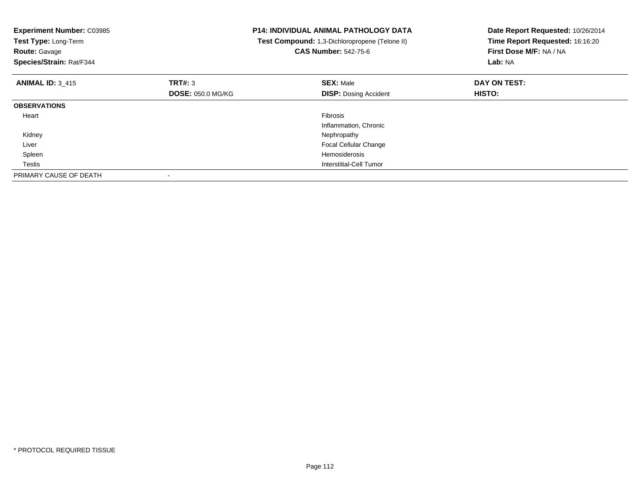| <b>Experiment Number: C03985</b><br>Test Type: Long-Term<br><b>Route: Gavage</b><br>Species/Strain: Rat/F344 |                          | <b>P14: INDIVIDUAL ANIMAL PATHOLOGY DATA</b><br>Test Compound: 1,3-Dichloropropene (Telone II)<br><b>CAS Number: 542-75-6</b> | Date Report Requested: 10/26/2014<br>Time Report Requested: 16:16:20<br>First Dose M/F: NA / NA<br>Lab: NA |  |
|--------------------------------------------------------------------------------------------------------------|--------------------------|-------------------------------------------------------------------------------------------------------------------------------|------------------------------------------------------------------------------------------------------------|--|
| <b>ANIMAL ID: 3 415</b>                                                                                      | <b>TRT#: 3</b>           | <b>SEX: Male</b>                                                                                                              | DAY ON TEST:                                                                                               |  |
|                                                                                                              | <b>DOSE: 050.0 MG/KG</b> | <b>DISP:</b> Dosing Accident                                                                                                  | <b>HISTO:</b>                                                                                              |  |
| <b>OBSERVATIONS</b>                                                                                          |                          |                                                                                                                               |                                                                                                            |  |
| Heart                                                                                                        |                          | Fibrosis                                                                                                                      |                                                                                                            |  |
|                                                                                                              |                          | Inflammation, Chronic                                                                                                         |                                                                                                            |  |
| Kidney                                                                                                       |                          | Nephropathy                                                                                                                   |                                                                                                            |  |
| Liver                                                                                                        |                          | <b>Focal Cellular Change</b>                                                                                                  |                                                                                                            |  |
| Spleen                                                                                                       |                          | <b>Hemosiderosis</b>                                                                                                          |                                                                                                            |  |
| Testis                                                                                                       |                          | Interstitial-Cell Tumor                                                                                                       |                                                                                                            |  |
| PRIMARY CAUSE OF DEATH                                                                                       |                          |                                                                                                                               |                                                                                                            |  |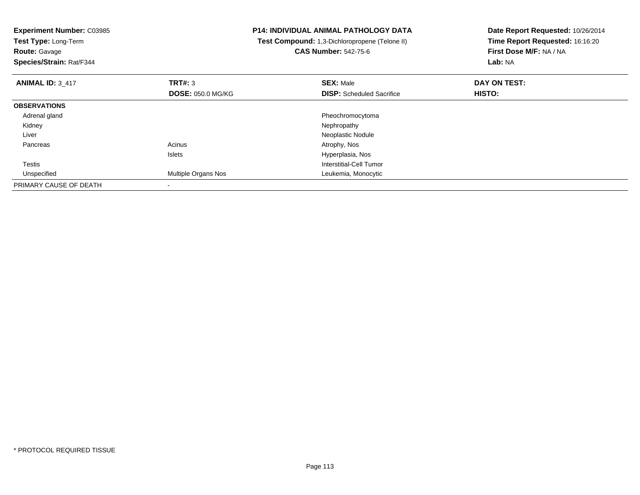**Experiment Number:** C03985**Test Type:** Long-Term**Route:** Gavage **Species/Strain:** Rat/F344**P14: INDIVIDUAL ANIMAL PATHOLOGY DATA Test Compound:** 1,3-Dichloropropene (Telone II)**CAS Number:** 542-75-6**Date Report Requested:** 10/26/2014**Time Report Requested:** 16:16:20**First Dose M/F:** NA / NA**Lab:** NA**ANIMAL ID:** 3\_417 **TRT#:** <sup>3</sup> **SEX:** Male **DAY ON TEST: DOSE:** 050.0 MG/KG**DISP:** Scheduled Sacrifice **HISTO: OBSERVATIONS** Adrenal glandPheochromocytoma<br>Nephropathy Kidneyy the control of the control of the control of the control of the control of the control of the control of the control of the control of the control of the control of the control of the control of the control of the contro Liver Neoplastic Nodule Pancreass and the contract of the contract of the contract of the contract of the contract  $\mathsf{A}$  at  $\mathsf{A}$  and  $\mathsf{A}$  and  $\mathsf{A}$  and  $\mathsf{A}$  and  $\mathsf{A}$  are contract of  $\mathsf{A}$  and  $\mathsf{A}$  and  $\mathsf{A}$  are contract of Islets Hyperplasia, Nos Testis Interstitial-Cell Tumor UnspecifiedMultiple Organs Nos **Multiple Organs** Nos PRIMARY CAUSE OF DEATH-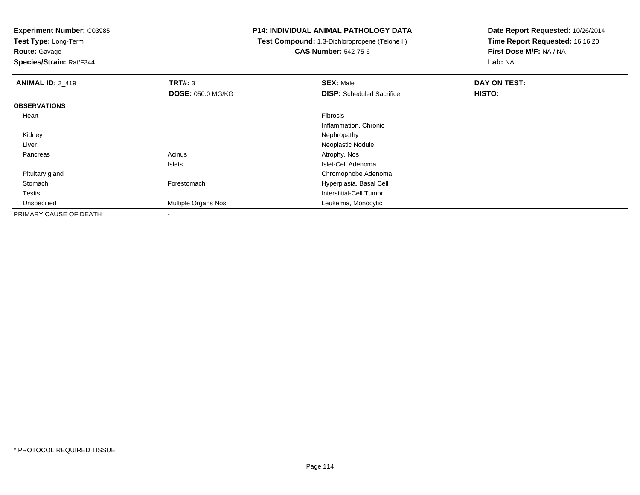**Test Type:** Long-Term

**Route:** Gavage

**Species/Strain:** Rat/F344

## **P14: INDIVIDUAL ANIMAL PATHOLOGY DATA**

 **Test Compound:** 1,3-Dichloropropene (Telone II)**CAS Number:** 542-75-6

| <b>ANIMAL ID: 3_419</b> | TRT#: 3                  | <b>SEX: Male</b>                 | DAY ON TEST: |  |
|-------------------------|--------------------------|----------------------------------|--------------|--|
|                         | <b>DOSE: 050.0 MG/KG</b> | <b>DISP:</b> Scheduled Sacrifice | HISTO:       |  |
| <b>OBSERVATIONS</b>     |                          |                                  |              |  |
| Heart                   |                          | Fibrosis                         |              |  |
|                         |                          | Inflammation, Chronic            |              |  |
| Kidney                  |                          | Nephropathy                      |              |  |
| Liver                   |                          | Neoplastic Nodule                |              |  |
| Pancreas                | Acinus                   | Atrophy, Nos                     |              |  |
|                         | Islets                   | Islet-Cell Adenoma               |              |  |
| Pituitary gland         |                          | Chromophobe Adenoma              |              |  |
| Stomach                 | Forestomach              | Hyperplasia, Basal Cell          |              |  |
| Testis                  |                          | Interstitial-Cell Tumor          |              |  |
| Unspecified             | Multiple Organs Nos      | Leukemia, Monocytic              |              |  |
| PRIMARY CAUSE OF DEATH  | $\overline{\phantom{a}}$ |                                  |              |  |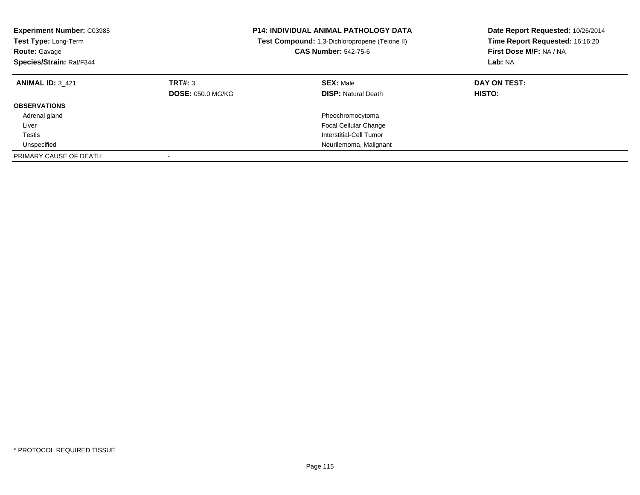| <b>Experiment Number: C03985</b><br><b>Test Type: Long-Term</b><br><b>Route: Gavage</b><br>Species/Strain: Rat/F344 |                                     | <b>P14: INDIVIDUAL ANIMAL PATHOLOGY DATA</b><br>Test Compound: 1,3-Dichloropropene (Telone II)<br><b>CAS Number: 542-75-6</b> | Date Report Requested: 10/26/2014<br>Time Report Requested: 16:16:20<br>First Dose M/F: NA / NA<br>Lab: NA |
|---------------------------------------------------------------------------------------------------------------------|-------------------------------------|-------------------------------------------------------------------------------------------------------------------------------|------------------------------------------------------------------------------------------------------------|
| <b>ANIMAL ID: 3 421</b>                                                                                             | TRT#: 3<br><b>DOSE: 050.0 MG/KG</b> | <b>SEX: Male</b><br><b>DISP:</b> Natural Death                                                                                | DAY ON TEST:<br><b>HISTO:</b>                                                                              |
| <b>OBSERVATIONS</b>                                                                                                 |                                     |                                                                                                                               |                                                                                                            |
| Adrenal gland                                                                                                       |                                     | Pheochromocytoma                                                                                                              |                                                                                                            |
| Liver                                                                                                               |                                     | <b>Focal Cellular Change</b>                                                                                                  |                                                                                                            |
| Testis                                                                                                              |                                     | Interstitial-Cell Tumor                                                                                                       |                                                                                                            |
| Unspecified                                                                                                         |                                     | Neurilemoma, Malignant                                                                                                        |                                                                                                            |
| PRIMARY CAUSE OF DEATH                                                                                              |                                     |                                                                                                                               |                                                                                                            |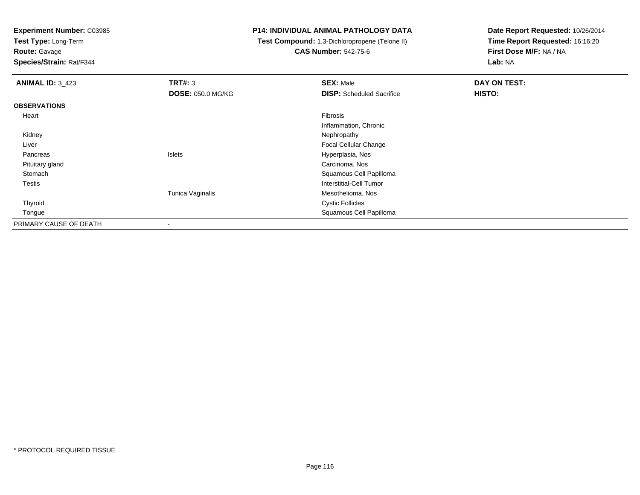**Test Type:** Long-Term**Route:** Gavage

**Species/Strain:** Rat/F344

#### **P14: INDIVIDUAL ANIMAL PATHOLOGY DATA**

# **Test Compound:** 1,3-Dichloropropene (Telone II)**CAS Number:** 542-75-6

| <b>ANIMAL ID: 3_423</b> | TRT#: 3                  | <b>SEX: Male</b>                 | DAY ON TEST: |
|-------------------------|--------------------------|----------------------------------|--------------|
|                         | <b>DOSE: 050.0 MG/KG</b> | <b>DISP:</b> Scheduled Sacrifice | HISTO:       |
| <b>OBSERVATIONS</b>     |                          |                                  |              |
| Heart                   |                          | Fibrosis                         |              |
|                         |                          | Inflammation, Chronic            |              |
| Kidney                  |                          | Nephropathy                      |              |
| Liver                   |                          | <b>Focal Cellular Change</b>     |              |
| Pancreas                | Islets                   | Hyperplasia, Nos                 |              |
| Pituitary gland         |                          | Carcinoma, Nos                   |              |
| Stomach                 |                          | Squamous Cell Papilloma          |              |
| <b>Testis</b>           |                          | Interstitial-Cell Tumor          |              |
|                         | Tunica Vaginalis         | Mesothelioma, Nos                |              |
| Thyroid                 |                          | <b>Cystic Follicles</b>          |              |
| Tongue                  |                          | Squamous Cell Papilloma          |              |
| PRIMARY CAUSE OF DEATH  | $\overline{\phantom{a}}$ |                                  |              |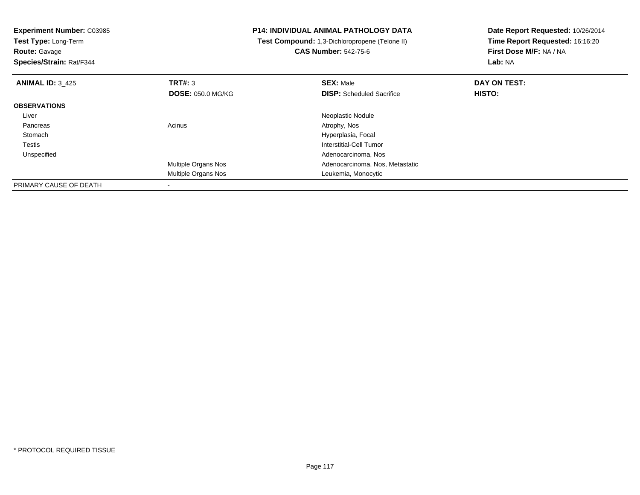**Experiment Number:** C03985**Test Type:** Long-Term**Route:** Gavage **Species/Strain:** Rat/F344**P14: INDIVIDUAL ANIMAL PATHOLOGY DATA Test Compound:** 1,3-Dichloropropene (Telone II)**CAS Number:** 542-75-6**Date Report Requested:** 10/26/2014**Time Report Requested:** 16:16:20**First Dose M/F:** NA / NA**Lab:** NA**ANIMAL ID:** 3\_425 **TRT#:** <sup>3</sup> **SEX:** Male **DAY ON TEST: DOSE:** 050.0 MG/KG**DISP:** Scheduled Sacrifice **HISTO: OBSERVATIONS** Liver Neoplastic Nodule Pancreass and the contract of the contract of the contract of the contract of the contract  $\mathsf{A}$  at  $\mathsf{A}$  and  $\mathsf{A}$  and  $\mathsf{A}$  and  $\mathsf{A}$  and  $\mathsf{A}$  are contract of  $\mathsf{A}$  and  $\mathsf{A}$  and  $\mathsf{A}$  are contract of **Stomach**  Hyperplasia, Focal Testis Interstitial-Cell Tumor Unspecified Adenocarcinoma, Nos Multiple Organs Nos Adenocarcinoma, Nos, Metastatic Multiple Organs Nos Leukemia, Monocytic PRIMARY CAUSE OF DEATH-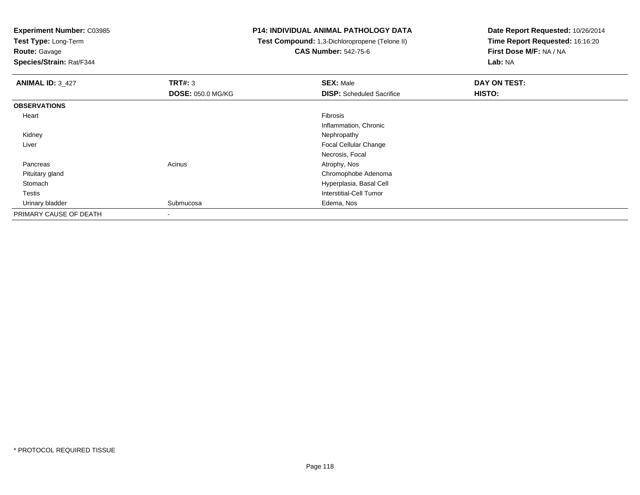**Test Type:** Long-Term

**Route:** Gavage

**Species/Strain:** Rat/F344

# **P14: INDIVIDUAL ANIMAL PATHOLOGY DATA**

 **Test Compound:** 1,3-Dichloropropene (Telone II)**CAS Number:** 542-75-6

| <b>ANIMAL ID: 3_427</b> | TRT#: 3                  | <b>SEX: Male</b>                 | DAY ON TEST: |
|-------------------------|--------------------------|----------------------------------|--------------|
|                         | <b>DOSE: 050.0 MG/KG</b> | <b>DISP:</b> Scheduled Sacrifice | HISTO:       |
| <b>OBSERVATIONS</b>     |                          |                                  |              |
| Heart                   |                          | Fibrosis                         |              |
|                         |                          | Inflammation, Chronic            |              |
| Kidney                  |                          | Nephropathy                      |              |
| Liver                   |                          | <b>Focal Cellular Change</b>     |              |
|                         |                          | Necrosis, Focal                  |              |
| Pancreas                | Acinus                   | Atrophy, Nos                     |              |
| Pituitary gland         |                          | Chromophobe Adenoma              |              |
| Stomach                 |                          | Hyperplasia, Basal Cell          |              |
| <b>Testis</b>           |                          | Interstitial-Cell Tumor          |              |
| Urinary bladder         | Submucosa                | Edema, Nos                       |              |
| PRIMARY CAUSE OF DEATH  | -                        |                                  |              |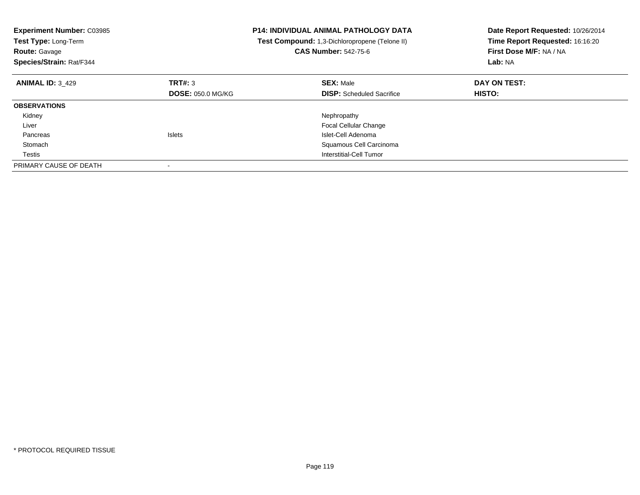| <b>Experiment Number: C03985</b><br>Test Type: Long-Term<br><b>Route: Gavage</b><br>Species/Strain: Rat/F344 |                          | <b>P14: INDIVIDUAL ANIMAL PATHOLOGY DATA</b><br>Test Compound: 1,3-Dichloropropene (Telone II)<br><b>CAS Number: 542-75-6</b> | Date Report Requested: 10/26/2014<br>Time Report Requested: 16:16:20<br>First Dose M/F: NA / NA<br>Lab: NA |
|--------------------------------------------------------------------------------------------------------------|--------------------------|-------------------------------------------------------------------------------------------------------------------------------|------------------------------------------------------------------------------------------------------------|
| <b>ANIMAL ID: 3 429</b>                                                                                      | TRT#: 3                  | <b>SEX: Male</b>                                                                                                              | DAY ON TEST:                                                                                               |
|                                                                                                              | <b>DOSE: 050.0 MG/KG</b> | <b>DISP:</b> Scheduled Sacrifice                                                                                              | HISTO:                                                                                                     |
| <b>OBSERVATIONS</b>                                                                                          |                          |                                                                                                                               |                                                                                                            |
| Kidney                                                                                                       |                          | Nephropathy                                                                                                                   |                                                                                                            |
| Liver                                                                                                        |                          | <b>Focal Cellular Change</b>                                                                                                  |                                                                                                            |
| Pancreas                                                                                                     | <b>Islets</b>            | Islet-Cell Adenoma                                                                                                            |                                                                                                            |
| Stomach                                                                                                      |                          | Squamous Cell Carcinoma                                                                                                       |                                                                                                            |
| Testis                                                                                                       |                          | Interstitial-Cell Tumor                                                                                                       |                                                                                                            |
| PRIMARY CAUSE OF DEATH                                                                                       |                          |                                                                                                                               |                                                                                                            |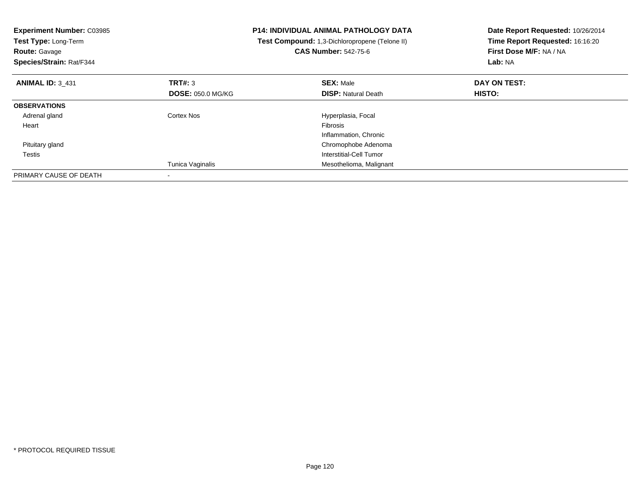| <b>Experiment Number: C03985</b><br>Test Type: Long-Term<br><b>Route: Gavage</b><br>Species/Strain: Rat/F344 |                          | <b>P14: INDIVIDUAL ANIMAL PATHOLOGY DATA</b><br>Test Compound: 1,3-Dichloropropene (Telone II)<br><b>CAS Number: 542-75-6</b> | Date Report Requested: 10/26/2014<br>Time Report Requested: 16:16:20<br>First Dose M/F: NA / NA<br>Lab: NA |
|--------------------------------------------------------------------------------------------------------------|--------------------------|-------------------------------------------------------------------------------------------------------------------------------|------------------------------------------------------------------------------------------------------------|
| <b>ANIMAL ID: 3 431</b>                                                                                      | <b>TRT#: 3</b>           | <b>SEX: Male</b>                                                                                                              | DAY ON TEST:                                                                                               |
|                                                                                                              | <b>DOSE: 050.0 MG/KG</b> | <b>DISP:</b> Natural Death                                                                                                    | <b>HISTO:</b>                                                                                              |
| <b>OBSERVATIONS</b>                                                                                          |                          |                                                                                                                               |                                                                                                            |
| Adrenal gland                                                                                                | Cortex Nos               | Hyperplasia, Focal                                                                                                            |                                                                                                            |
| Heart                                                                                                        |                          | Fibrosis                                                                                                                      |                                                                                                            |
|                                                                                                              |                          | Inflammation, Chronic                                                                                                         |                                                                                                            |
| Pituitary gland                                                                                              |                          | Chromophobe Adenoma                                                                                                           |                                                                                                            |
| Testis                                                                                                       |                          | Interstitial-Cell Tumor                                                                                                       |                                                                                                            |
|                                                                                                              | Tunica Vaginalis         | Mesothelioma, Malignant                                                                                                       |                                                                                                            |
| PRIMARY CAUSE OF DEATH                                                                                       |                          |                                                                                                                               |                                                                                                            |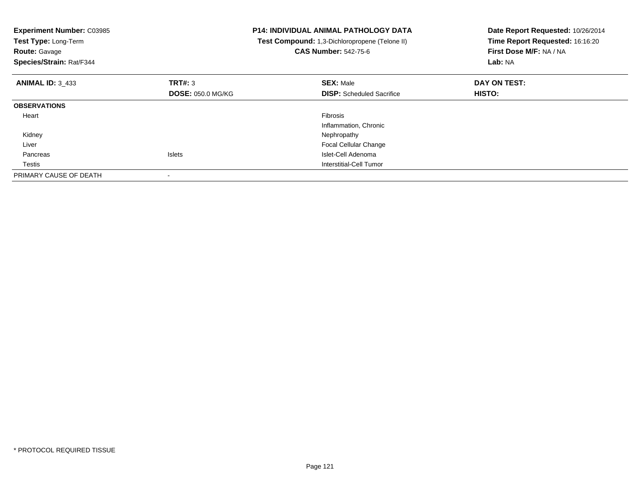| <b>Experiment Number: C03985</b><br>Test Type: Long-Term<br><b>Route: Gavage</b><br>Species/Strain: Rat/F344 |                          | <b>P14: INDIVIDUAL ANIMAL PATHOLOGY DATA</b><br>Test Compound: 1,3-Dichloropropene (Telone II)<br><b>CAS Number: 542-75-6</b> | Date Report Requested: 10/26/2014<br>Time Report Requested: 16:16:20<br>First Dose M/F: NA / NA<br>Lab: NA |
|--------------------------------------------------------------------------------------------------------------|--------------------------|-------------------------------------------------------------------------------------------------------------------------------|------------------------------------------------------------------------------------------------------------|
| <b>ANIMAL ID: 3 433</b>                                                                                      | TRT#: 3                  | <b>SEX: Male</b>                                                                                                              | DAY ON TEST:                                                                                               |
|                                                                                                              | <b>DOSE: 050.0 MG/KG</b> | <b>DISP:</b> Scheduled Sacrifice                                                                                              | <b>HISTO:</b>                                                                                              |
| <b>OBSERVATIONS</b>                                                                                          |                          |                                                                                                                               |                                                                                                            |
| Heart                                                                                                        |                          | <b>Fibrosis</b>                                                                                                               |                                                                                                            |
|                                                                                                              |                          | Inflammation, Chronic                                                                                                         |                                                                                                            |
| Kidney                                                                                                       |                          | Nephropathy                                                                                                                   |                                                                                                            |
| Liver                                                                                                        |                          | Focal Cellular Change                                                                                                         |                                                                                                            |
| Pancreas                                                                                                     | <b>Islets</b>            | Islet-Cell Adenoma                                                                                                            |                                                                                                            |
| Testis                                                                                                       |                          | Interstitial-Cell Tumor                                                                                                       |                                                                                                            |
| PRIMARY CAUSE OF DEATH                                                                                       |                          |                                                                                                                               |                                                                                                            |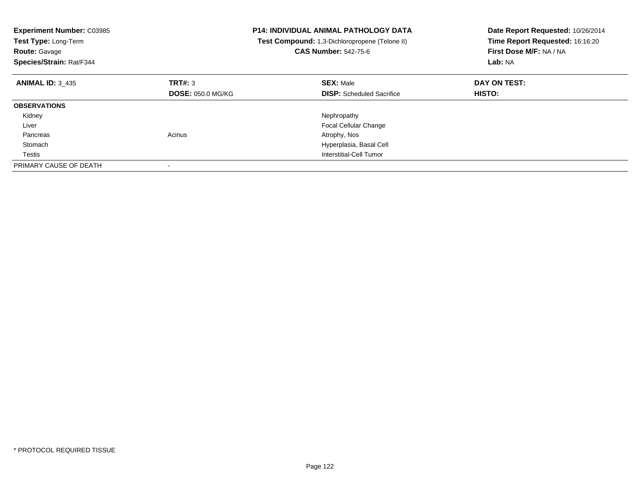| <b>Experiment Number: C03985</b><br>Test Type: Long-Term<br><b>Route: Gavage</b><br>Species/Strain: Rat/F344 |                          | <b>P14: INDIVIDUAL ANIMAL PATHOLOGY DATA</b><br>Test Compound: 1,3-Dichloropropene (Telone II)<br><b>CAS Number: 542-75-6</b> | Date Report Requested: 10/26/2014<br>Time Report Requested: 16:16:20<br>First Dose M/F: NA / NA<br>Lab: NA |
|--------------------------------------------------------------------------------------------------------------|--------------------------|-------------------------------------------------------------------------------------------------------------------------------|------------------------------------------------------------------------------------------------------------|
| <b>ANIMAL ID: 3 435</b>                                                                                      | TRT#: 3                  | <b>SEX: Male</b>                                                                                                              | DAY ON TEST:                                                                                               |
|                                                                                                              | <b>DOSE: 050.0 MG/KG</b> | <b>DISP:</b> Scheduled Sacrifice                                                                                              | HISTO:                                                                                                     |
| <b>OBSERVATIONS</b>                                                                                          |                          |                                                                                                                               |                                                                                                            |
| Kidney                                                                                                       |                          | Nephropathy                                                                                                                   |                                                                                                            |
| Liver                                                                                                        |                          | <b>Focal Cellular Change</b>                                                                                                  |                                                                                                            |
| Pancreas                                                                                                     | Acinus                   | Atrophy, Nos                                                                                                                  |                                                                                                            |
| Stomach                                                                                                      |                          | Hyperplasia, Basal Cell                                                                                                       |                                                                                                            |
| Testis                                                                                                       |                          | Interstitial-Cell Tumor                                                                                                       |                                                                                                            |
| PRIMARY CAUSE OF DEATH                                                                                       |                          |                                                                                                                               |                                                                                                            |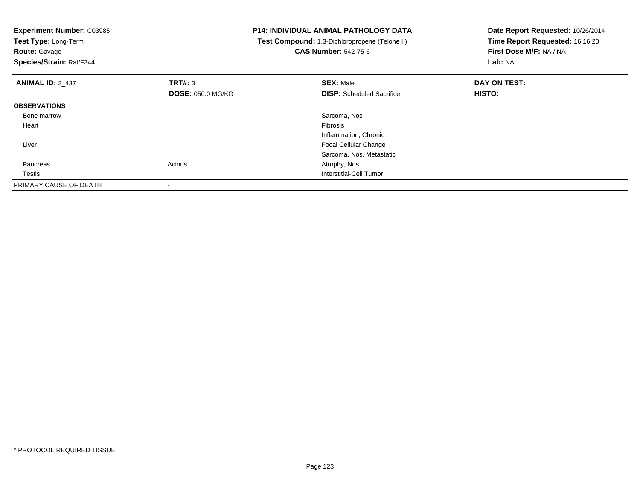| <b>Experiment Number: C03985</b><br>Test Type: Long-Term<br><b>Route: Gavage</b><br>Species/Strain: Rat/F344 |                          | <b>P14: INDIVIDUAL ANIMAL PATHOLOGY DATA</b><br>Test Compound: 1,3-Dichloropropene (Telone II)<br><b>CAS Number: 542-75-6</b> | Date Report Requested: 10/26/2014<br>Time Report Requested: 16:16:20<br>First Dose M/F: NA / NA<br>Lab: NA |
|--------------------------------------------------------------------------------------------------------------|--------------------------|-------------------------------------------------------------------------------------------------------------------------------|------------------------------------------------------------------------------------------------------------|
| <b>ANIMAL ID: 3 437</b>                                                                                      | TRT#: 3                  | <b>SEX: Male</b>                                                                                                              | DAY ON TEST:                                                                                               |
|                                                                                                              | <b>DOSE: 050.0 MG/KG</b> | <b>DISP:</b> Scheduled Sacrifice                                                                                              | HISTO:                                                                                                     |
| <b>OBSERVATIONS</b>                                                                                          |                          |                                                                                                                               |                                                                                                            |
| Bone marrow                                                                                                  |                          | Sarcoma, Nos                                                                                                                  |                                                                                                            |
| Heart                                                                                                        |                          | Fibrosis                                                                                                                      |                                                                                                            |
|                                                                                                              |                          | Inflammation, Chronic                                                                                                         |                                                                                                            |
| Liver                                                                                                        |                          | Focal Cellular Change                                                                                                         |                                                                                                            |
|                                                                                                              |                          | Sarcoma, Nos, Metastatic                                                                                                      |                                                                                                            |
| Pancreas                                                                                                     | Acinus                   | Atrophy, Nos                                                                                                                  |                                                                                                            |
| Testis                                                                                                       |                          | Interstitial-Cell Tumor                                                                                                       |                                                                                                            |
| PRIMARY CAUSE OF DEATH                                                                                       |                          |                                                                                                                               |                                                                                                            |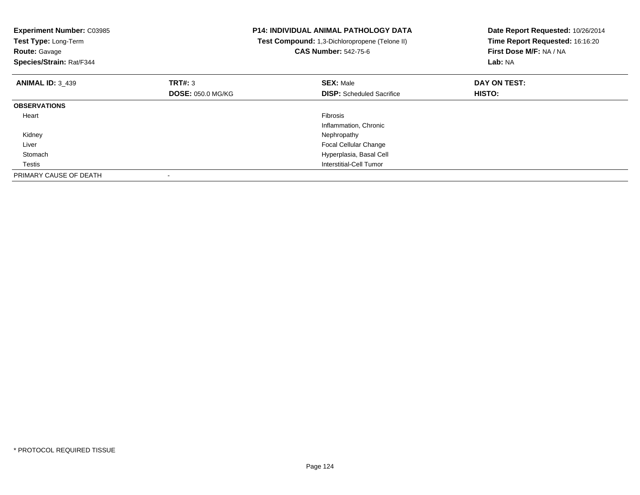| <b>Experiment Number: C03985</b><br>Test Type: Long-Term<br><b>Route: Gavage</b><br>Species/Strain: Rat/F344 |                          | <b>P14: INDIVIDUAL ANIMAL PATHOLOGY DATA</b><br>Test Compound: 1,3-Dichloropropene (Telone II)<br><b>CAS Number: 542-75-6</b> | Date Report Requested: 10/26/2014<br>Time Report Requested: 16:16:20<br>First Dose M/F: NA / NA<br>Lab: NA |
|--------------------------------------------------------------------------------------------------------------|--------------------------|-------------------------------------------------------------------------------------------------------------------------------|------------------------------------------------------------------------------------------------------------|
| <b>ANIMAL ID: 3_439</b>                                                                                      | TRT#: 3                  | <b>SEX: Male</b>                                                                                                              | DAY ON TEST:                                                                                               |
|                                                                                                              | <b>DOSE: 050.0 MG/KG</b> | <b>DISP:</b> Scheduled Sacrifice                                                                                              | <b>HISTO:</b>                                                                                              |
| <b>OBSERVATIONS</b>                                                                                          |                          |                                                                                                                               |                                                                                                            |
| Heart                                                                                                        |                          | <b>Fibrosis</b>                                                                                                               |                                                                                                            |
|                                                                                                              |                          | Inflammation, Chronic                                                                                                         |                                                                                                            |
| Kidney                                                                                                       |                          | Nephropathy                                                                                                                   |                                                                                                            |
| Liver                                                                                                        |                          | <b>Focal Cellular Change</b>                                                                                                  |                                                                                                            |
| Stomach                                                                                                      |                          | Hyperplasia, Basal Cell                                                                                                       |                                                                                                            |
| Testis                                                                                                       |                          | Interstitial-Cell Tumor                                                                                                       |                                                                                                            |
| PRIMARY CAUSE OF DEATH                                                                                       |                          |                                                                                                                               |                                                                                                            |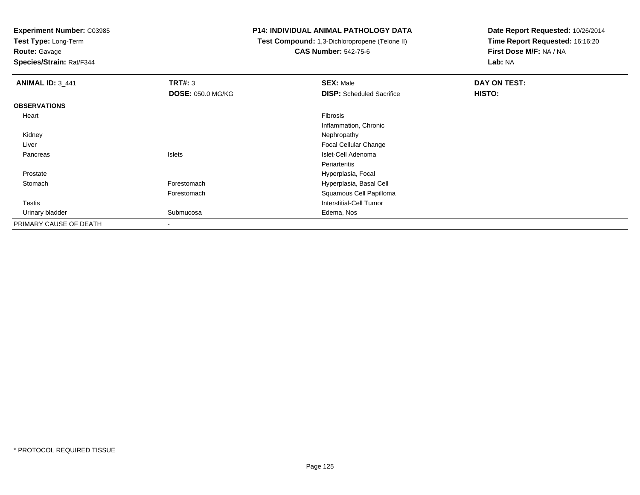**Test Type:** Long-Term

# **Route:** Gavage

**Species/Strain:** Rat/F344

#### **P14: INDIVIDUAL ANIMAL PATHOLOGY DATA**

# **Test Compound:** 1,3-Dichloropropene (Telone II)**CAS Number:** 542-75-6

| <b>ANIMAL ID: 3_441</b> | TRT#: 3                  | <b>SEX: Male</b>                 | DAY ON TEST: |
|-------------------------|--------------------------|----------------------------------|--------------|
|                         | <b>DOSE: 050.0 MG/KG</b> | <b>DISP:</b> Scheduled Sacrifice | HISTO:       |
| <b>OBSERVATIONS</b>     |                          |                                  |              |
| Heart                   |                          | Fibrosis                         |              |
|                         |                          | Inflammation, Chronic            |              |
| Kidney                  |                          | Nephropathy                      |              |
| Liver                   |                          | <b>Focal Cellular Change</b>     |              |
| Pancreas                | Islets                   | Islet-Cell Adenoma               |              |
|                         |                          | Periarteritis                    |              |
| Prostate                |                          | Hyperplasia, Focal               |              |
| Stomach                 | Forestomach              | Hyperplasia, Basal Cell          |              |
|                         | Forestomach              | Squamous Cell Papilloma          |              |
| <b>Testis</b>           |                          | <b>Interstitial-Cell Tumor</b>   |              |
| Urinary bladder         | Submucosa                | Edema, Nos                       |              |
| PRIMARY CAUSE OF DEATH  |                          |                                  |              |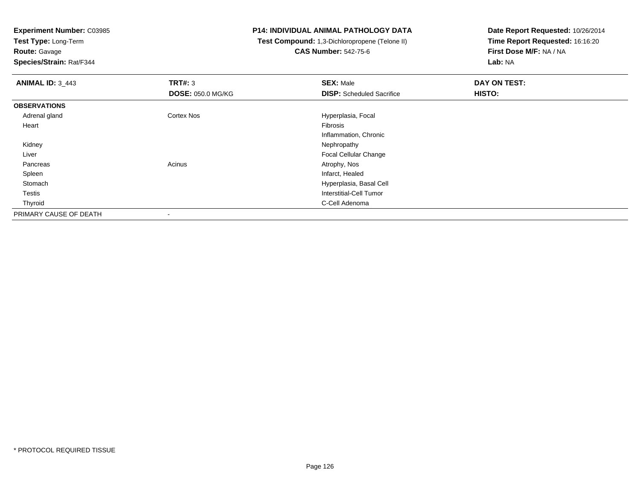**Test Type:** Long-Term**Route:** Gavage

**Species/Strain:** Rat/F344

# **P14: INDIVIDUAL ANIMAL PATHOLOGY DATA**

 **Test Compound:** 1,3-Dichloropropene (Telone II)**CAS Number:** 542-75-6

| <b>ANIMAL ID: 3_443</b> | TRT#: 3                  | <b>SEX: Male</b>                 | DAY ON TEST: |
|-------------------------|--------------------------|----------------------------------|--------------|
|                         | <b>DOSE: 050.0 MG/KG</b> | <b>DISP:</b> Scheduled Sacrifice | HISTO:       |
| <b>OBSERVATIONS</b>     |                          |                                  |              |
| Adrenal gland           | <b>Cortex Nos</b>        | Hyperplasia, Focal               |              |
| Heart                   |                          | Fibrosis                         |              |
|                         |                          | Inflammation, Chronic            |              |
| Kidney                  |                          | Nephropathy                      |              |
| Liver                   |                          | Focal Cellular Change            |              |
| Pancreas                | Acinus                   | Atrophy, Nos                     |              |
| Spleen                  |                          | Infarct, Healed                  |              |
| Stomach                 |                          | Hyperplasia, Basal Cell          |              |
| Testis                  |                          | Interstitial-Cell Tumor          |              |
| Thyroid                 |                          | C-Cell Adenoma                   |              |
| PRIMARY CAUSE OF DEATH  | $\overline{\phantom{a}}$ |                                  |              |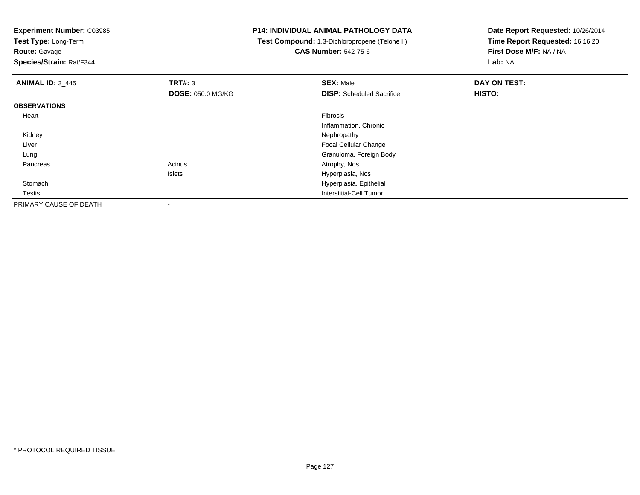**Test Type:** Long-Term

**Route:** Gavage

**Species/Strain:** Rat/F344

# **P14: INDIVIDUAL ANIMAL PATHOLOGY DATA**

 **Test Compound:** 1,3-Dichloropropene (Telone II)**CAS Number:** 542-75-6

| <b>ANIMAL ID: 3 445</b> | TRT#: 3                  | <b>SEX: Male</b>                 | DAY ON TEST: |
|-------------------------|--------------------------|----------------------------------|--------------|
|                         | <b>DOSE: 050.0 MG/KG</b> | <b>DISP:</b> Scheduled Sacrifice | HISTO:       |
| <b>OBSERVATIONS</b>     |                          |                                  |              |
| Heart                   |                          | Fibrosis                         |              |
|                         |                          | Inflammation, Chronic            |              |
| Kidney                  |                          | Nephropathy                      |              |
| Liver                   |                          | Focal Cellular Change            |              |
| Lung                    |                          | Granuloma, Foreign Body          |              |
| Pancreas                | Acinus                   | Atrophy, Nos                     |              |
|                         | Islets                   | Hyperplasia, Nos                 |              |
| Stomach                 |                          | Hyperplasia, Epithelial          |              |
| <b>Testis</b>           |                          | Interstitial-Cell Tumor          |              |
| PRIMARY CAUSE OF DEATH  | $\overline{\phantom{a}}$ |                                  |              |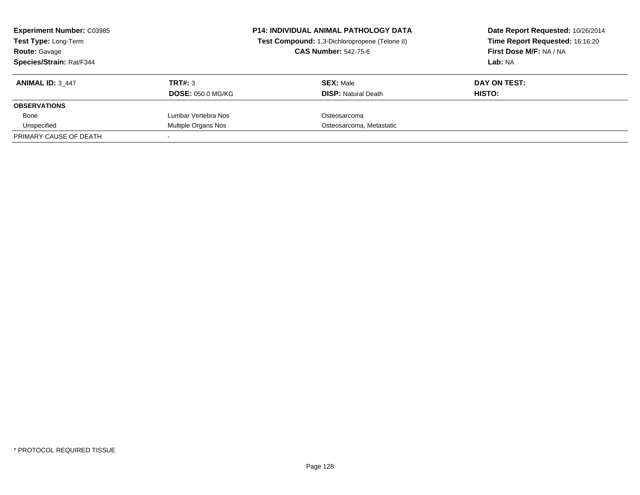| <b>Experiment Number: C03985</b><br>Test Type: Long-Term<br><b>Route: Gavage</b><br>Species/Strain: Rat/F344 |                                     | <b>P14: INDIVIDUAL ANIMAL PATHOLOGY DATA</b><br>Test Compound: 1,3-Dichloropropene (Telone II)<br><b>CAS Number: 542-75-6</b> | Date Report Requested: 10/26/2014<br>Time Report Requested: 16:16:20<br>First Dose M/F: NA / NA<br>Lab: NA |
|--------------------------------------------------------------------------------------------------------------|-------------------------------------|-------------------------------------------------------------------------------------------------------------------------------|------------------------------------------------------------------------------------------------------------|
| <b>ANIMAL ID: 3_447</b>                                                                                      | TRT#: 3<br><b>DOSE: 050.0 MG/KG</b> | <b>SEX: Male</b><br><b>DISP: Natural Death</b>                                                                                | DAY ON TEST:<br>HISTO:                                                                                     |
| <b>OBSERVATIONS</b>                                                                                          |                                     |                                                                                                                               |                                                                                                            |
| Bone                                                                                                         | Lumbar Vertebra Nos                 | Osteosarcoma                                                                                                                  |                                                                                                            |
| Unspecified                                                                                                  | Multiple Organs Nos                 | Osteosarcoma, Metastatic                                                                                                      |                                                                                                            |
| PRIMARY CAUSE OF DEATH                                                                                       |                                     |                                                                                                                               |                                                                                                            |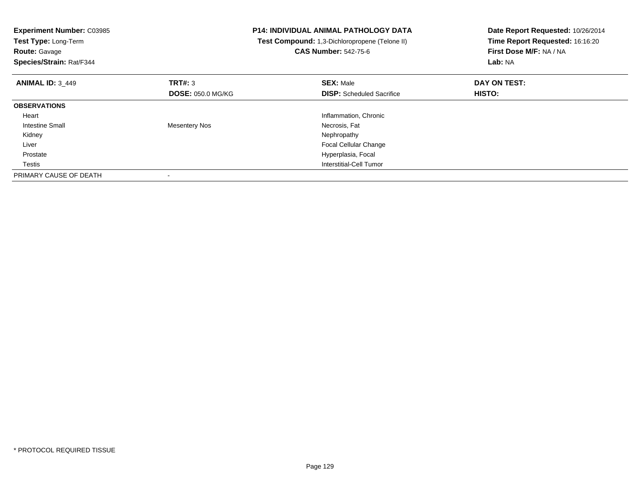| <b>Experiment Number: C03985</b><br>Test Type: Long-Term<br><b>Route: Gavage</b><br>Species/Strain: Rat/F344 |                          | <b>P14: INDIVIDUAL ANIMAL PATHOLOGY DATA</b><br>Test Compound: 1,3-Dichloropropene (Telone II)<br><b>CAS Number: 542-75-6</b> | Date Report Requested: 10/26/2014<br>Time Report Requested: 16:16:20<br>First Dose M/F: NA / NA<br>Lab: NA |
|--------------------------------------------------------------------------------------------------------------|--------------------------|-------------------------------------------------------------------------------------------------------------------------------|------------------------------------------------------------------------------------------------------------|
| <b>ANIMAL ID: 3 449</b>                                                                                      | TRT#: 3                  | <b>SEX: Male</b>                                                                                                              | DAY ON TEST:                                                                                               |
|                                                                                                              | <b>DOSE: 050.0 MG/KG</b> | <b>DISP:</b> Scheduled Sacrifice                                                                                              | HISTO:                                                                                                     |
| <b>OBSERVATIONS</b>                                                                                          |                          |                                                                                                                               |                                                                                                            |
| Heart                                                                                                        |                          | Inflammation, Chronic                                                                                                         |                                                                                                            |
| <b>Intestine Small</b>                                                                                       | <b>Mesentery Nos</b>     | Necrosis, Fat                                                                                                                 |                                                                                                            |
| Kidney                                                                                                       |                          | Nephropathy                                                                                                                   |                                                                                                            |
| Liver                                                                                                        |                          | <b>Focal Cellular Change</b>                                                                                                  |                                                                                                            |
| Prostate                                                                                                     |                          | Hyperplasia, Focal                                                                                                            |                                                                                                            |
| Testis                                                                                                       |                          | Interstitial-Cell Tumor                                                                                                       |                                                                                                            |
| PRIMARY CAUSE OF DEATH                                                                                       |                          |                                                                                                                               |                                                                                                            |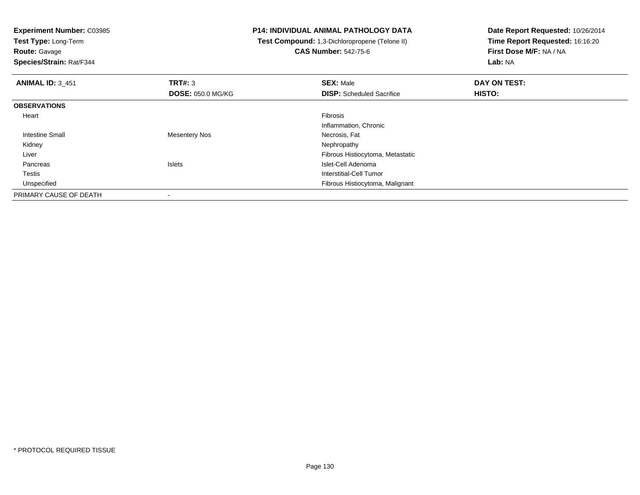**Test Type:** Long-Term

**Route:** Gavage

**Species/Strain:** Rat/F344

# **P14: INDIVIDUAL ANIMAL PATHOLOGY DATA**

 **Test Compound:** 1,3-Dichloropropene (Telone II)**CAS Number:** 542-75-6

| <b>ANIMAL ID: 3_451</b> | TRT#: 3                  | <b>SEX: Male</b>                 | DAY ON TEST: |  |
|-------------------------|--------------------------|----------------------------------|--------------|--|
|                         | <b>DOSE: 050.0 MG/KG</b> | <b>DISP:</b> Scheduled Sacrifice | HISTO:       |  |
| <b>OBSERVATIONS</b>     |                          |                                  |              |  |
| Heart                   |                          | Fibrosis                         |              |  |
|                         |                          | Inflammation, Chronic            |              |  |
| <b>Intestine Small</b>  | Mesentery Nos            | Necrosis, Fat                    |              |  |
| Kidney                  |                          | Nephropathy                      |              |  |
| Liver                   |                          | Fibrous Histiocytoma, Metastatic |              |  |
| Pancreas                | <b>Islets</b>            | Islet-Cell Adenoma               |              |  |
| Testis                  |                          | Interstitial-Cell Tumor          |              |  |
| Unspecified             |                          | Fibrous Histiocytoma, Malignant  |              |  |
| PRIMARY CAUSE OF DEATH  | $\overline{\phantom{a}}$ |                                  |              |  |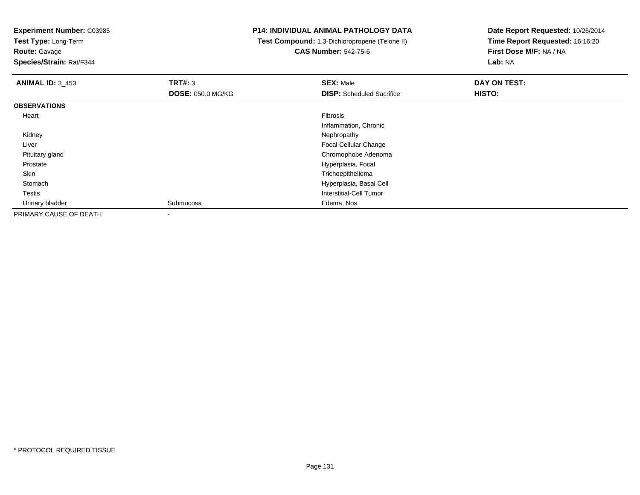**Test Type:** Long-Term

**Route:** Gavage

**Species/Strain:** Rat/F344

# **P14: INDIVIDUAL ANIMAL PATHOLOGY DATA**

 **Test Compound:** 1,3-Dichloropropene (Telone II)**CAS Number:** 542-75-6

| <b>ANIMAL ID: 3_453</b> | TRT#: 3                  | <b>SEX: Male</b>                 | DAY ON TEST: |
|-------------------------|--------------------------|----------------------------------|--------------|
|                         | <b>DOSE: 050.0 MG/KG</b> | <b>DISP:</b> Scheduled Sacrifice | HISTO:       |
| <b>OBSERVATIONS</b>     |                          |                                  |              |
| Heart                   |                          | Fibrosis                         |              |
|                         |                          | Inflammation, Chronic            |              |
| Kidney                  |                          | Nephropathy                      |              |
| Liver                   |                          | <b>Focal Cellular Change</b>     |              |
| Pituitary gland         |                          | Chromophobe Adenoma              |              |
| Prostate                |                          | Hyperplasia, Focal               |              |
| Skin                    |                          | Trichoepithelioma                |              |
| Stomach                 |                          | Hyperplasia, Basal Cell          |              |
| <b>Testis</b>           |                          | Interstitial-Cell Tumor          |              |
| Urinary bladder         | Submucosa                | Edema, Nos                       |              |
| PRIMARY CAUSE OF DEATH  | ٠                        |                                  |              |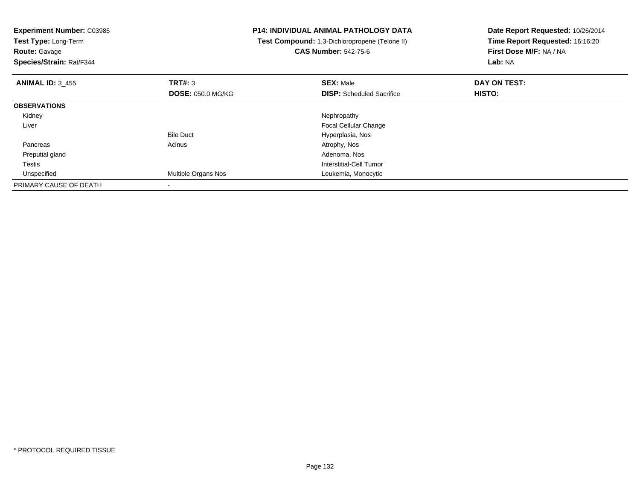| <b>Experiment Number: C03985</b><br>Test Type: Long-Term<br><b>Route:</b> Gavage<br>Species/Strain: Rat/F344 |                          | <b>P14: INDIVIDUAL ANIMAL PATHOLOGY DATA</b><br>Test Compound: 1,3-Dichloropropene (Telone II)<br><b>CAS Number: 542-75-6</b> | Date Report Requested: 10/26/2014<br>Time Report Requested: 16:16:20<br>First Dose M/F: NA / NA<br>Lab: NA |
|--------------------------------------------------------------------------------------------------------------|--------------------------|-------------------------------------------------------------------------------------------------------------------------------|------------------------------------------------------------------------------------------------------------|
| <b>ANIMAL ID: 3 455</b>                                                                                      | TRT#: 3                  | <b>SEX: Male</b>                                                                                                              | DAY ON TEST:                                                                                               |
|                                                                                                              | <b>DOSE: 050.0 MG/KG</b> | <b>DISP:</b> Scheduled Sacrifice                                                                                              | HISTO:                                                                                                     |
| <b>OBSERVATIONS</b>                                                                                          |                          |                                                                                                                               |                                                                                                            |
| Kidney                                                                                                       |                          | Nephropathy                                                                                                                   |                                                                                                            |
| Liver                                                                                                        |                          | Focal Cellular Change                                                                                                         |                                                                                                            |
|                                                                                                              | <b>Bile Duct</b>         | Hyperplasia, Nos                                                                                                              |                                                                                                            |
| Pancreas                                                                                                     | Acinus                   | Atrophy, Nos                                                                                                                  |                                                                                                            |
| Preputial gland                                                                                              |                          | Adenoma, Nos                                                                                                                  |                                                                                                            |
| Testis                                                                                                       |                          | Interstitial-Cell Tumor                                                                                                       |                                                                                                            |
| Unspecified                                                                                                  | Multiple Organs Nos      | Leukemia, Monocytic                                                                                                           |                                                                                                            |
| PRIMARY CAUSE OF DEATH                                                                                       |                          |                                                                                                                               |                                                                                                            |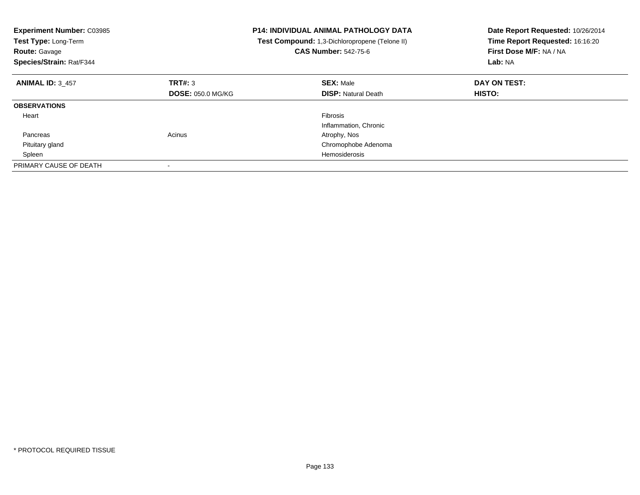| <b>Experiment Number: C03985</b><br>Test Type: Long-Term<br><b>Route: Gavage</b><br>Species/Strain: Rat/F344 |                          | <b>P14: INDIVIDUAL ANIMAL PATHOLOGY DATA</b><br>Test Compound: 1,3-Dichloropropene (Telone II)<br><b>CAS Number: 542-75-6</b> | Date Report Requested: 10/26/2014<br>Time Report Requested: 16:16:20<br>First Dose M/F: NA / NA<br>Lab: NA |
|--------------------------------------------------------------------------------------------------------------|--------------------------|-------------------------------------------------------------------------------------------------------------------------------|------------------------------------------------------------------------------------------------------------|
| <b>ANIMAL ID: 3 457</b>                                                                                      | TRT#: 3                  | <b>SEX: Male</b>                                                                                                              | DAY ON TEST:                                                                                               |
|                                                                                                              | <b>DOSE: 050.0 MG/KG</b> | <b>DISP:</b> Natural Death                                                                                                    | HISTO:                                                                                                     |
| <b>OBSERVATIONS</b>                                                                                          |                          |                                                                                                                               |                                                                                                            |
| Heart                                                                                                        |                          | <b>Fibrosis</b>                                                                                                               |                                                                                                            |
|                                                                                                              |                          | Inflammation, Chronic                                                                                                         |                                                                                                            |
| Pancreas                                                                                                     | Acinus                   | Atrophy, Nos                                                                                                                  |                                                                                                            |
| Pituitary gland                                                                                              |                          | Chromophobe Adenoma                                                                                                           |                                                                                                            |
| Spleen                                                                                                       |                          | Hemosiderosis                                                                                                                 |                                                                                                            |
| PRIMARY CAUSE OF DEATH                                                                                       |                          |                                                                                                                               |                                                                                                            |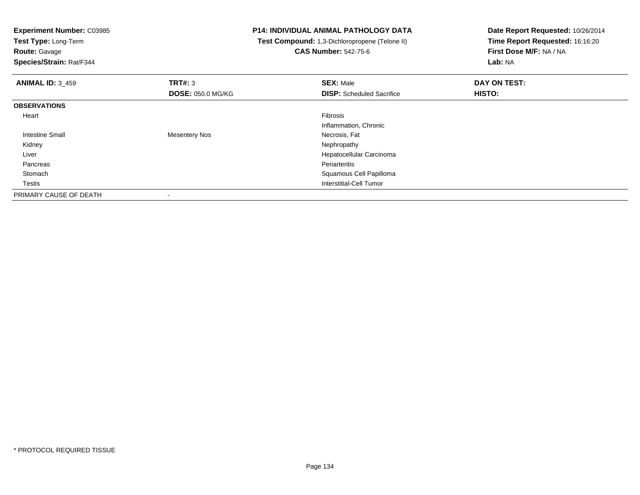**Experiment Number:** C03985**Test Type:** Long-Term**Route:** Gavage **Species/Strain:** Rat/F344**P14: INDIVIDUAL ANIMAL PATHOLOGY DATA Test Compound:** 1,3-Dichloropropene (Telone II)**CAS Number:** 542-75-6**Date Report Requested:** 10/26/2014**Time Report Requested:** 16:16:20**First Dose M/F:** NA / NA**Lab:** NA**ANIMAL ID:** 3\_459**9 SEX:** Male **DAY ON TEST: DAY ON TEST: DOSE:** 050.0 MG/KG**DISP:** Scheduled Sacrifice **HISTO: OBSERVATIONS** Heartt de la constitución de la constitución de la constitución de la constitución de la constitución de la constitución Inflammation, Chronic Intestine Small Mesentery Nos Necrosis, Fat Kidneyy the control of the control of the control of the control of the control of the control of the control of the control of the control of the control of the control of the control of the control of the control of the contro Liver Hepatocellular Carcinoma Pancreass and the contract of the contract of the contract of the contract of the contract of the contract of the contract of the contract of the contract of the contract of the contract of the contract of the contract of the cont Stomach Squamous Cell Papilloma Testis Interstitial-Cell Tumor PRIMARY CAUSE OF DEATH-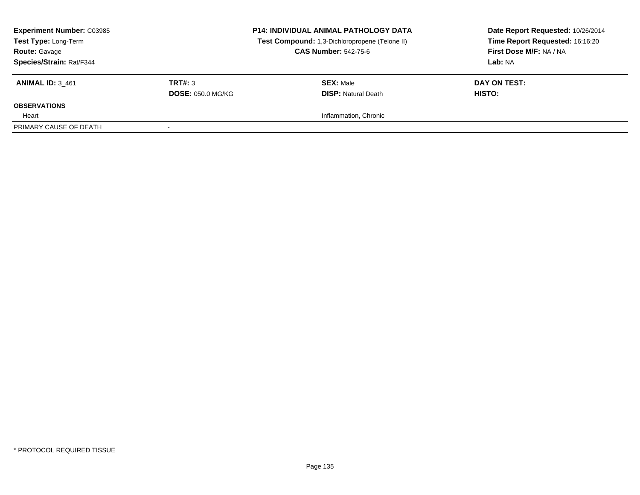| <b>Experiment Number: C03985</b><br>Test Type: Long-Term<br><b>Route: Gavage</b><br><b>Species/Strain: Rat/F344</b> |                                     | <b>P14: INDIVIDUAL ANIMAL PATHOLOGY DATA</b><br>Test Compound: 1,3-Dichloropropene (Telone II)<br><b>CAS Number: 542-75-6</b> | Date Report Requested: 10/26/2014<br>Time Report Requested: 16:16:20<br>First Dose M/F: NA / NA<br>Lab: NA |
|---------------------------------------------------------------------------------------------------------------------|-------------------------------------|-------------------------------------------------------------------------------------------------------------------------------|------------------------------------------------------------------------------------------------------------|
| <b>ANIMAL ID: 3 461</b>                                                                                             | TRT#: 3<br><b>DOSE: 050.0 MG/KG</b> | <b>SEX: Male</b><br><b>DISP:</b> Natural Death                                                                                | DAY ON TEST:<br><b>HISTO:</b>                                                                              |
| <b>OBSERVATIONS</b>                                                                                                 |                                     |                                                                                                                               |                                                                                                            |
| Heart                                                                                                               |                                     | Inflammation, Chronic                                                                                                         |                                                                                                            |
| PRIMARY CAUSE OF DEATH                                                                                              |                                     |                                                                                                                               |                                                                                                            |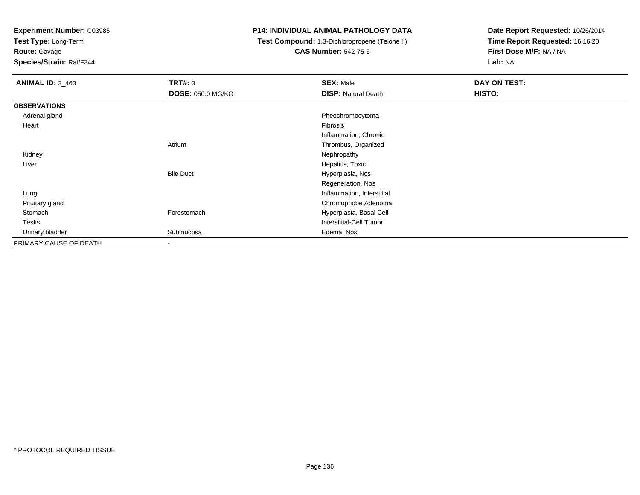**Test Type:** Long-Term

**Route:** Gavage

**Species/Strain:** Rat/F344

#### **P14: INDIVIDUAL ANIMAL PATHOLOGY DATA**

 **Test Compound:** 1,3-Dichloropropene (Telone II)**CAS Number:** 542-75-6

| <b>ANIMAL ID: 3_463</b> | TRT#: 3           | <b>SEX: Male</b>           | DAY ON TEST: |
|-------------------------|-------------------|----------------------------|--------------|
|                         | DOSE: 050.0 MG/KG | <b>DISP: Natural Death</b> | HISTO:       |
| <b>OBSERVATIONS</b>     |                   |                            |              |
| Adrenal gland           |                   | Pheochromocytoma           |              |
| Heart                   |                   | Fibrosis                   |              |
|                         |                   | Inflammation, Chronic      |              |
|                         | Atrium            | Thrombus, Organized        |              |
| Kidney                  |                   | Nephropathy                |              |
| Liver                   |                   | Hepatitis, Toxic           |              |
|                         | <b>Bile Duct</b>  | Hyperplasia, Nos           |              |
|                         |                   | Regeneration, Nos          |              |
| Lung                    |                   | Inflammation, Interstitial |              |
| Pituitary gland         |                   | Chromophobe Adenoma        |              |
| Stomach                 | Forestomach       | Hyperplasia, Basal Cell    |              |
| Testis                  |                   | Interstitial-Cell Tumor    |              |
| Urinary bladder         | Submucosa         | Edema, Nos                 |              |
| PRIMARY CAUSE OF DEATH  | ۰                 |                            |              |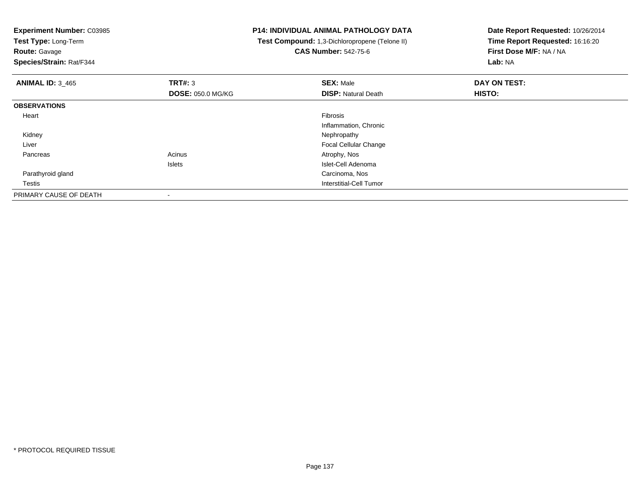**Test Type:** Long-Term

**Route:** Gavage

**Species/Strain:** Rat/F344

# **P14: INDIVIDUAL ANIMAL PATHOLOGY DATA**

 **Test Compound:** 1,3-Dichloropropene (Telone II)**CAS Number:** 542-75-6

| <b>ANIMAL ID: 3 465</b> | TRT#: 3                  | <b>SEX: Male</b>             | DAY ON TEST: |  |
|-------------------------|--------------------------|------------------------------|--------------|--|
|                         | <b>DOSE: 050.0 MG/KG</b> | <b>DISP: Natural Death</b>   | HISTO:       |  |
| <b>OBSERVATIONS</b>     |                          |                              |              |  |
| Heart                   |                          | Fibrosis                     |              |  |
|                         |                          | Inflammation, Chronic        |              |  |
| Kidney                  |                          | Nephropathy                  |              |  |
| Liver                   |                          | <b>Focal Cellular Change</b> |              |  |
| Pancreas                | Acinus                   | Atrophy, Nos                 |              |  |
|                         | Islets                   | Islet-Cell Adenoma           |              |  |
| Parathyroid gland       |                          | Carcinoma, Nos               |              |  |
| Testis                  |                          | Interstitial-Cell Tumor      |              |  |
| PRIMARY CAUSE OF DEATH  |                          |                              |              |  |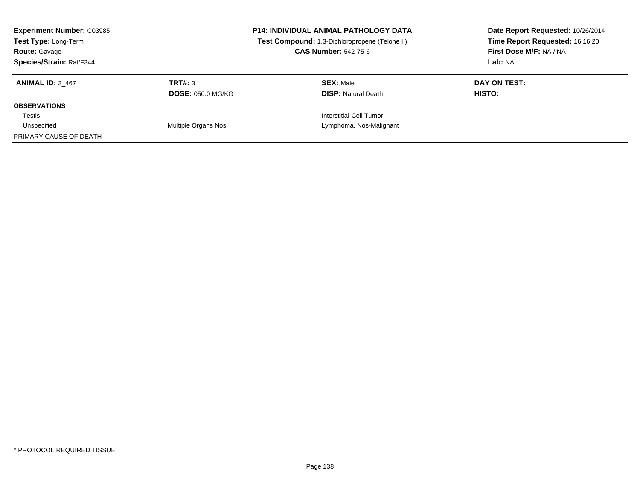| <b>Experiment Number: C03985</b><br>Test Type: Long-Term<br><b>Route: Gavage</b><br><b>Species/Strain: Rat/F344</b> |                                     | <b>P14: INDIVIDUAL ANIMAL PATHOLOGY DATA</b><br>Test Compound: 1,3-Dichloropropene (Telone II)<br><b>CAS Number: 542-75-6</b> | Date Report Requested: 10/26/2014<br>Time Report Requested: 16:16:20<br>First Dose M/F: NA / NA<br>Lab: NA |  |
|---------------------------------------------------------------------------------------------------------------------|-------------------------------------|-------------------------------------------------------------------------------------------------------------------------------|------------------------------------------------------------------------------------------------------------|--|
| <b>ANIMAL ID: 3 467</b>                                                                                             | TRT#: 3<br><b>DOSE: 050.0 MG/KG</b> | <b>SEX: Male</b><br><b>DISP:</b> Natural Death                                                                                | DAY ON TEST:<br>HISTO:                                                                                     |  |
| <b>OBSERVATIONS</b>                                                                                                 |                                     |                                                                                                                               |                                                                                                            |  |
| Testis                                                                                                              |                                     | Interstitial-Cell Tumor                                                                                                       |                                                                                                            |  |
| Unspecified                                                                                                         | Multiple Organs Nos                 | Lymphoma, Nos-Malignant                                                                                                       |                                                                                                            |  |
| PRIMARY CAUSE OF DEATH                                                                                              |                                     |                                                                                                                               |                                                                                                            |  |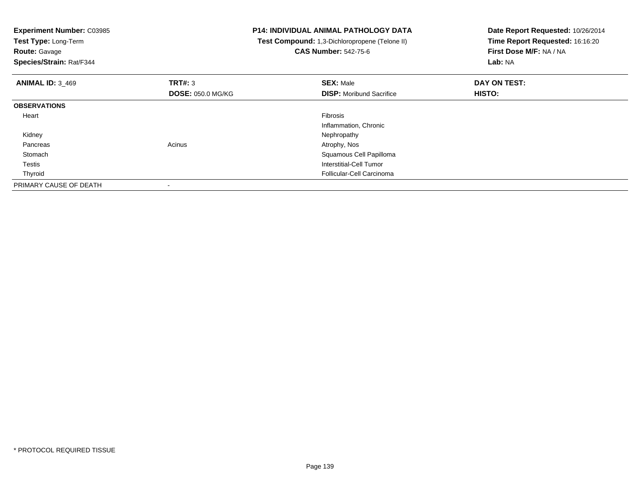| <b>Experiment Number: C03985</b><br>Test Type: Long-Term<br><b>Route: Gavage</b><br>Species/Strain: Rat/F344 |                          | P14: INDIVIDUAL ANIMAL PATHOLOGY DATA<br>Test Compound: 1,3-Dichloropropene (Telone II)<br><b>CAS Number: 542-75-6</b> | Date Report Requested: 10/26/2014<br>Time Report Requested: 16:16:20<br>First Dose M/F: NA / NA<br>Lab: NA |
|--------------------------------------------------------------------------------------------------------------|--------------------------|------------------------------------------------------------------------------------------------------------------------|------------------------------------------------------------------------------------------------------------|
| <b>ANIMAL ID: 3_469</b>                                                                                      | <b>TRT#: 3</b>           | <b>SEX: Male</b>                                                                                                       | DAY ON TEST:                                                                                               |
|                                                                                                              | <b>DOSE: 050.0 MG/KG</b> | <b>DISP:</b> Moribund Sacrifice                                                                                        | HISTO:                                                                                                     |
| <b>OBSERVATIONS</b>                                                                                          |                          |                                                                                                                        |                                                                                                            |
| Heart                                                                                                        |                          | <b>Fibrosis</b>                                                                                                        |                                                                                                            |
|                                                                                                              |                          | Inflammation, Chronic                                                                                                  |                                                                                                            |
| Kidney                                                                                                       |                          | Nephropathy                                                                                                            |                                                                                                            |
| Pancreas                                                                                                     | Acinus                   | Atrophy, Nos                                                                                                           |                                                                                                            |
| Stomach                                                                                                      |                          | Squamous Cell Papilloma                                                                                                |                                                                                                            |
| Testis                                                                                                       |                          | Interstitial-Cell Tumor                                                                                                |                                                                                                            |
| Thyroid                                                                                                      |                          | Follicular-Cell Carcinoma                                                                                              |                                                                                                            |
| PRIMARY CAUSE OF DEATH                                                                                       |                          |                                                                                                                        |                                                                                                            |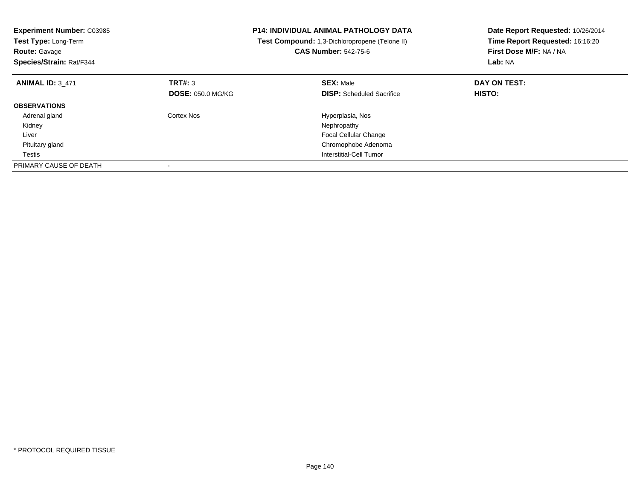| <b>Experiment Number: C03985</b><br>Test Type: Long-Term<br><b>Route: Gavage</b><br>Species/Strain: Rat/F344 |                          | <b>P14: INDIVIDUAL ANIMAL PATHOLOGY DATA</b><br>Test Compound: 1,3-Dichloropropene (Telone II)<br><b>CAS Number: 542-75-6</b> | Date Report Requested: 10/26/2014<br>Time Report Requested: 16:16:20<br>First Dose M/F: NA / NA<br>Lab: NA |
|--------------------------------------------------------------------------------------------------------------|--------------------------|-------------------------------------------------------------------------------------------------------------------------------|------------------------------------------------------------------------------------------------------------|
| <b>ANIMAL ID: 3 471</b>                                                                                      | TRT#: 3                  | <b>SEX: Male</b>                                                                                                              | DAY ON TEST:                                                                                               |
|                                                                                                              | <b>DOSE: 050.0 MG/KG</b> | <b>DISP:</b> Scheduled Sacrifice                                                                                              | <b>HISTO:</b>                                                                                              |
| <b>OBSERVATIONS</b>                                                                                          |                          |                                                                                                                               |                                                                                                            |
| Adrenal gland                                                                                                | Cortex Nos               | Hyperplasia, Nos                                                                                                              |                                                                                                            |
| Kidney                                                                                                       |                          | Nephropathy                                                                                                                   |                                                                                                            |
| Liver                                                                                                        |                          | Focal Cellular Change                                                                                                         |                                                                                                            |
| Pituitary gland                                                                                              |                          | Chromophobe Adenoma                                                                                                           |                                                                                                            |
| Testis                                                                                                       |                          | Interstitial-Cell Tumor                                                                                                       |                                                                                                            |
| PRIMARY CAUSE OF DEATH                                                                                       |                          |                                                                                                                               |                                                                                                            |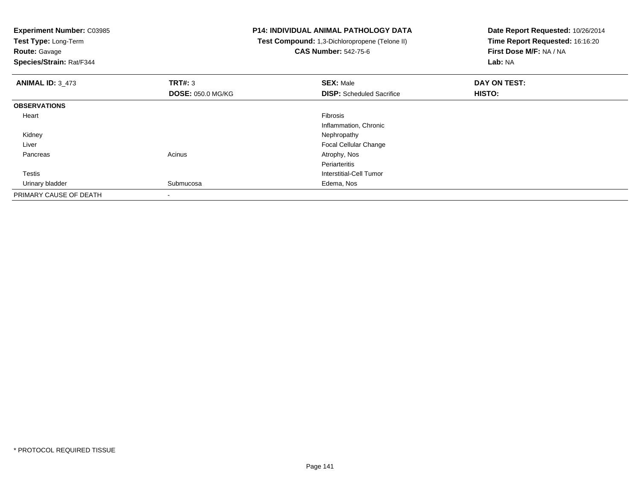**Test Type:** Long-Term

**Route:** Gavage

**Species/Strain:** Rat/F344

# **P14: INDIVIDUAL ANIMAL PATHOLOGY DATA**

 **Test Compound:** 1,3-Dichloropropene (Telone II)**CAS Number:** 542-75-6

| <b>ANIMAL ID: 3_473</b> | TRT#: 3                  | <b>SEX: Male</b>                 | DAY ON TEST: |  |
|-------------------------|--------------------------|----------------------------------|--------------|--|
|                         | <b>DOSE: 050.0 MG/KG</b> | <b>DISP:</b> Scheduled Sacrifice | HISTO:       |  |
| <b>OBSERVATIONS</b>     |                          |                                  |              |  |
| Heart                   |                          | Fibrosis                         |              |  |
|                         |                          | Inflammation, Chronic            |              |  |
| Kidney                  |                          | Nephropathy                      |              |  |
| Liver                   |                          | <b>Focal Cellular Change</b>     |              |  |
| Pancreas                | Acinus                   | Atrophy, Nos                     |              |  |
|                         |                          | Periarteritis                    |              |  |
| Testis                  |                          | Interstitial-Cell Tumor          |              |  |
| Urinary bladder         | Submucosa                | Edema, Nos                       |              |  |
| PRIMARY CAUSE OF DEATH  | $\,$                     |                                  |              |  |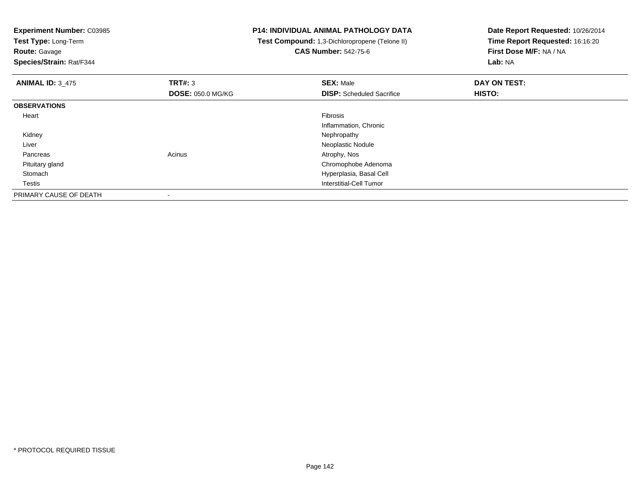**Test Type:** Long-Term

**Route:** Gavage

**Species/Strain:** Rat/F344

# **P14: INDIVIDUAL ANIMAL PATHOLOGY DATA**

 **Test Compound:** 1,3-Dichloropropene (Telone II)**CAS Number:** 542-75-6

| <b>ANIMAL ID: 3 475</b> | <b>TRT#: 3</b>           | <b>SEX: Male</b>                 | DAY ON TEST: |  |
|-------------------------|--------------------------|----------------------------------|--------------|--|
|                         | <b>DOSE: 050.0 MG/KG</b> | <b>DISP:</b> Scheduled Sacrifice | HISTO:       |  |
| <b>OBSERVATIONS</b>     |                          |                                  |              |  |
| Heart                   |                          | Fibrosis                         |              |  |
|                         |                          | Inflammation, Chronic            |              |  |
| Kidney                  |                          | Nephropathy                      |              |  |
| Liver                   |                          | Neoplastic Nodule                |              |  |
| Pancreas                | Acinus                   | Atrophy, Nos                     |              |  |
| Pituitary gland         |                          | Chromophobe Adenoma              |              |  |
| Stomach                 |                          | Hyperplasia, Basal Cell          |              |  |
| Testis                  |                          | Interstitial-Cell Tumor          |              |  |
| PRIMARY CAUSE OF DEATH  | $\,$                     |                                  |              |  |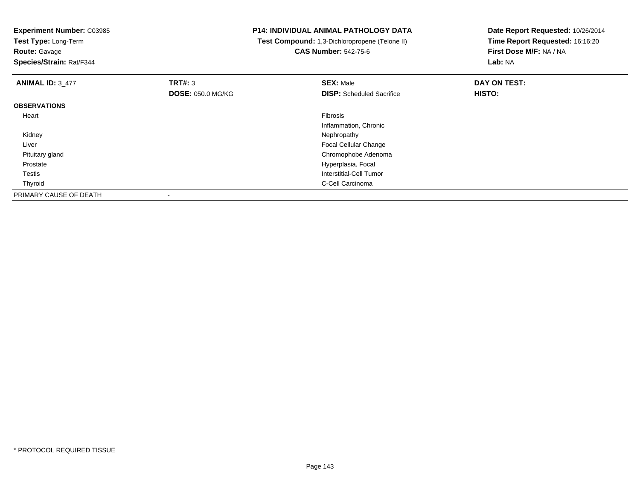**Experiment Number:** C03985**Test Type:** Long-Term**Route:** Gavage **Species/Strain:** Rat/F344**P14: INDIVIDUAL ANIMAL PATHOLOGY DATA Test Compound:** 1,3-Dichloropropene (Telone II)**CAS Number:** 542-75-6**Date Report Requested:** 10/26/2014**Time Report Requested:** 16:16:20**First Dose M/F:** NA / NA**Lab:** NA**ANIMAL ID:** 3\_477 **TRT#:** <sup>3</sup> **SEX:** Male **DAY ON TEST: DOSE:** 050.0 MG/KG**DISP:** Scheduled Sacrifice **HISTO: OBSERVATIONS** Heartt de la constitución de la constitución de la constitución de la constitución de la constitución de la constitución Inflammation, Chronic Kidneyy the control of the control of the control of the control of the control of the control of the control of the control of the control of the control of the control of the control of the control of the control of the contro Liver Focal Cellular Changed<sub>d</sub> Chromophobe Adenoma Pituitary gland Prostate Hyperplasia, Focal Testis Interstitial-Cell Tumor Thyroid C-Cell Carcinoma PRIMARY CAUSE OF DEATH-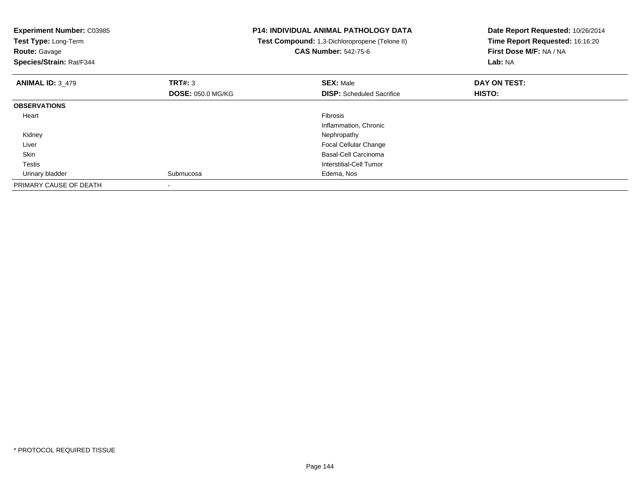| <b>Experiment Number: C03985</b><br>Test Type: Long-Term<br><b>Route: Gavage</b><br>Species/Strain: Rat/F344 |                          | <b>P14: INDIVIDUAL ANIMAL PATHOLOGY DATA</b><br>Test Compound: 1,3-Dichloropropene (Telone II)<br><b>CAS Number: 542-75-6</b> | Date Report Requested: 10/26/2014<br>Time Report Requested: 16:16:20<br>First Dose M/F: NA / NA<br>Lab: NA |
|--------------------------------------------------------------------------------------------------------------|--------------------------|-------------------------------------------------------------------------------------------------------------------------------|------------------------------------------------------------------------------------------------------------|
| <b>ANIMAL ID: 3 479</b>                                                                                      | <b>TRT#: 3</b>           | <b>SEX: Male</b>                                                                                                              | DAY ON TEST:                                                                                               |
|                                                                                                              | <b>DOSE: 050.0 MG/KG</b> | <b>DISP:</b> Scheduled Sacrifice                                                                                              | HISTO:                                                                                                     |
| <b>OBSERVATIONS</b>                                                                                          |                          |                                                                                                                               |                                                                                                            |
| Heart                                                                                                        |                          | Fibrosis                                                                                                                      |                                                                                                            |
|                                                                                                              |                          | Inflammation, Chronic                                                                                                         |                                                                                                            |
| Kidney                                                                                                       |                          | Nephropathy                                                                                                                   |                                                                                                            |
| Liver                                                                                                        |                          | <b>Focal Cellular Change</b>                                                                                                  |                                                                                                            |
| Skin                                                                                                         |                          | Basal-Cell Carcinoma                                                                                                          |                                                                                                            |
| Testis                                                                                                       |                          | Interstitial-Cell Tumor                                                                                                       |                                                                                                            |
| Urinary bladder                                                                                              | Submucosa                | Edema, Nos                                                                                                                    |                                                                                                            |
| PRIMARY CAUSE OF DEATH                                                                                       |                          |                                                                                                                               |                                                                                                            |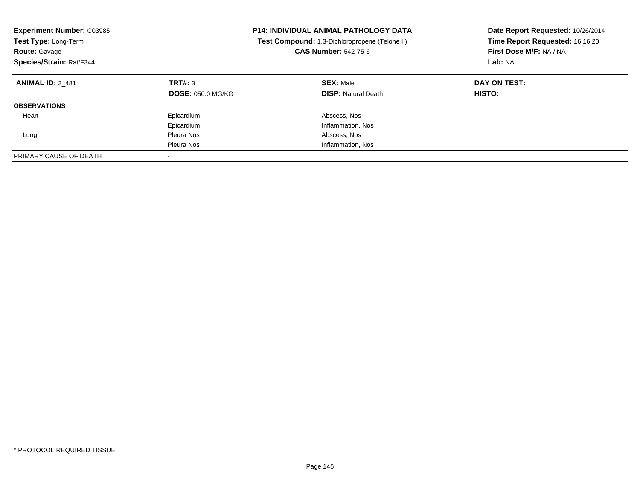| <b>Experiment Number: C03985</b><br>Test Type: Long-Term<br><b>Route: Gavage</b><br>Species/Strain: Rat/F344 |                                     | <b>P14: INDIVIDUAL ANIMAL PATHOLOGY DATA</b><br><b>Test Compound:</b> 1,3-Dichloropropene (Telone II)<br><b>CAS Number: 542-75-6</b> | Date Report Requested: 10/26/2014<br>Time Report Requested: 16:16:20<br>First Dose M/F: NA / NA<br>Lab: NA |
|--------------------------------------------------------------------------------------------------------------|-------------------------------------|--------------------------------------------------------------------------------------------------------------------------------------|------------------------------------------------------------------------------------------------------------|
| <b>ANIMAL ID: 3 481</b>                                                                                      | TRT#: 3<br><b>DOSE: 050.0 MG/KG</b> | <b>SEX: Male</b><br><b>DISP:</b> Natural Death                                                                                       | DAY ON TEST:<br>HISTO:                                                                                     |
| <b>OBSERVATIONS</b>                                                                                          |                                     |                                                                                                                                      |                                                                                                            |
| Heart                                                                                                        | Epicardium                          | Abscess, Nos                                                                                                                         |                                                                                                            |
|                                                                                                              | Epicardium                          | Inflammation, Nos                                                                                                                    |                                                                                                            |
| Lung                                                                                                         | Pleura Nos                          | Abscess, Nos                                                                                                                         |                                                                                                            |
|                                                                                                              | Pleura Nos                          | Inflammation, Nos                                                                                                                    |                                                                                                            |
| PRIMARY CAUSE OF DEATH                                                                                       |                                     |                                                                                                                                      |                                                                                                            |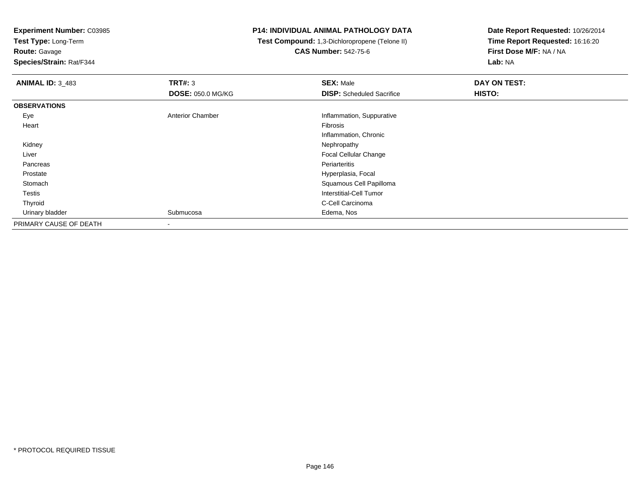**Test Type:** Long-Term**Route:** Gavage

**Species/Strain:** Rat/F344

## **P14: INDIVIDUAL ANIMAL PATHOLOGY DATA**

 **Test Compound:** 1,3-Dichloropropene (Telone II)**CAS Number:** 542-75-6

| <b>ANIMAL ID: 3_483</b> | TRT#: 3                  | <b>SEX: Male</b>                 | DAY ON TEST: |
|-------------------------|--------------------------|----------------------------------|--------------|
|                         | <b>DOSE: 050.0 MG/KG</b> | <b>DISP:</b> Scheduled Sacrifice | HISTO:       |
| <b>OBSERVATIONS</b>     |                          |                                  |              |
| Eye                     | <b>Anterior Chamber</b>  | Inflammation, Suppurative        |              |
| Heart                   |                          | Fibrosis                         |              |
|                         |                          | Inflammation, Chronic            |              |
| Kidney                  |                          | Nephropathy                      |              |
| Liver                   |                          | Focal Cellular Change            |              |
| Pancreas                |                          | Periarteritis                    |              |
| Prostate                |                          | Hyperplasia, Focal               |              |
| Stomach                 |                          | Squamous Cell Papilloma          |              |
| Testis                  |                          | <b>Interstitial-Cell Tumor</b>   |              |
| Thyroid                 |                          | C-Cell Carcinoma                 |              |
| Urinary bladder         | Submucosa                | Edema, Nos                       |              |
| PRIMARY CAUSE OF DEATH  | $\,$                     |                                  |              |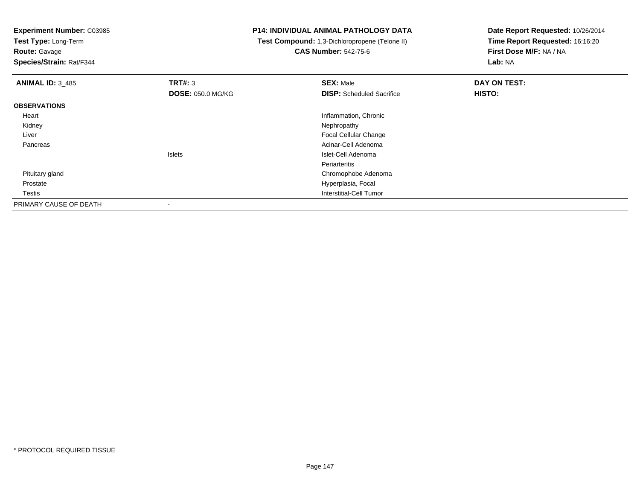**Test Type:** Long-Term**Route:** Gavage

**Species/Strain:** Rat/F344

## **P14: INDIVIDUAL ANIMAL PATHOLOGY DATA**

 **Test Compound:** 1,3-Dichloropropene (Telone II)**CAS Number:** 542-75-6

| <b>ANIMAL ID: 3 485</b> | TRT#: 3                  | <b>SEX: Male</b>                 | DAY ON TEST: |  |
|-------------------------|--------------------------|----------------------------------|--------------|--|
|                         | <b>DOSE: 050.0 MG/KG</b> | <b>DISP:</b> Scheduled Sacrifice | HISTO:       |  |
| <b>OBSERVATIONS</b>     |                          |                                  |              |  |
| Heart                   |                          | Inflammation, Chronic            |              |  |
| Kidney                  |                          | Nephropathy                      |              |  |
| Liver                   |                          | Focal Cellular Change            |              |  |
| Pancreas                |                          | Acinar-Cell Adenoma              |              |  |
|                         | <b>Islets</b>            | Islet-Cell Adenoma               |              |  |
|                         |                          | Periarteritis                    |              |  |
| Pituitary gland         |                          | Chromophobe Adenoma              |              |  |
| Prostate                |                          | Hyperplasia, Focal               |              |  |
| <b>Testis</b>           |                          | Interstitial-Cell Tumor          |              |  |
| PRIMARY CAUSE OF DEATH  |                          |                                  |              |  |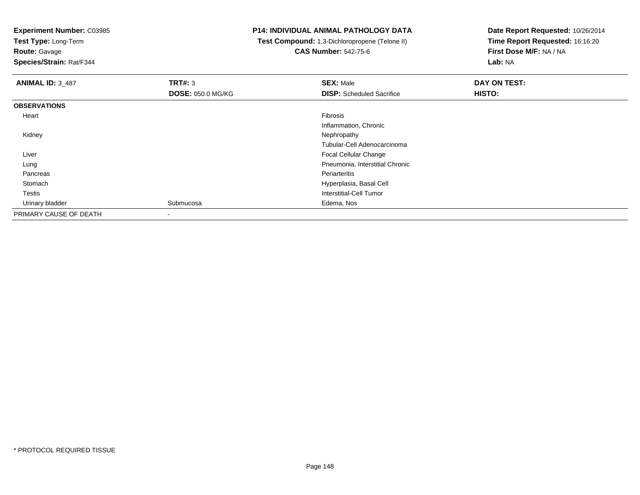**Test Type:** Long-Term

**Route:** Gavage

**Species/Strain:** Rat/F344

## **P14: INDIVIDUAL ANIMAL PATHOLOGY DATA**

 **Test Compound:** 1,3-Dichloropropene (Telone II)**CAS Number:** 542-75-6

| <b>ANIMAL ID: 3_487</b> | TRT#: 3                  | <b>SEX: Male</b>                 | DAY ON TEST: |
|-------------------------|--------------------------|----------------------------------|--------------|
|                         | <b>DOSE: 050.0 MG/KG</b> | <b>DISP:</b> Scheduled Sacrifice | HISTO:       |
| <b>OBSERVATIONS</b>     |                          |                                  |              |
| Heart                   |                          | Fibrosis                         |              |
|                         |                          | Inflammation, Chronic            |              |
| Kidney                  |                          | Nephropathy                      |              |
|                         |                          | Tubular-Cell Adenocarcinoma      |              |
| Liver                   |                          | <b>Focal Cellular Change</b>     |              |
| Lung                    |                          | Pneumonia, Interstitial Chronic  |              |
| Pancreas                |                          | Periarteritis                    |              |
| Stomach                 |                          | Hyperplasia, Basal Cell          |              |
| <b>Testis</b>           |                          | <b>Interstitial-Cell Tumor</b>   |              |
| Urinary bladder         | Submucosa                | Edema, Nos                       |              |
| PRIMARY CAUSE OF DEATH  |                          |                                  |              |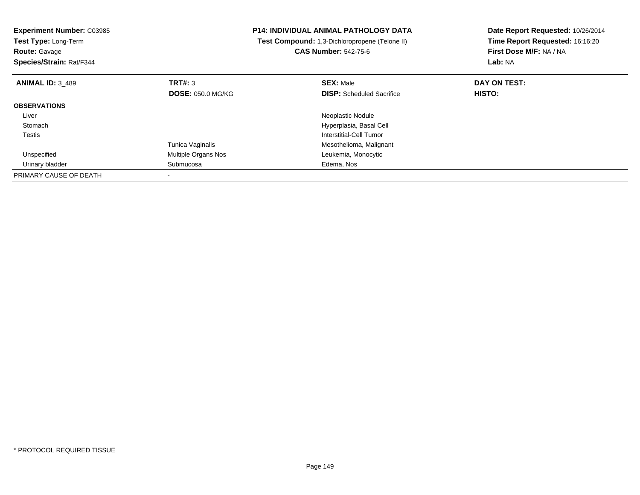| <b>Experiment Number: C03985</b><br>Test Type: Long-Term<br><b>Route: Gavage</b><br>Species/Strain: Rat/F344 |                          | <b>P14: INDIVIDUAL ANIMAL PATHOLOGY DATA</b><br>Test Compound: 1,3-Dichloropropene (Telone II)<br><b>CAS Number: 542-75-6</b> | Date Report Requested: 10/26/2014<br>Time Report Requested: 16:16:20<br>First Dose M/F: NA / NA<br>Lab: NA |  |
|--------------------------------------------------------------------------------------------------------------|--------------------------|-------------------------------------------------------------------------------------------------------------------------------|------------------------------------------------------------------------------------------------------------|--|
| <b>ANIMAL ID: 3 489</b>                                                                                      | TRT#: 3                  | <b>SEX: Male</b>                                                                                                              | DAY ON TEST:                                                                                               |  |
|                                                                                                              | <b>DOSE: 050.0 MG/KG</b> | <b>DISP:</b> Scheduled Sacrifice                                                                                              | <b>HISTO:</b>                                                                                              |  |
| <b>OBSERVATIONS</b>                                                                                          |                          |                                                                                                                               |                                                                                                            |  |
| Liver                                                                                                        |                          | Neoplastic Nodule                                                                                                             |                                                                                                            |  |
| Stomach                                                                                                      |                          | Hyperplasia, Basal Cell                                                                                                       |                                                                                                            |  |
| Testis                                                                                                       |                          | Interstitial-Cell Tumor                                                                                                       |                                                                                                            |  |
|                                                                                                              | Tunica Vaginalis         | Mesothelioma, Malignant                                                                                                       |                                                                                                            |  |
| Unspecified                                                                                                  | Multiple Organs Nos      | Leukemia, Monocytic                                                                                                           |                                                                                                            |  |
| Urinary bladder                                                                                              | Submucosa                | Edema, Nos                                                                                                                    |                                                                                                            |  |
| PRIMARY CAUSE OF DEATH                                                                                       |                          |                                                                                                                               |                                                                                                            |  |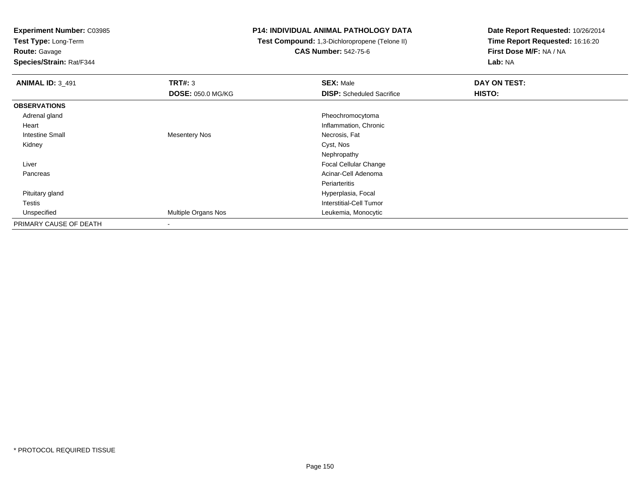**Test Type:** Long-Term**Route:** Gavage

**Species/Strain:** Rat/F344

### **P14: INDIVIDUAL ANIMAL PATHOLOGY DATA**

#### **Test Compound:** 1,3-Dichloropropene (Telone II)**CAS Number:** 542-75-6

| <b>ANIMAL ID: 3_491</b> | <b>TRT#: 3</b>           | <b>SEX: Male</b>                 | DAY ON TEST: |  |
|-------------------------|--------------------------|----------------------------------|--------------|--|
|                         | <b>DOSE: 050.0 MG/KG</b> | <b>DISP:</b> Scheduled Sacrifice | HISTO:       |  |
| <b>OBSERVATIONS</b>     |                          |                                  |              |  |
| Adrenal gland           |                          | Pheochromocytoma                 |              |  |
| Heart                   |                          | Inflammation, Chronic            |              |  |
| <b>Intestine Small</b>  | <b>Mesentery Nos</b>     | Necrosis, Fat                    |              |  |
| Kidney                  |                          | Cyst, Nos                        |              |  |
|                         |                          | Nephropathy                      |              |  |
| Liver                   |                          | <b>Focal Cellular Change</b>     |              |  |
| Pancreas                |                          | Acinar-Cell Adenoma              |              |  |
|                         |                          | Periarteritis                    |              |  |
| Pituitary gland         |                          | Hyperplasia, Focal               |              |  |
| Testis                  |                          | <b>Interstitial-Cell Tumor</b>   |              |  |
| Unspecified             | Multiple Organs Nos      | Leukemia, Monocytic              |              |  |
| PRIMARY CAUSE OF DEATH  | $\overline{\phantom{a}}$ |                                  |              |  |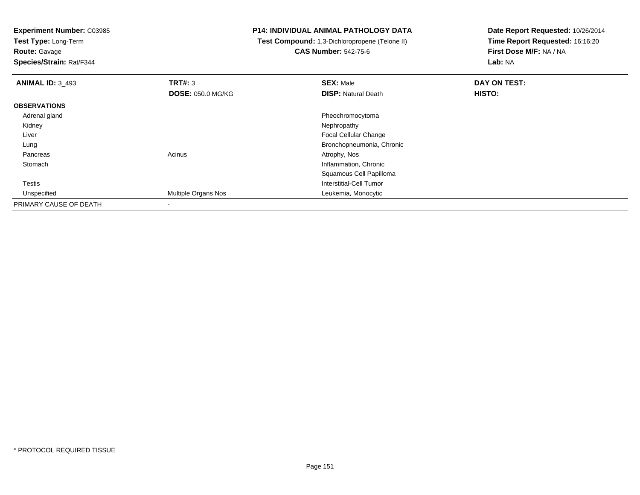**Test Type:** Long-Term**Route:** Gavage

**Species/Strain:** Rat/F344

## **P14: INDIVIDUAL ANIMAL PATHOLOGY DATA**

 **Test Compound:** 1,3-Dichloropropene (Telone II)**CAS Number:** 542-75-6

| <b>ANIMAL ID: 3 493</b> | TRT#: 3                    | <b>SEX: Male</b>             | DAY ON TEST: |  |
|-------------------------|----------------------------|------------------------------|--------------|--|
|                         | <b>DOSE: 050.0 MG/KG</b>   | <b>DISP: Natural Death</b>   | HISTO:       |  |
| <b>OBSERVATIONS</b>     |                            |                              |              |  |
| Adrenal gland           |                            | Pheochromocytoma             |              |  |
| Kidney                  |                            | Nephropathy                  |              |  |
| Liver                   |                            | <b>Focal Cellular Change</b> |              |  |
| Lung                    |                            | Bronchopneumonia, Chronic    |              |  |
| Pancreas                | Acinus                     | Atrophy, Nos                 |              |  |
| Stomach                 |                            | Inflammation, Chronic        |              |  |
|                         |                            | Squamous Cell Papilloma      |              |  |
| Testis                  |                            | Interstitial-Cell Tumor      |              |  |
| Unspecified             | <b>Multiple Organs Nos</b> | Leukemia, Monocytic          |              |  |
| PRIMARY CAUSE OF DEATH  |                            |                              |              |  |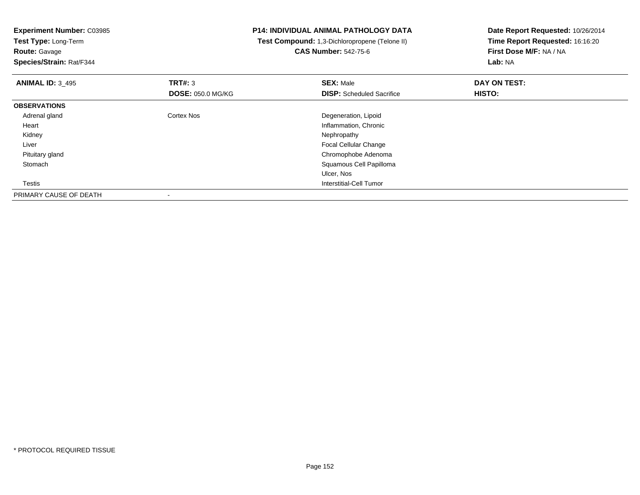**Experiment Number:** C03985**Test Type:** Long-Term**Route:** Gavage **Species/Strain:** Rat/F344**P14: INDIVIDUAL ANIMAL PATHOLOGY DATA Test Compound:** 1,3-Dichloropropene (Telone II)**CAS Number:** 542-75-6**Date Report Requested:** 10/26/2014**Time Report Requested:** 16:16:20**First Dose M/F:** NA / NA**Lab:** NA**ANIMAL ID:** 3\_495 **TRT#:** <sup>3</sup> **SEX:** Male **DAY ON TEST: DOSE:** 050.0 MG/KG**DISP:** Scheduled Sacrifice **HISTO: OBSERVATIONS** Adrenal glandCortex Nos **Cortex Nos** Degeneration, Lipoid Heart Inflammation, Chronic Kidneyy the control of the control of the control of the control of the control of the control of the control of the control of the control of the control of the control of the control of the control of the control of the contro Liver Focal Cellular Changed<sub>d</sub> Chromophobe Adenoma Pituitary gland Stomach Squamous Cell Papilloma Ulcer, Nos**Interstitial-Cell Tumor**  TestisPRIMARY CAUSE OF DEATH-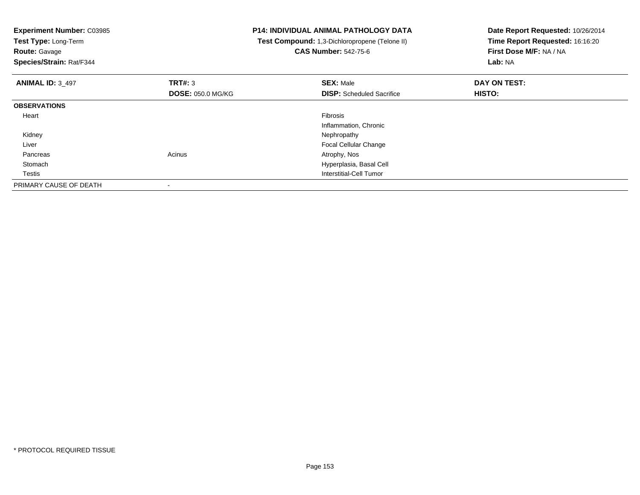| <b>Experiment Number: C03985</b><br>Test Type: Long-Term<br>Route: Gavage<br>Species/Strain: Rat/F344 |                          | P14: INDIVIDUAL ANIMAL PATHOLOGY DATA<br>Test Compound: 1,3-Dichloropropene (Telone II)<br><b>CAS Number: 542-75-6</b> | Date Report Requested: 10/26/2014<br>Time Report Requested: 16:16:20<br>First Dose M/F: NA / NA<br>Lab: NA |  |
|-------------------------------------------------------------------------------------------------------|--------------------------|------------------------------------------------------------------------------------------------------------------------|------------------------------------------------------------------------------------------------------------|--|
| <b>ANIMAL ID: 3_497</b>                                                                               | <b>TRT#: 3</b>           | <b>SEX: Male</b>                                                                                                       | DAY ON TEST:                                                                                               |  |
|                                                                                                       | <b>DOSE: 050.0 MG/KG</b> | <b>DISP:</b> Scheduled Sacrifice                                                                                       | HISTO:                                                                                                     |  |
| <b>OBSERVATIONS</b>                                                                                   |                          |                                                                                                                        |                                                                                                            |  |
| Heart                                                                                                 |                          | <b>Fibrosis</b>                                                                                                        |                                                                                                            |  |
|                                                                                                       |                          | Inflammation, Chronic                                                                                                  |                                                                                                            |  |
| Kidney                                                                                                |                          | Nephropathy                                                                                                            |                                                                                                            |  |
| Liver                                                                                                 |                          | <b>Focal Cellular Change</b>                                                                                           |                                                                                                            |  |
| Pancreas                                                                                              | Acinus                   | Atrophy, Nos                                                                                                           |                                                                                                            |  |
| Stomach                                                                                               |                          | Hyperplasia, Basal Cell                                                                                                |                                                                                                            |  |
| Testis                                                                                                |                          | Interstitial-Cell Tumor                                                                                                |                                                                                                            |  |
| PRIMARY CAUSE OF DEATH                                                                                |                          |                                                                                                                        |                                                                                                            |  |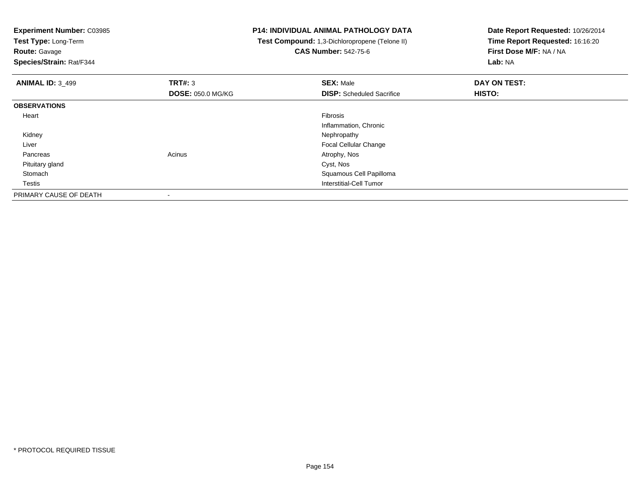**Test Type:** Long-Term

**Route:** Gavage

**Species/Strain:** Rat/F344

## **P14: INDIVIDUAL ANIMAL PATHOLOGY DATA**

 **Test Compound:** 1,3-Dichloropropene (Telone II)**CAS Number:** 542-75-6

| <b>ANIMAL ID: 3 499</b> | <b>TRT#: 3</b>           | <b>SEX: Male</b>                 | DAY ON TEST: |  |
|-------------------------|--------------------------|----------------------------------|--------------|--|
|                         | <b>DOSE: 050.0 MG/KG</b> | <b>DISP:</b> Scheduled Sacrifice | HISTO:       |  |
| <b>OBSERVATIONS</b>     |                          |                                  |              |  |
| Heart                   |                          | Fibrosis                         |              |  |
|                         |                          | Inflammation, Chronic            |              |  |
| Kidney                  |                          | Nephropathy                      |              |  |
| Liver                   |                          | <b>Focal Cellular Change</b>     |              |  |
| Pancreas                | Acinus                   | Atrophy, Nos                     |              |  |
| Pituitary gland         |                          | Cyst, Nos                        |              |  |
| Stomach                 |                          | Squamous Cell Papilloma          |              |  |
| Testis                  |                          | Interstitial-Cell Tumor          |              |  |
| PRIMARY CAUSE OF DEATH  | $\,$                     |                                  |              |  |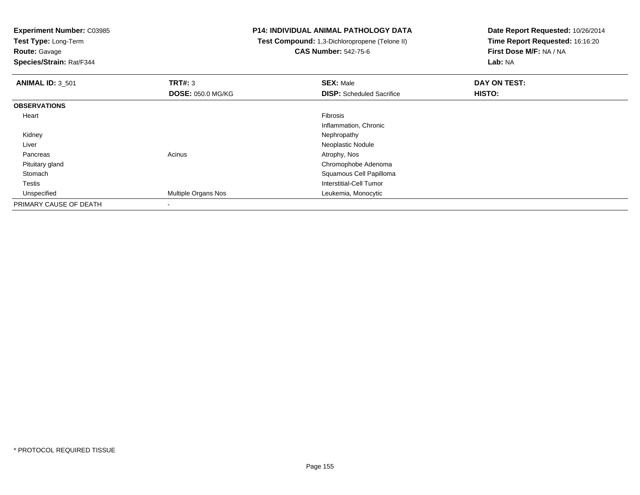**Test Type:** Long-Term

**Route:** Gavage

**Species/Strain:** Rat/F344

## **P14: INDIVIDUAL ANIMAL PATHOLOGY DATA**

 **Test Compound:** 1,3-Dichloropropene (Telone II)**CAS Number:** 542-75-6

| <b>ANIMAL ID: 3 501</b> | TRT#: 3                  | <b>SEX: Male</b>                 | DAY ON TEST: |  |
|-------------------------|--------------------------|----------------------------------|--------------|--|
|                         | <b>DOSE: 050.0 MG/KG</b> | <b>DISP:</b> Scheduled Sacrifice | HISTO:       |  |
| <b>OBSERVATIONS</b>     |                          |                                  |              |  |
| Heart                   |                          | Fibrosis                         |              |  |
|                         |                          | Inflammation, Chronic            |              |  |
| Kidney                  |                          | Nephropathy                      |              |  |
| Liver                   |                          | Neoplastic Nodule                |              |  |
| Pancreas                | Acinus                   | Atrophy, Nos                     |              |  |
| Pituitary gland         |                          | Chromophobe Adenoma              |              |  |
| Stomach                 |                          | Squamous Cell Papilloma          |              |  |
| Testis                  |                          | Interstitial-Cell Tumor          |              |  |
| Unspecified             | Multiple Organs Nos      | Leukemia, Monocytic              |              |  |
| PRIMARY CAUSE OF DEATH  | $\overline{\phantom{a}}$ |                                  |              |  |